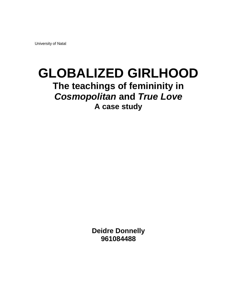University of Natal

# **GLOBALIZED GIRLHOOD The teachings of femininity in Cosmopolitan and True Love A case study**

**Deidre Donnelly 961084488**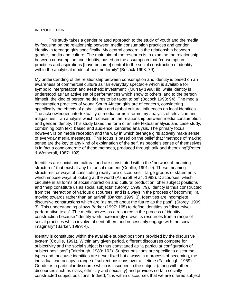#### INTRODUCTION

 This study takes a gender related approach to the study of youth and the media by focusing on the relationship between media consumption practices and gender identity in teenage girls specifically. My central concern is the relationship between gender, media and culture. The main aim of the research is to examine the relationship between consumption and identity, based on the assumption that "consumption practices and aspirations [have become] central to the social construction of identity, within the analytical model of postmodernity" (Bocock 1993: 79).

My understanding of the relationship between consumption and identity is based on an awareness of commercial culture as "an everyday spectacle which is available for symbolic interpretation and aesthetic investment" (Murray 1998: iii), while identity is understood as "an active set of performances which show to others, and to the person himself, the kind of person he desires to be taken to be" (Bocock 1993: 94). The media consumption practices of young South African girls are of concern, considering specifically the effects of globalisation and global cultural influences on local identities. The acknowledged intertextuality of media forms informs my analysis of television and magazines – an analysis which focuses on the relationship between media consumption and gender identity. This study takes the form of an intertextual analysis and case study, combining both text based and audience centered analysis. The primary focus, however, is on media reception and the way in which teenage girls actively make sense of everyday media messages. This focus is based on the belief that "methods of making sense are the key to any kind of explanation of the self, as people's sense of themselves is in fact a conglomerate of these methods, produced through talk and theorizing"(Potter & Wetherall, 1987: 102).

Identities are social and cultural and are constituted within the "network of meaning structures" that exist at any historical moment (Coullie, 1991: 9). These meaning structures, or ways of constituting reality, are discourses – large groups of statements which impose ways of looking at the world (Ashcroft et al., 1998). Discourses, which circulate in all forms of social interaction and cultural production, offer subject positions and "help constitute us as social subjects" (Storey, 1999: 79). Identity is thus constructed from the interaction of various discourses and is always in the process of becoming, "a moving towards rather than an arrival" (Barker, 1999: 3). Identities are incomplete discursive constructions which are "as much about the future as the past" (Storey, 1999: 3). This understanding allows Barker (1997: 165) to define identities as "discursiveperformative texts". The media serves as a resource in the process of identity construction because "identity work increasingly draws its resources from a range of social practices which involve absent others and necessarily engage with the social imaginary" (Barker, 1999: 4).

Identity is constituted within the available subject positions provided by the discursive system (Coullie, 1991). Within any given period, different discourses compete for subjectivity and the social subject is thus constituted as "a particular configuration of subject positions" (Fairclough, 1989: 102). Subject positions are specific to discourse types and, because identities are never fixed but always in a process of becoming, the individual can occupy a range of subject positions over a lifetime (Fairclough, 1989). Gender is a particular discourse which is inscribed in the subject (along with other discourses such as class, ethnicity and sexuality) and provides certain socially constructed subject positions. Indeed, "it is within discourses that we are offered subject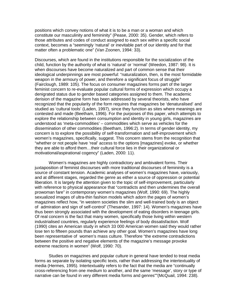positions which convey notions of what it is to be a man or a woman and which constitute our masculinity and femininity" (Pease, 2000: 35). Gender, which refers to those attributes and codes of conduct assigned to each sex within a specific social context, becomes a "seemingly 'natural' or inevitable part of our identity and for that matter often a problematic one" (Van Zoonen, 1994: 33).

Discourses, which are found in the institutions responsible for the socialization of the child, function by the authority of what is 'natural' or 'normal' (Weedon, 1987: 98). It is when discourses have become naturalized and part of common sense that their ideological underpinnings are most powerful: "naturalization, then, is the most formidable weapon in the armoury of power, and therefore a significant focus of struggle" (Fairclough, 1989: 105). The focus on consumer magazines forms part of the larger feminist concern to re-evaluate popular cultural forms of expression which occupy a denigrated status due to gender based categories assigned to them. The academic derision of the magazine form has been addressed by several theorists, who have recognized that the popularity of the form requires that magazines be 'denaturalised' and studied as 'cultural tools' (Laden, 1997), since they function as sites where meanings are contested and made (Beetham, 1996). For the purposes of this paper, which attempts to explore the relationship between consumption and identity in young girls, magazines are understood as 'meta-commodities' – commodities which serve as vehicles for the dissemination of other commodities (Beetham, 1996:2). In terms of gender identity, my concern is to explore the possibility of self-transformation and self-improvement which women's magazines, specifically, suggest. This concern stems from the recognition that "whether or not people have 'real' access to the options [magazines] evoke, or whether they are able to afford them…their cultural force lies in their organizational or motivational/aspirational cogency" (Laden, 2000: 11).

 Women's magazines are highly contradictory and ambivalent forms. Their juxtaposition of feminist discourses with more traditional discourses of femininity is a source of constant tension. Academic analyses of women's magazines have, variously, and at different stages, regarded the genre as either a source of oppression or potential liberation. It is largely the attention given to the topic of self-improvement, particularly with reference to physical appearance that "contradicts and then undermines the overall prowoman fare" in contemporary women's magazines (Wolf, 1990: 69). The highly sexualized images of ultra-thin fashion models which adorn the pages of women's magazines reflect how, "in western societies the slim and well-trained body is an object of admiration and sign of self-control" (Thesander, 1997: 14). Women's magazines have thus been strongly associated with the development of eating disorders in teenage girls. Of real concern is the fact that many women, specifically those living within western industrialised countries, regularly experience feelings of body dissatisfaction. Wolf (1990) cites an American study in which 33 000 American women said they would rather lose ten to fifteen pounds than achieve any other goal. Women's magazines have long been representative of women's mass culture. Therefore "the extreme contradictions between the positive and negative elements of the magazine's message provoke extreme reactions in women" (Wolf, 1990: 70).

 Studies on magazines and popular culture in general have tended to treat media forms as separate by isolating specific texts, rather than addressing the intertextuality of media (Hermes, 1995). Intertextuality refers to the fact that the media are "continually cross-referencing from one medium to another, and the same 'message', story or type of narrative can be found in very different media forms and genres""(McQuail, 1994: 238).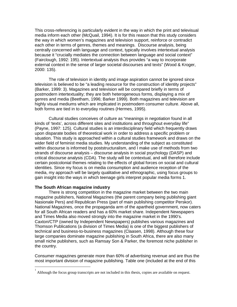This cross-referencing is particularly evident in the way in which the print and televisual media inform each other (McQuail, 1994). It is for this reason that this study considers the way in which women's magazines and television support, reinforce or contradict each other in terms of genres, themes and meanings. Discourse analysis, being centrally concerned with language and context, typically involves intertextual analysis because it "crucially mediates the connection between language and social context" (Fairclough, 1992: 195). Intertextual analysis thus provides "a way to incorporate external context in the sense of larger societal discourses and texts" (Wood & Kroger, 2000: 135).

 The role of television in identity and image aspiration cannot be ignored since television is believed to be "a leading resource for the construction of identity projects" (Barker, 1999: 3). Magazines and television will be compared briefly in terms of postmodern intertextuality; they are both heterogeneous forms, displaying a mix of genres and media (Beetham, 1996; Barker 1999). Both magazines and television are highly visual mediums which are implicated in postmodern consumer culture. Above all, both forms are tied in to everyday routines (Hermes, 1995).

 Cultural studies conceives of culture as "meanings in negotiation found in all kinds of 'texts', across different sites and institutions and throughout everyday life" (Payne, 1997: 125). Cultural studies is an interdisciplinary field which frequently draws upon disparate bodies of theoretical work in order to address a specific problem or situation. This study is approached within a cultural studies framework and draws on the wider field of feminist media studies. My understanding of the subject as constituted within discourse is informed by poststructuralism, and I make use of methods from two strands of discourse analysis – discourse analysis in social psychology (DASP) and critical discourse analysis (CDA). The study will be contextual, and will therefore include certain postcolonial themes relating to the effects of global forces on social and cultural identities. Since my focus is on media consumption and audience reception of the media, my approach will be largely qualitative and ethnographic, using focus groups to gain insight into the ways in which teenage girls interpret popular media forms 1.

#### **The South African magazine industry**

<u>.</u>

There is strong competition in the magazine market between the two main magazine publishers, National Magazines (the parent company being publishing giant Nasionale Pers) and Republican Press (part of main publishing competitor Perskor). National Magazines, once the propaganda arm of the apartheid government, now caters for all South African readers and has a 60% market share. Independent Newspapers and Times Media also moved strongly into the magazine market in the 1990's. Caxton/CTP (owned by Independent Newspapers) publishes various magazines and Thomson Publications (a division of Times Media) is one of the biggest publishers of technical and business-to-business magazines (Claasen, 1998). Although these four large companies dominate magazine publishing in South Africa, there are also many small niche publishers, such as Ramsay Son & Parker, the foremost niche publisher in the country.

Consumer magazines generate more than 60% of advertising revenue and are thus the most important division of magazine publishing. Table one (included at the end of this

<sup>1</sup> Although the focus group transcripts are not included in this thesis, copies are available on request.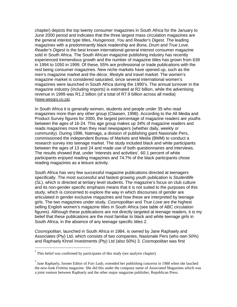chapter) depicts the top twenty consumer magazines in South Africa for the January to June 2000 period and indicates that the three largest mass circulation magazines are the general interest type titles, *Huisgenoot, You* and *Reader's Digest*. The leading magazines with a predominantly black readership are Bona, Drum and True Love. Reader's Digest is the best known international general interest consumer magazine sold in South Africa. The South African magazine publishing industry has recently experienced tremendous growth and the number of magazine titles has grown from 639 in 1994 to 1050 in 1999. Of these, 55% are professional or trade publications with the rest being consumer magazines. New niche markets have opened up, such as the men's magazine market and the décor, lifestyle and travel market. The women's magazine market is considered saturated, since several international women's magazines were launched in South Africa during the 1990's. The annual turnover in the magazine industry (including imports) is estimated at R2 billion, while the advertising revenue in 1999 was R1.2 billion (of a total of R7.9 billion across all media) (www.wesgro.co.za).

In South Africa it is generally women, students and people under 35 who read magazines more than any other group (Claasen, 1998). According to the All Media and Product Survey figures for 2000, the largest percentage of magazine readers are youths between the ages of 16-24. This age group makes up 34% of magazine readers and reads magazines more than they read newspapers (whether daily, weekly or community). During 1996, Natmags, a division of publishing giant Nasionale Pers, commissioned the independent Bureau of Markets and Media (BMM) to conduct a research survey into teenage market. The study included black and white participants between the ages of 13 and 24 and made use of both questionnaires and interviews. The results showed that, under 'interests and activities', 60.1 percent of white participants enjoyed reading magazines and 74.7% of the black participants chose reading magazines as a leisure activity.

South Africa has very few successful magazine publications directed at teenagers specifically. The most successful and fastest growing youth publication is Studentlife (SL), which is directed at tertiary level students. The magazine's focus on club culture and its non-gender specific emphasis means that it is not suited to the purposes of this study, which is concerned to explore the way in which discourses of gender are articulated in gender exclusive magazines and how these are interpreted by teenage girls. The two magazines under study, Cosmopolitan and True Love are the highest selling English women's magazine titles in South Africa (see table of ABC circulation figures). Although these publications are not directly targeted at teenage readers, it is my belief that these publications are the most familiar to black and white teenage girls in South Africa, in the absence of any teenage specific titles 2.

Cosmopolitan, launched in South Africa in 1984, is owned by Jane Raphaely and Associates (Pty) Ltd, which consists of two companies, Nasionale Pers (who own 50%) and Raphaely Khnel Investments (Pty) Ltd (also 50%) 3. Cosmopolitan was first

-

<sup>2</sup> This belief was confirmed by participants of this study (see analysis chapter)

<sup>&</sup>lt;sup>3</sup> Jane Raphaely, former Editor of *Fair Lady*, extended her publishing concerns in 1988 when she lauched the new-look *Femina* magazine. She did this under the company name of Associated Magazines which was a joint venture between Raphaely and the other major magazine publisher, Republican Press.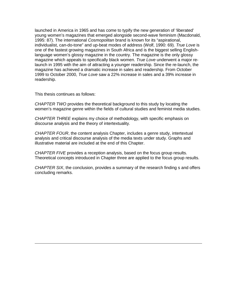launched in America in 1965 and has come to typify the new generation of 'liberated' young women's magazines that emerged alongside second-wave feminism (Macdonald, 1995: 87). The international Cosmopolitan brand is known for its "aspirational, individualist, can-do-tone" and up-beat modes of address (Wolf, 1990: 69). True Love is one of the fastest growing magazines in South Africa and is the biggest selling Englishlanguage women's glossy magazine in the country. The magazine is the only glossy magazine which appeals to specifically black women. True Love underwent a major relaunch in 1995 with the aim of attracting a younger readership. Since the re-launch, the magazine has achieved a dramatic increase in sales and readership. From October 1999 to October 2000, True Love saw a 22% increase in sales and a 39% increase in readership.

This thesis continues as follows:

-

CHAPTER TWO provides the theoretical background to this study by locating the women's magazine genre within the fields of cultural studies and feminist media studies.

CHAPTER THREE explains my choice of methodology, with specific emphasis on discourse analysis and the theory of intertextuality.

CHAPTER FOUR, the content analysis Chapter, includes a genre study, intertextual analysis and critical discourse analysis of the media texts under study. Graphs and illustrative material are included at the end of this Chapter.

CHAPTER FIVE provides a reception analysis, based on the focus group results. Theoretical concepts introduced in Chapter three are applied to the focus group results.

CHAPTER SIX, the conclusion, provides a summary of the research finding s and offers concluding remarks.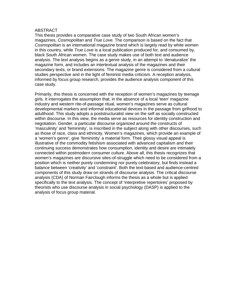# ABSTRACT

This thesis provides a comparative case study of two South African women's magazines, Cosmopolitan and True Love. The comparison is based on the fact that Cosmopolitan is an international magazine brand which is largely read by white women in this country, while *True Love* is a local publication produced for, and consumed by, black South African women. The case study makes use of both text and audience analysis. The text analysis begins as a genre study, in an attempt to 'denaturalize' the magazine form, and includes an intertextual analysis of the magazines and their secondary texts, or brand extensions. The magazine genre is considered from a cultural studies perspective and in the light of feminist media criticism. A reception analysis, informed by focus group research, provides the audience analysis component of this case study.

Primarily, this thesis is concerned with the reception of women's magazines by teenage girls. It interrogates the assumption that, in the absence of a local 'teen' magazine industry and western rite-of-passage ritual, women's magazines serve as cultural developmental markers and informal educational devices in the passage from girlhood to adulthood. This study adopts a poststructuralist view on the self as socially constructed within discourse. In this view, the media serve as resources for identity construction and negotiation. Gender, a particular discourse organized around the constructs of 'masculinity' and 'femininity', is inscribed in the subject along with other discourses, such as those of race, class and ethnicity. Women's magazines, which provide an example of a 'women's genre', give 'femininity' a material form. Their glossy visual appeal is illustrative of the commodity fetishism associated with advanced capitalism and their continuing success demonstrates how consumption, identity and desire are intimately connected within postmodern consumer culture. Above all, this thesis recognizes that women's magazines are discursive sites-of-struggle which need to be considered from a position which is neither purely condemning nor purely celebratory, but finds instead a balance between 'creativity' and 'constraint'. Both the text-based and audience-centred components of this study draw on strands of discourse analysis. The critical discourse analysis (CDA) of Norman Fairclough informs the thesis as a whole but is applied specifically to the text analysis. The concept of 'interpretive repertoires' proposed by theorists who use discourse analysis in social psychology (DASP) is applied to the analysis of focus group material.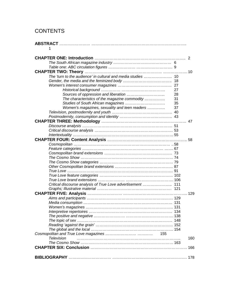# **CONTENTS**

| 1                                                            |    |             |
|--------------------------------------------------------------|----|-------------|
|                                                              |    |             |
|                                                              |    |             |
|                                                              |    |             |
|                                                              |    |             |
|                                                              |    |             |
| The 'turn to the audience' in cultural and media studies  10 |    |             |
|                                                              |    |             |
|                                                              |    |             |
|                                                              | 27 |             |
|                                                              | 28 |             |
| The characteristics of the magazine commodity                | 31 |             |
|                                                              | 35 |             |
| Women's magazines, sexuality and teen readers                | 37 |             |
|                                                              |    |             |
|                                                              |    |             |
|                                                              |    |             |
|                                                              |    |             |
|                                                              |    |             |
|                                                              |    |             |
|                                                              |    |             |
|                                                              |    |             |
|                                                              |    |             |
|                                                              |    |             |
|                                                              |    |             |
|                                                              |    |             |
|                                                              |    |             |
|                                                              |    |             |
|                                                              |    |             |
|                                                              |    |             |
|                                                              |    |             |
| Critical discourse analysis of True Love advertisement  111  |    |             |
|                                                              |    |             |
|                                                              |    | $\dots$ 129 |
|                                                              |    |             |
|                                                              |    |             |
|                                                              |    |             |
|                                                              |    |             |
|                                                              |    |             |
|                                                              |    |             |
|                                                              |    |             |
|                                                              |    |             |
|                                                              |    |             |
| - 155<br>Television                                          |    |             |
|                                                              |    | 160         |
|                                                              |    |             |
|                                                              |    | 166         |
|                                                              |    |             |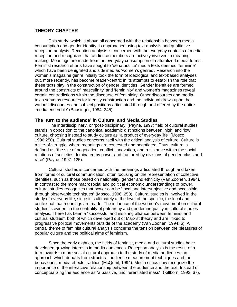# **THEORY CHAPTER**

This study, which is above all concerned with the relationship between media consumption and gender identity, is approached using text analysis and qualitative reception-analysis. Reception analysis is concerned with the everyday contexts of media reception and recognizes that audience members are actively involved in meaning making. Meanings are made from the everyday consumption of naturalized media forms. Feminist research efforts have sought to 'denaturalize' media texts deemed 'feminine' which have been denigrated and sidelined as 'women's genres'. Research into the women's magazine genre initially took the form of ideological and text-based analyses but, more recently, has become reader-centric in its attempts to establish the role that these texts play in the construction of gender identities. Gender identities are formed around the constructs of 'masculinity' and 'femininity' and women's magazines reveal certain contradictions within the discourse of femininity. Other discourses and media texts serve as resources for identity construction and the individual draws upon the various discourses and subject positions articulated through and offered by the entire 'media ensemble' (Bausinger, 1984: 345).

# **The 'turn to the audience' in Cultural and Media Studies**

The interdisciplinary, or 'post-disciplinary' (Payne, 1997) field of cultural studies stands in opposition to the canonical academic distinctions between 'high' and 'low' culture, choosing instead to study culture as "a product of everyday life" (Mosco, 1996:250). Cultural studies concerns itself with the critical analysis of culture. Culture is a site-of-struggle, where meanings are contested and negotiated. Thus, culture is defined as "the site of negotiation, conflict, innovation, and resistance within the social relations of societies dominated by power and fractured by divisions of gender, class and race" (Payne, 1997: 125).

 Cultural studies is concerned with the meanings articulated through and taken from forms of cultural communication, often focusing on the representation of collective identities, such as those based on nationality, gender and ethnicity (Van Zoonen, 1994). In contrast to the more macrosocial and political economic understandings of power, cultural studies recognizes that power can be "local and intersubjective and accessible through observable techniques" (Mosco, 1996: 253). Cultural studies is involved in the study of everyday life, since it is ultimately at the level of the specific, the local and contextual that meanings are made. The influence of the women's movement on cultural studies is evident in the centrality of patriarchy and gender inequality in cultural studies analysis. There has been a "successful and inspiring alliance between feminist and cultural studies", both of which developed out of Marxist theory and are linked to progressive political movements outside of the academy (Van Zoonen, 1994: 6). A central theme of feminist cultural analysis concerns the tension between the pleasures of popular culture and the political aims of feminism.

 Since the early eighties, the fields of feminist, media and cultural studies have developed growing interests in media audiences. Reception analysis is the result of a turn towards a more social-cultural approach to the study of media audiences, an approach which departs from structural audience measurement techniques and the behaviourist media effects tradition (McQuail, 1994). Media critics now recognize the importance of the interactive relationship between the audience and the text. Instead of conceptualizing the audience as "a passive, undifferentiated mass" (Killborn, 1992: 67),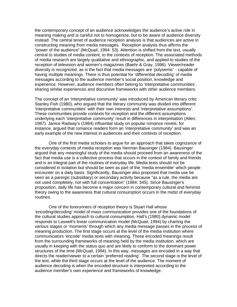the contemporary concept of an audience acknowledges the audience's active role in meaning making and is careful not to homogenize, but to be aware of audience diversity instead. The central tenet of audience reception analysis is that audiences are active in constructing meaning from media messages. Reception analysis thus affirms the "power of the audience" (McQuail, 1994: 53). Attention is shifted from the text, usually central to studies of media content, to the contexts of reception. The associated methods of media research are largely qualitative and ethnographic, and applied to studies of the reception of television and women's magazines (Baehr & Gray, 1996). Viewer/reader diversity is recognized, as is the fact that media messages are 'polysemic' - capable of having multiple meanings. There is thus potential for 'differential decoding' of media messages according to the audience member's social position, knowledge and experience. However, audience members often belong to 'interpretative communities', sharing similar experiences and discursive frameworks with other audience members.

The concept of an 'interpretative community' was introduced by American literary critic Stanley Fish (1980), who argued that the literary community was divided into different 'interpretative communities' with their own interests and 'interpretative assumptions'. These communities provide contexts for reception and the different assumptions underlying each 'interpretative community' result in differences in interpretation (Allen, 1987). Janice Radway's (1984) influential study on popular romance novels, for instance, argued that romance readers form an 'interpretative community' and was an early example of the new interest in audiences and their contexts of reception.

 One of the first media scholars to argue for an approach that takes cognizance of the everyday contexts of media reception was Herman Bausinger (1984). Bausinger argued that any meaningful study of the media should proceed from an awareness of the fact that media use is a collective process that occurs in the context of family and friends and is an integral part of the routines of everyday life. Media texts should not be considered in isolation but should be seen as part of the 'media ensemble' which people encounter on a daily basis. Significantly, Bausinger also proposed that media use be seen as a parergic (subsidiary) or secondary activity because "as a rule, the media are not used completely, nor with full concentration" (1984: 345). Since Bausinger's proposition, daily life has become a major concern in contemporary cultural and feminist theory owing to the awareness that cultural consumption occurs in the midst of everyday routines.

 One of the forerunners of reception theory is Stuart Hall whose 'encoding/decoding' model of mass communication provides one of the foundations of the cultural studies approach to cultural consumption. Hall's (1980) dynamic model responds to Laswell's linear communication model (McQuail, 1994) by charting the various stages or 'moments' through which any media message passes in the process of meaning production. The first stage occurs at the level of the media institution where communicators 'encode' media texts with meaning. These encoded meanings result from the surrounding frameworks of meaning held by the media institution, which are usually in keeping with the status quo and are likely to conform to the dominant power structures of the time (McQuail, 1994). In this way, messages are encoded in a way that directs the reader/viewer to a certain 'preferred reading'. The second stage is the level of the text, while the third stage occurs at the level of the audience. The moment of audience decoding is when the encoded structure is interpreted according to the audience member's own experience and frameworks of knowledge.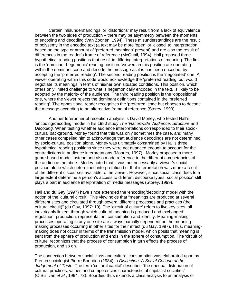Certain 'misunderstandings' or 'distortions' may result from a lack of equivalence between the two sides of production – there may be asymmetry between the moments of encoding and decoding (Van Zoonen, 1994). These misunderstandings are the result of polysemy in the encoded text (a text may be more 'open' or 'closed' to interpretation based on the type or amount of 'preferred meanings' present) and are also the result of differences in the reader's frame of reference (McQuail, 1994). Hall proposed three hypothetical reading positions that result in differing interpretations of meaning. The first is the 'dominant-hegemonic' reading position. Viewers in this position are operating within the dominant code and decode the message as it is has been encoded, by accepting the 'preferred reading'. The second reading position is the 'negotiated' one. A viewer operating within this code would acknowledge the 'preferred reading' but would negotiate its meanings in terms of his/her own situated conditions. This position, which offers only limited challenge to what is hegemonically encoded in the text, is likely to be adopted by the majority of the audience. The third reading position is the 'oppositional' one, where the viewer rejects the dominant definitions contained in the 'preferred reading'. The oppositional reader recognizes the 'preferred' code but chooses to decode the message according to an alternative frame of reference (Storey, 1999).

 Another forerunner of reception analysis is David Morley, who tested Hall's 'encoding/decoding' model in his 1980 study The 'Nationwide' Audience: Structure and Decoding. When testing whether audience interpretations corresponded to their sociocultural background, Morley found that this was only sometimes the case, and many other cases compelled him to acknowledge that audience decodings are not determined by socio-cultural position alone. Morley was ultimately constrained by Hall's three hypothetical reading positions since they were not nuanced enough to account for the contradictions in audience interpretations (Moores, 1997). Morley proposed a more genre-based model instead and also made reference to the different competencies of the audience members. Morley noted that it was not necessarily a viewer's social position alone which determined interpretation but that interpretation was more a result of the different discourses available to the viewer. However, since social class does to a large extent determine a person's access to different discourse types, social position still plays a part in audience interpretation of media messages (Storey, 1999).

Hall and du Gay (1997) have since extended the 'encoding/decoding' model with the notion of the 'cultural circuit'. This view holds that "meanings are produced at several different sites and circulated through several different processes and practices (the cultural circuit)" (du Gay, 1997: 10). The 'circuit of culture' refers to five key sites, all inextricably linked, through which cultural meaning is produced and exchanged: regulation, production, representation, consumption and identity. Meaning-making processes operating in any one site are always partially dependent on the meaningmaking processes occurring in other sites for their effect (du Gay, 1997). Thus, meaningmaking does not occur in terms of the transmission model, which posits that meaning is sent from the sphere of production and ends in the sphere of consumption. The 'circuit of culture' recognizes that the process of consumption in turn effects the process of production, and so on.

The connection between social class and cultural consumption was elaborated upon by French sociologist Pierre Bourdieu (1984) in Distinction: A Social Critique of the Judgement of Taste. The term 'cultural capital' describes "the unequal distribution of cultural practices, values and competencies characteristic of capitalist societies" (O'Sullivan et al., 1994: 73). Bourdieu thus extends a class analysis to an analysis of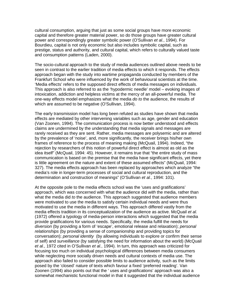cultural consumption, arguing that just as some social groups have more economic capital and therefore greater material power, so do those groups have greater cultural power and correspondingly greater symbolic power (O'Sullivan et al., 1994). For Bourdieu, capital is not only economic but also includes symbolic capital, such as prestige, status and authority, and cultural capital, which refers to culturally valued taste and consumption patterns (Laden, 2000).

The socio-cultural approach to the study of media audiences outlined above needs to be seen in contrast to the earlier tradition of media effects to which it responds. The effects approach began with the study into wartime propaganda conducted by members of the Frankfurt School who were influenced by the work of behavioural scientists at the time. 'Media effects' refers to the supposed direct effects of media messages on individuals. This approach is also referred to as the 'hypodermic needle' model – evoking images of intoxication, addiction and helpless victims at the mercy of an all-powerful media. The one-way effects model emphasizes what the media do to the audience, the results of which are assumed to be negative (O'Sullivan, 1994).

The early transmission model has long been refuted as studies have shown that media effects are mediated by other intervening variables such as age, gender and education (Van Zoonen, 1994). The communication process is now better understood and effects claims are undermined by the understanding that media signals and messages are rarely received as they are sent. Rather, media messages are polysemic and are altered by the prevalence of 'noise', and, more significantly, the receiver brings his/her own frames of reference to the process of meaning making (McQuail, 1994). Indeed, "the rejection by researchers of this notion of powerful direct effect is almost as old as the idea itself" (McQuail, 1994: 45). However, it remains true that "the entire study of mass communication is based on the premise that the media have significant effects, yet there is little agreement on the nature and extent of these assumed effects" (McQuail, 1994: 327). The media effects approach has been replaced by approaches which analyze "the media's role in longer-term processes of social and cultural reproduction, and the determination and construction of meanings" (O'Sullivan et al., 1994: 101).

At the opposite pole to the media effects school was the 'uses and gratifications' approach, which was concerned with what the audience did with the media, rather than what the media did to the audience. This approach suggested that audience members were motivated to use the media to satisfy certain individual needs and were thus motivated to use the media in different ways. This approach differed vastly from the media effects tradition in its conceptualization of the audience as active. McQuail et al. (1972) offered a typology of media-person interactions which suggested that the media provide gratifications for various needs. Specifically, the media fulfill the needs for diversion (by providing a form of 'escape', emotional release and relaxation); personal relationships (by providing a sense of companionship and providing topics for conversation); personal identity (by allowing individuals to explore or confirm their sense of self) and surveillance (by satisfying the need for information about the world) (McQuail et al., 1972 cited in O'Sullivan et al., 1994). In turn, this approach was criticized for focusing too much on individual psychological differences between media consumers while neglecting more socially driven needs and cultural contexts of media use. The approach also failed to consider possible limits to audience activity, such as the limits posed by the 'closed' nature of texts which favour a fixed 'preferred reading'. Van Zoonen (1994) also points out that the ' uses and gratifications' approach was also a somewhat mechanistic functional model in that it suggested that the individual audience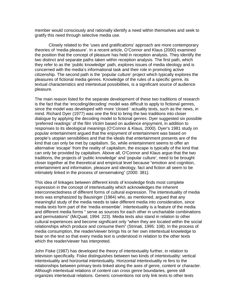member would consciously and rationally identify a need within themselves and seek to gratify this need through selective media use.

Closely related to the 'uses and gratifications' approach are more contemporary theories of 'media pleasure'. In a recent article, O'Connor and Klaus (2000) examined the position that the concept of pleasure has held in reception analysis. They identify the two distinct and separate paths taken within reception analysis. The first path, which they refer to as the 'public knowledge' path, explores issues of media ideology and is concerned with the media's informational task and their role in promoting active citizenship. The second path is the 'popular culture' project which typically explores the pleasures of fictional media genres. Knowledge of the rules of a specific genre, its textual characteristics and intertextual possibilities, is a significant source of audience pleasure.

The main reason listed for the separate development of these two traditions of research is the fact that the 'encoding/decoding' model was difficult to apply to fictional genres, since the model was developed with more 'closed ' actuality texts, such as the news, in mind. Richard Dyer (1977) was one the first to bring the two traditions into closer dialogue by applying the decoding model to fictional genres. Dyer suggested six possible 'preferred readings' of the film Victim based on audience enjoyment, in addition to responses to its ideological meanings (O'Connor & Klaus, 2000). Dyer's 1981 study on popular entertainment argued that the enjoyment of entertainment was based on people's utopian sensibilities and that the ideals that entertainment presents are of the kind that can only be met by capitalism. So, while entertainment seems to offer an alternative 'escape' from the reality of capitalism, the escape is typically of the kind that can only be provided by capitalism. Above all, O'Connor and Klaus argue that the two traditions, the projects of 'public knowledge' and 'popular culture', need to be brought closer together at the theoretical and empirical level because "emotion and cognition, entertainment and information, pleasure and ideology, fact and fiction all seem to be intimately linked in the process of sensemaking" (2000: 381).

This idea of linkages between different kinds of knowledge finds most complete expression in the concept of intertextuality which acknowledges the inherent interconnectedness of different forms of cultural expression. The intertextuality of media texts was emphasized by Bausinger (1984) who, as mentioned, argued that any meaningful study of the media needs to take different media into consideration, since media texts form part of the 'media ensemble'. Intertextuality is a feature of the media and different media forms " serve as sources for each other in unchartable combinations and permutations" (McQuail, 1994: 223). Media texts also stand in relation to other cultural experiences and become significant only "when they are located within the social relationships which produce and consume them" (Strinati, 1995: 108). In the process of media consumption, the reader/viewer brings his or her own intertextual knowledge to bear on the text so that every media text is understood in relation to the other texts which the reader/viewer has interpreted.

John Fiske (1987) has developed the theory of intertextuality further, in relation to television specifically. Fiske distinguishes between two kinds of intertextuality: vertical intertextuality and horizontal intertextuality. Horizontal intertextuality re fers to the relationships between primary texts linked along the axes of genre, content or character. Although intertextual relations of content can cross genre boundaries, genre still organizes intertextual relations. Generic conventions not only link texts to other texts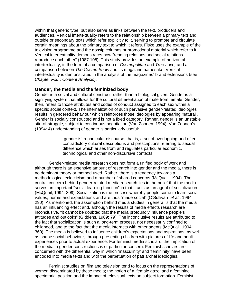within that generic type, but also serve as links between the text, producers and audiences. Vertical intertextuality refers to the relationship between a primary text and outside or secondary texts which refer explicitly to it, serving to promote and circulate certain meanings about the primary text to which it refers. Fiske uses the example of the television programme and the gossip columns or promotional material which refer to it. Vertical intertextuality demonstrates how "reading relations and social relations reproduce each other" (1987:108). This study provides an example of horizontal intertextuality, in the form of a comparison of Cosmopolitan and True Love, and a comparison between The Cosmo Show and its magazine namesake. Vertical intertextuality is demonstrated in the analysis of the magazines' brand extensions (see Chapter Four: Content Analysis).

# **Gender, the media and the feminized body**

Gender is a social and cultural construct, rather than a biological given. Gender is a signifying system that allows for the cultural differentiation of male from female. Gender, then, refers to those attributes and codes of conduct assigned to each sex within a specific social context. The internalization of such pervasive gender-related ideologies results in gendered behaviour which reinforces those ideologies by appearing 'natural'. Gender is socially constructed and is not a fixed category. Rather, gender is an unstable site-of-struggle, subject to continuous negotiation (Van Zoonen, 1994). Van Zoonen's (1994: 4) understanding of gender is particularly useful:

> [gender is] a particular discourse, that is, a set of overlapping and often contradictory cultural descriptions and prescriptions referring to sexual difference which arises from and regulates particular economic, technological and other non-discursive contexts.

 Gender-related media research does not form a unified body of work and although there is an extensive amount of research into gender and the media, there is no dominant theory or method used. Rather, there is a tendency towards a methodological eclecticism and a number of shared concerns (McQuail, 1994). The central concern behind gender-related media research lies in the belief that the media serves an important "social learning function" in that it acts as an agent of socialization (McQuail, 1994: 309). Socialization is the process whereby people come to learn social values, norms and expectations and are thus "made social" (O'Sullivan et al., 1994: 290). As mentioned, the assumption behind media studies in general is that the media has an influencing effect and, although the results of media effects research are inconclusive, "it cannot be doubted that the media profoundly influence people's attitudes and outlooks" (Giddens, 1989: 79). The inconclusive results are attributed to the fact that socialization is such a long-term process, not necessarily confined to childhood, and to the fact that the media interacts with other agents (McQuail, 1994: 360). The media is believed to influence children's expectations and aspirations, as well as shape social behaviour, through presenting children with pictures of life and adult experiences prior to actual experience. For feminist media scholars, the implication of the media in gender constructions is of particular concern. Feminist scholars are concerned with the differential way in which 'masculinity' and 'femininity' have been encoded into media texts and with the perpetuation of patriarchal ideologies.

 Feminist studies on film and television tend to focus on the representations of women disseminated by these media; the notion of a 'female gaze' and a feminine spectatorial position and the impact of televisual texts on subject formation. Feminist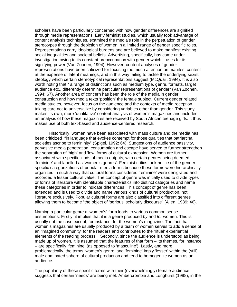scholars have been particularly concerned with how gender differences are signified through media representations. Early feminist studies, which usually took advantage of content analysis techniques, examined the media's role in the perpetuation of gender stereotypes through the depiction of women in a limited range of gender specific roles. Representations carry ideological burdens and are believed to make manifest existing social inequalities and societal beliefs. Advertising, specifically, has come under investigation owing to its constant preoccupation with gender which it uses for its signifying power (Van Zoonen, 1994). However, content analyses of gender representations have been criticized for focusing too much attention on manifest content at the expense of latent meanings, and in this way failing to tackle the underlying sexist ideology which certain stereotypical representations suggest (McQuail, 1994). It is also worth noting that " a range of distinctions such as medium type, genre, formats, target audience etc., differently determine particular representations of gender" (Van Zoonen, 1994: 67). Another area of concern has been the role of the media in gender construction and how media texts 'position' the female subject. Current gender related media studies, however, focus on the audience and the contexts of media reception, taking care not to universalize by considering variables other than gender. This study makes its own, more 'qualitative' content analysis of women's magazines and includes an analysis of how these magazin es are received by South African teenage girls. It thus makes use of both text-based and audience-centered research.

 Historically, women have been associated with mass culture and the media has been criticized "in language that evokes contempt for those qualities that patriarchal societies ascribe to femininity" (Spigel, 1992: 64). Suggestions of audience passivity, pervasive media penetration, consumption and escape have served to further strengthen the separation of 'high' and 'low' forms of cultural expression. Women are further associated with specific kinds of media outputs, with certain genres being deemed 'feminine' and labelled as 'women's genres'. Feminist critics took notice of the gender specific categorizations of popular media forms because these forms were hierarchically organized in such a way that cultural forms considered 'feminine' were denigrated and accorded a lesser cultural value. The concept of genre was initially used to divide types or forms of literature with identifiable characteristics into distinct categories and name these categories in order to indicate differences. This concept of genre has been extended and is used to divide and name various kinds of cultural production, not literature exclusively. Popular cultural forms are also classified into different genres allowing them to become "the object of 'serious' scholarly discourse" (Allen, 1989: 46).

Naming a particular genre a 'women's' form leads to various common sense assumptions. Firstly, it implies that it is a genre produced by and for women. This is usually not the case except, for instance, for the women's magazine. The fact that women's magazines are usually produced by a team of women serves to add a sense of an 'imagined community' for the readers and contributes to the 'ritual' experiential elements of the reading process. Secondly, since the audience is understood as being made up of women, it is assumed that the features of that form – its themes, for instance – are specifically 'feminine' (as opposed to 'masculine'). Lastly, and more problematically, the terms 'women's genre' and 'feminine' imply 'lesser' within the (still) male dominated sphere of cultural production and tend to homogenize women as an audience.

The popularity of these specific forms with their (overwhelmingly) female audience suggests that certain 'needs' are being met. Ambercrombie and Longhurst (1998), in the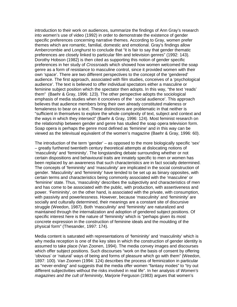introduction to their work on audiences, summarize the findings of Ann Gray's research into women's use of video (1992) in order to demonstrate the existence of gender specific preferences concerning narrative themes. According to Gray, women prefer themes which are romantic, familial, domestic and emotional. Gray's findings allow Ambercrombie and Longhurst to conclude that "it is fair to say that gender thematic preferences are closely linked to particular film and television genres" (1992: 143). Dorothy Hobson (1982) is then cited as supporting this notion of gender specific preferences in her study of Crossroads which showed how women welcomed the soap genre as a form of resistance to masculine control, since it provided women with their own 'space'. There are two different perspectives to the concept of the 'gendered' audience. The first approach, associated with film studies, conceives of a 'psychological audience'. The text is believed to offer individual spectators either a masculine or feminine subject position which the spectator then adopts. In this way, "the text 'reads' them" (Baehr & Gray, 1996: 123). The other perspective adopts the sociological emphasis of media studies when it conceives of the ' social audience'. This approach believes that audience members bring their own already constituted maleness or femaleness to bear on a text. These distinctions are problematic in that neither is "sufficient in themselves to explore the whole complexity of text, subject and context and the ways in which they intersect" (Baehr & Gray, 1996: 124). Most feminist research on the relationship between gender and genre has studied the soap opera television form. Soap opera is perhaps the genre most defined as 'feminine' and in this way can be viewed as the televisual equivalent of the women's magazine (Baehr & Gray, 1996: 60).

The introduction of the term 'gender' – as opposed to the more biologically specific 'sex' – greatly furthered twentieth century theoretical attempts at dislocating notions of 'masculinity' and 'femininity'. The longstanding debate surrounding whether or not certain dispositions and behavioural traits are innately specific to men or women has been replaced by an awareness that such characteristics are in fact socially determined. The concepts of 'femininity' and 'masculinity' are implicated in the social construction of gender. 'Masculinity' and 'femininity' have tended to be set up as binary opposites, with certain terms and characteristics being commonly associated with the 'masculine' or 'feminine' state. Thus, 'masculinity' describes the subjectivity and characteristics of men and has come to be associated with the public, with production, with assertiveness and power. 'Femininity', on the other hand, is associated with the private, with consumption, with passivity and powerlessness. However, because 'masculinity' and 'femininity' are socially and culturally determined, their meanings are a constant site of discursive struggle (Weedon, 1987). Both 'masculinity' and 'femininity' are naturalized and maintained through the internalization and adoption of gendered subject positions. Of specific interest here is the nature of 'femininity' which is "perhaps given its most concrete expression in the construction of feminine ideals and the moulding of the physical form" (Thesander, 1997: 174).

Media content is saturated with representations of 'femininity' and 'masculinity' which is why media reception is one of the key sites in which the construction of gender identity is assumed to take place (Van Zoonen, 1994). The media convey images and discourses which offer subject positions. Such discourses "work on the basis of consent by offering 'obvious' or 'natural' ways of being and forms of pleasure which go with them" (Weedon, 1897: 100). Van Zoonen (1994: 124) describes the process of feminization in particular as "never-ending" and suggests that the media offer women "fantasy modes" to "try out different subjectivities without the risks involved in real life". In her analysis of Women's magazines and the cult of femininity. Mariorie Ferguson (1983) argues that women's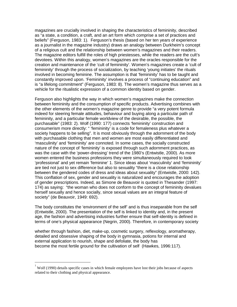magazines are crucially involved in shaping the characteristics of femininity, described as "a state, a condition, a craft, and an art form which comprise a set of practices and beliefs" (Ferguson, 1983: 1). Ferguson's thesis (based on her ten years of experience as a journalist in the magazine industry) draws an analogy between Durkheim's concept of a religious cult and the relationship between women's magazines and their readers. The magazine editors fulfill the roles of high priestesses, while the readers are the cult's devotees. Within this analogy, women's magazines are the oracles responsible for the creation and maintenance of the 'cult of femininity'. Women's magazines create a 'cult of femininity' through the process of socialization, by teaching 'young initiates' the rituals involved in becoming feminine. The assumption is that 'femininity' has to be taught and constantly improved upon. 'Femininity' involves a process of "continuing education" and is "a lifelong commitment" (Ferguson, 1983: 8). The women's magazine thus serves as a vehicle for the ritualistic expression of a common identity based on gender.

Ferguson also highlights the way in which women's magazines make the connection between femininity and the consumption of specific products. Advertising combines with the other elements of the women's magazine genre to provide "a very potent formula indeed for steering female attitudes, behaviour and buying along a particular path of femininity, and a particular female worldview of the desirable, the possible, the purchasable" (1983: 2). Wolf (1990: 177) connects 'femininity' construction and consumerism more directly: " 'femininity' is a code for femaleness plus whatever a society happens to be selling". It is most obviously through the adornment of the body with purchasable clothing that men and women are most easily differentiated and 'masculinity' and 'femininity' are connoted. In some cases, the socially constructed nature of the concept of 'femininity' is exposed through such adornment practices, as was the case with the 'power-dressing' trend of the 1980's (Entwistle, 2000). As more women entered the business professions they were simultaneously required to look 'professional' and yet remain 'feminine' 1. Since ideas about 'masculinity' and 'femininity' are tied not just to sex difference but also to sexuality "there is a close relationship between the gendered codes of dress and ideas about sexuality" (Entwistle, 2000: 142). This conflation of sex, gender and sexuality is naturalized and encourages the adoption of gender prescriptions. Indeed, as Simone de Beauvoir is quoted in Thesander (1997: 174) as saying: "the woman who does not conform to the concept of femininity devalues herself sexually and hence socially, since sexual values are an integral feature of society" (de Beauvoir, 1949: 692).

The body constitutes the 'environment of the self' and is thus inseparable from the self (Entwistle, 2000). The presentation of the self is linked to identity and, in the present age, the fashion and advertising industries further ensure that self-identity is defined in terms of one's physical appearance (Negrin, 2000). Therefore, in contemporary society

whether through fashion, diet, make-up, cosmetic surgery, reflexology, aromatherapy, detailed and obsessive shaping of the body in gymnasia, potions for internal and external application to nourish, shape and defoliate, the body has become the most fertile ground for the cultivation of self (Hawkes, 1996:117).

<u>.</u>

<sup>1</sup> Wolf (1990) details specific cases in which female employees have lost their jobs because of aspects related to their clothing and physical appearance.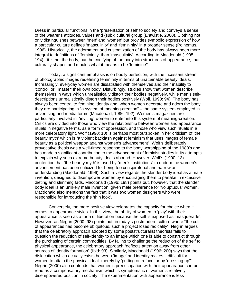Dress in particular functions in the 'presentation of self' to society and conveys a sense of the wearer's attitudes, values and (sub-) cultural group (Entwistle, 2000). Clothing not only distinguishes between 'men' and 'women' but provides symbolic expression of how a particular culture defines 'masculinity' and 'femininity' in a broader sense (Polhemus, 1996). Historically, the adornment and customization of the body has always been more integral to definitions of 'femininity' than 'masculinity'. According to Macdonald (1995: 194), "it is not the body, but the codifying of the body into structures of appearance, that culturally shapes and moulds what it means to be 'feminine'".

 Today, a significant emphasis is on bodily perfection, with the incessant stream of photographic images redefining femininity in terms of unattainable beauty ideals. Increasingly, everyday women are dissatisfied with themselves and their inability to 'control' or ' master' their own body. Disturbingly, studies show that women describe themselves in ways which unrealistically distort their bodies negatively, while men's selfdescriptions unrealistically distort their bodies positively (Wolf, 1990: 94). The body has always been central to feminine identity and, when women decorate and adorn the body, they are participating in "a system of meaning-creation" – the same system employed in advertising and media forms (Macdonald, 1996: 192). Women's magazines are particularly involved in 'inviting' women to enter into this system of meaning-creation. Critics are divided into those who view the relationship between women and appearance rituals in negative terms, as a form of oppression, and those who view such rituals in a more celebratory light. Wolf (1990: 10) is perhaps most outspoken in her criticism of 'the beauty myth' which is "a violent backlash against feminism that uses images of female beauty as a political weapon against women's advancement". Wolf's deliberately provocative thesis was a well-timed response to the body worshipping of the 1980's and has made a significant contribution to the advancement of feminist studies in its attempts to explain why such extreme beauty ideals abound. However, Wolf's (1990: 13) contention that 'the beauty myth' is used by "men's institutions" to undermine women's advancement has been criticized for being too conspiratorial and narrow an understanding (Macdonald, 1996). Such a view regards the slender body ideal as a male invention, designed to disempower women by encouraging them to partake in excessive dieting and slimming fads. Macdonald (1996: 198) points out, however, that the slender body ideal is an unlikely male invention, given male preference for 'voluptuous' women. Macdonald also mentions the fact that it was two women designers who were responsible for introducing the 'thin look'.

 Conversely, the more positive view celebrates the capacity for choice when it comes to appearance styles. In this view, the ability of women to 'play' with their appearance is seen as a form of liberation because the self is exposed as 'masquerade'. However, as Negrin (2000: 98) points out, in today's postmodern culture where "the cult of appearances has become ubiquitous, such a project loses radicality". Negrin argues that the celebratory approach adopted by some poststructuralist theorists fails to question the reduction of self-identity to an image which one is able to construct through the purchasing of certain commodities. By failing to challenge the reduction of the self to physical appearance, the celebratory approach "deflects attention away from other sources of identity formation" (Ibid: 93). Similarly, Macdonald (1996: 200) says that the dislocation which actually exists between 'image' and identity makes it difficult for women to attain the physical ideal "merely by 'putting on a face' or by 'dressing up'". Negrin (2000) also contends that women's preoccupation with their appearance can be read as a compensatory mechanism which is symptomatic of women's relatively disempowered position in society. The experimentation with appearance is less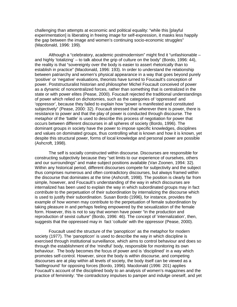challenging than attempts at economic and political equality: "while this [playful experimentation] is liberating in freeing image for self-expression, it masks less happily the gap between the image and women's continuing socio-economic struggles" (Macdonald, 1996: 199).

 Although a "celebratory, academic postmodernism" might find it "unfashionable – and highly 'totalizing' – to talk about the grip of culture on the body" (Bordo, 1996: 44), the reality is that "sovereignty over the body is easier to assert rhetorically than to establish in practice" (Macdonald, 1996: 193). In order to understand the relationship between patriarchy and women's physical appearance in a way that goes beyond purely 'positive' or 'negative' evaluations, theorists have turned to Foucault's conception of power. Poststructuralist historian and philosopher Michel Foucault conceived of power as a dynamic of noncentralized forces, rather than something that is centralized in the state or with power elites (Pease, 2000). Foucault rejected the traditional understandings of power which relied on dichotomies, such as the categories of 'oppressed' and 'oppressor', because they failed to explain how "power is manifested and constituted subjectively" (Pease, 2000: 32). Foucault stressed that wherever there is power, there is resistance to power and that the play of power is conducted through discourse. The metaphor of the 'battle' is used to describe this process of negotiation for power that occurs between different discourses in all spheres of society (Bordo, 1996). The dominant groups in society have the power to impose specific knowledges, disciplines and values on dominated groups, thus controlling what is known and how it is known, yet despite this structural power, forms of local knowledge and personal power are possible (Ashcroft, 1998).

 The self is socially constructed within discourse. Discourses are responsible for constructing subjectivity because they "set limits to our experience of ourselves, others and our surroundings" and make subject positions available (Van Zoonen, 1994: 32). Within any historical period, different discourses compete for subjectivity and the subject thus comprises numerous and often contradictory discourses, but always framed within the discourse that dominates at the time (Ashcroft, 1998). The position is clearly far from simple, however, and Foucault's understanding of the way in which discourses are internalized has been used to explain the way in which subordinated groups may in fact contribute to the perpetuation of their subordination by internalizing the discourse which is used to justify their subordination. Susan Bordo (1996), for instance, provides the example of how women may contribute to the perpetuation of female subordination by taking pleasure in and perhaps feeling empowered by the sexualization of the female form. However, this is not to say that women have power "in the production and reproduction of sexist culture" (Bordo, 1996: 46). The concept of 'internalization', then, suggests that the oppressed may in fact 'collude' with the oppressor (Pease, 2000).

 Foucault used the structure of the 'panopticon' as the metaphor for modern society (1977). The 'panopticon' is used to describe the way in which discipline is exercised through institutional surveillance, which aims to control behaviour and does so through the establishment of the 'mindful' body, responsible for monitoring its own behaviour. The body becomes the focus of power and is 'disciplined' in a way which promotes self-control. However, since the body is within discourse, and competing discourses are at play within all levels of society, the body itself can be viewed as a 'battleground' for opposing forces (Bordo, 1996). Macdonald (1996: 201) applies Foucault's account of the disciplined body to an analysis of women's magazines and the practice of femininity: "the contradictory impulses to pamper and indulge oneself, and yet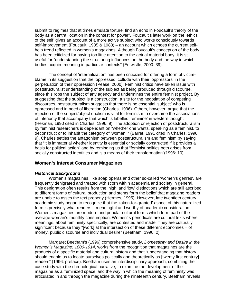submit to regimes that at times emulate torture, find an echo in Foucault's theory of the body as a central location in the contest for power". Foucault's later work on the 'ethics of the self' gives an account of a more active subject who works consciously towards self-improvement (Foucault, 1985 & 1988) – an account which echoes the current selfhelp trend reflected in women's magazines. Although Foucault's conception of the body has been criticized for paying too little attention to the actual material body, it is still useful for "understanding the structuring influences on the body and the way in which bodies acquire meaning in particular contexts" (Entwistle, 2000: 39).

 The concept of 'internalization' has been criticized for offering a form of victimblame in its suggestion that the 'oppressed' collude with their 'oppressors' in the perpetuation of their oppression (Pease, 2000). Feminist critics have taken issue with poststructuralist understanding of the subject as being produced through discourse, since this robs the subject of any agency and undermines the entire feminist project. By suggesting that the subject is a construction, a site for the negotiation of competing discourses, poststructuralism suggests that there is no essential 'subject' who is oppressed and in need of liberation (Charles, 1996). Others, however, argue that the rejection of the subject/object dualism is vital for feminism to overcome the associations of inferiority that accompany that which is labelled 'feminine' in western thought (Hekman, 1990 cited in Charles, 1996: 9). The adoption or rejection of poststructuralism by feminist researchers is dependant on "whether one wants, speaking as a feminist, to deconstruct or to inhabit the category of 'woman' " (Barret, 1991 cited in Charles, 1996: 9). Charles settles the antagonism between poststructuralism and feminism by saying that "it is immaterial whether identity is essential or socially constructed if it provides a basis for political action" and by reminding us that "feminist politics both arises from socially constructed identities and is a means of their transformation"(1996: 10).

# **Women's Interest Consumer Magazines**

#### **Historical Background**

Women's magazines, like soap operas and other so-called 'women's genres', are frequently denigrated and treated with scorn within academia and society in general. This denigration often results from the 'high' and 'low' distinctions which are still ascribed to different forms of cultural production and stems form the belief that magazine readers are unable to asses the text properly (Hermes, 1995). However, late twentieth century academic study began to recognize that the 'taken-for-granted' aspect of this naturalized form is precisely what renders it meaningful and worthy of academic consideration. Women's magazines are modern and popular cultural forms which form part of the average woman's monthly consumption. Women' s periodicals are cultural texts where meanings, about femininity specifically, are contested and made. They are culturally significant because they "[work] at the intersection of these different economies – of money, public discourse and individual desire" (Beetham, 1996: 2).

 Margaret Beetham's (1996) comprehensive study, Domesticity and Desire in the Women's Magazine: 1800-1914, works from the recognition that magazines are the products of a specific material and cultural history and that "understanding that history should enable us to locate ourselves politically and theoretically as [twenty first century] readers" (1996: preface). Beetham uses an interdisciplinary approach, combining the case study with the chronological narrative, to examine the development of the magazine as a 'feminized space' and the way in which the meaning of femininity was articulated in and through the magazine during the nineteenth century. Beetham reveals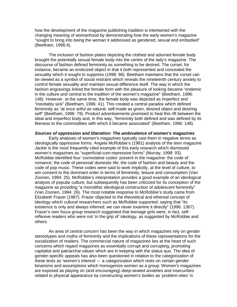how the development of the magazine publishing tradition is intertwined with the changing meaning of womanhood by demonstrating how the early women's magazine "sought to bring into being the woman it addressed as gendered, sexual and embodied" (Beetham, 1996:4).

 The inclusion of fashion plates depicting the clothed and adorned female body brought the potentially sexual female body into the centre of the lady's magazine. The discourse of fashion defined femininity as something to be desired. The corset, for instance, became an eroticized object in that it both represented and concealed the sexuality which it sought to suppress (1996: 86). Beetham maintains that the corset can be viewed as a symbol of social restraint which reveals the nineteenth century anxiety to control female sexuality and maintain sexual difference itself. The way in which the fashion engravings linked the female form with the pleasure of looking became "endemic in the culture and central to the tradition of the women's magazine" (Beetham, 1996: 148). However, at the same time, the female body was depicted as imperfect and "inevitably sick" (Beetham, 1996: 41). This created a central paradox which defined femininity as "at once artful as natural, self-made as given, desired object and desiring self" (Beetham, 1996: 79). Product advertisements promised to heal this rift between the ideal and imperfect body and, in this way, "femininity both defined and was defined by its likeness to the commodities with which it became associated" (Beetham, 1996: 148).

#### **Sources of oppression and liberation: The ambivalence of women's magazines**

Early analyses of women's magazines typically cast them in negative terms as ideologically oppressive forms. Angela McRobbie's (1981) analysis of the teen magazine Jackie is the most frequently cited example of this early research which dismissed women's magazines as "superficial-cum-repressive forms" (Murray, 1998: 93). McRobbie identified four 'connotative codes' present in the magazine: the code of romance; the code of personal/ domestic life; the code of fashion and beauty and the code of pop music. These codes were said to work implicitly, at the level of culture, to win consent to the dominant order in terms of femininity, leisure and consumption (Van Zoonen, 1994: 25). McRobbie's interpretation provides a good example of an ideological analysis of popular culture, but subsequently has been criticized for its conception of the magazine as providing "a monolithic ideological construction of adolescent femininity" (Van Zoonen, 1994: 26). The most notable response to McRobbie's study came from Elizabeth Frazer (1987). Frazer objected to the theoretical and ethereal concept of ideology which cultural researchers such as McRobbie supported, saying that "its existence is only and always inferred; we can never examine it directly" (1996: 1367). Frazer's own focus group research suggested that teenage girls were, in fact, selfreflexive readers who were not 'in the grip of' ideology, as suggested by McRobbie and others.

 An area of central concern has been the way in which magazines rely on gender stereotypes and myths of femininity and the implications of these representations for the socialization of readers. The commercial nature of magazines lies at the heart of such concerns which regard magazines as essentially corrupt and corrupting, promoting capitalist and patriarchal values which are in keeping with the status quo. The idea of gender-specific appeals has also been questioned in relation to the categorization of these texts as 'women's interest' – a categorization which rests on certain gender binarisms and assumptions which homogenize women as a group. Women's magazines are exposed as playing on (and encouraging) deep-seated anxieties and insecurities related to physical appearance by constructing women's bodies as 'problem-sites' in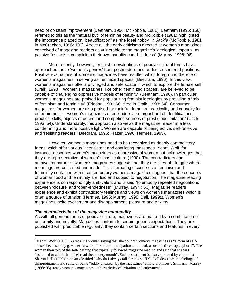need of constant improvement (Beetham, 1996; McRobbie, 1981). Beetham (1996: 150) referred to this as the "natural but" of feminine beauty and McRobbie (1981) highlighted the importance placed on "beautification" as "the ideal hobby" in *Jackie* (McRobbie, 1981 in McCracken, 1996: 100). Above all, the early criticisms directed at women's magazines conceived of magazine readers as vulnerable to the magazine's ideological impetus, as passive "escapists complicit in their own banality-cum-blindness" (Murray, 1998: 96).

 More recently, however, feminist re-evaluations of popular cultural forms have approached these 'women's genres' from postmodern and audience-centered positions. Positive evaluations of women's magazines have resulted which foreground the role of women's magazines in serving as 'feminized spaces' (Beetham, 1996). In this view, women's magazines offer a privileged and safe space in which to explore the female self (Craik, 1993). Women's magazines, like other 'feminized spaces', are believed to be capable of challenging oppressive models of femininity (Beetham, 1996). In particular, women's magazines are praised for popularizing feminist ideologies by providing a "mix of feminism and femininity" (Friedan, 1991:66, cited in Craik, 1993: 54). Consumer magazines for women are also praised for their fundamental practicality and capacity for entertainment - "women's magazines offer readers a smorgasbord of identifications, practical skills, objects of desire, and competing sources of prestigious imitation" (Craik, 1993: 54). Understandably, this approach also views the magazine reader in a less condemning and more positive light. Women are capable of being active, self-reflexive and 'resisting readers' (Beetham, 1996; Frazer, 1996; Hermes, 1995).

 However, women's magazines need to be recognized as deeply contradictory forms which offer various inconsistent and conflicting messages. Naomi Wolf, for instance, describes women's magazines as oppressive of women but acknowledges that they are representative of women's mass culture (1990). The contradictory and ambivalent nature of women's magazines suggests that they are sites-of-struggle where meanings are contested and made. The alternating discourses of feminism and femininity contained within contemporary women's magazines suggest that the concepts of womanhood and femininity are fluid and subject to negotiation. The magazine reading experience is correspondingly ambivalent and is said "to embody repeated negotiations between 'closure' and 'open-endedness'" (Murray, 1994 : 66). Magazine readers experience and exhibit contradictory feelings and views on women's magazines which is often a source of tension (Hermes, 1995; Murray, 1998; Dell, 1999)2. Women's magazines incite excitement and disappointment, pleasure and anxiety.

#### **The characteristics of the magazine commodity**

<u>.</u>

As with all generic forms of popular culture, magazines are marked by a combination of uniformity and novelty. Magazines conform to certain generic expectations. They are published with predictable regularity, they contain certain sections and features in every

<sup>2</sup> Naomi Wolf (1990: 62) recalls a woman saying that she bought women's magazines as "a form of selfabuse" because they gave her "a weird mixture of anticipation and dread, a sort of stirred-up euphoria". The woman then told of the self-loathing that typically followed magazine reading and said that she was "ashamed to admit that [she] read them every month". Such a sentiment is also expressed by columnist Sharon Dell (1999) in an article titled "why do I always fall for this stuff?". Dell describes the feelings of disappointment and sense of being "oddly cheated" by the magazines "empty promises". Similarly, Murray (1998: 95) reads women's magazines with "varieties of irritation and enjoyment".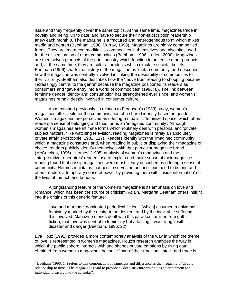issue and they frequently cover the same topics. At the same time, magazines trade in novelty and being 'up to date' and have to secure their non-subscription readership anew each month 3. The magazine is a fractured and heterogeneous form which mixes media and genres (Beetham, 1996; Murray, 1998). Magazines are highly commodified forms. They are 'meta-commodities' – commodities in themselves and also sites used for the dissemination of other commodities (Beetham, 1996; Laden, 2000). Magazines are themselves products of the print industry which function to advertise other products and, at the same time, they are cultural products which circulate societal beliefs. Beetham (1996) charts the history of the magazine as 'meta-commodity' and describes how the magazine was centrally involved in linking the desirability of commodities to their visibility. Beetham also describes how the "move from reading to shopping became increasingly central to the genre" because the magazine positioned its readers as consumers and "gave entry into a world of commodities" (1996: 8). The link between feminine gender identity and consumption has strengthened ever since, and women's magazines remain deeply involved in consumer culture.

 As mentioned previously, in relation to Ferguson's (1983) study, women's magazines offer a site for the communication of a shared identity based on gender. Women's magazines are perceived as offering a ritualistic 'feminized space' which offers readers a sense of belonging and thus forms an 'imagined community'. Although women's magazines are intimate forms which routinely deal with personal and 'private' subject matters, "like watching television, reading magazines is rarely an absolutely private affair" (McRobbie, 1981: 117). Readers identify with the 'imagined community' which a magazine constructs and, when reading in public or displaying their magazine of choice, readers publicly identify themselves with that particular magazine brand (McCracken, 1996). Hermes' (1995) analysis of women's magazines and the 'interpretative repertoires' readers use to explain and make sense of their magazine reading found that gossip magazines were most clearly described as offering a sense of community. Hermes maintains that gossip serves an unconscious need to belong and offers readers a temporary sense of power by providing them with 'inside information' on the lives of the rich and famous.

 A longstanding feature of the women's magazine is its emphasis on love and romance, which has been the source of criticism. Again, Margaret Beetham offers insight into the origins of this generic feature:

 'love and marriage' dominated periodical fiction…[which] assumed a universal femininity marked by the desire to be desired, and by the inevitable suffering this involved. Magazine stories dealt with this paradox, familiar from gothic fiction, that love was central to femininity but attaining it was fraught with disaster and danger (Beetham, 1996: 22).

Eva Illouz (1991) provides a more contemporary analysis of the way in which the theme of love is represented in women's magazines. Illouz's research analyzes the way in which the public sphere interacts with and shapes private emotions by using data obtained from women's magazines because "part of their traditional stock and trade is

<u>.</u>

<sup>3</sup> Beetham (1996: 14) refers to this combination of sameness and difference as the magazine's "double relationship to time". The magazine is said to provide a "deep structure which ties entertainment and individual pleasure into the calendar".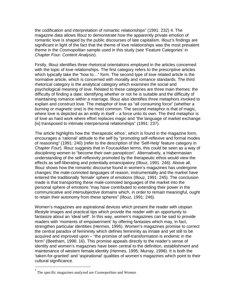the codification and interpretation of romantic relationships" (1991: 232) 4. The magazine data allows Illouz to demonstrate how the apparently private emotion of romantic love is shaped by the public discourses of late capitalism. Illouz's findings are significant in light of the fact that the theme of love relationships was the most prevalent theme in the Cosmopolitan sample used in this study (see 'Feature Categories' in Chapter Four: Content Analysis).

Firstly, Illouz identifies three rhetorical orientations employed in the articles concerned with the topic of love relationships. The first category refers to the prescriptive articles which typically take the "how to…" form. The second type of love related article is the normative article, which is concerned with morality and romance standards. The third rhetorical category is the analytical category which examines the social and psychological meaning of love. Related to these categories are three main themes: the difficulty of finding a date; identifying whether or not he is suitable and the difficulty of maintaining romance within a marriage. Illouz also identifies three metaphors invoked to explain and construct love. The metaphor of love as "all consuming force" (whether a burning or magnetic one) is the most common. The second metaphor is that of magic, where love is depicted as an entity in itself – a force unto its own. The third metaphor is of love as hard work where effort replaces magic and "the language of market exchange [is] transposed to intimate interpersonal relationships" (1991: 237).

The article highlights how the 'therapeutic ethos', which is found in the magazine form, encourages a 'rational' attitude to the self by "promoting self-reflexive and formal modes of reasoning" (1991: 240) (refer to the description of the 'Self-Help' feature category in Chapter Four). Illouz suggests that in Foucauldian terms, this could be seen as a way of disciplining women to "become their own panopticon". Alternatively, a Habermasian understanding of the self-reflexivity promoted by the therapeutic ethos would view the effects as self-liberating and potentially emancipatory (Illouz, 1991: 246). Above all, Illouz shows how the romantic discourse found in women's magazines has undergone changes: the male-connoted languages of reason, instrumentality and the market have entered the traditionally 'female' sphere of emotions (Illouz, 1991: 245). The conclusion made is that transporting these male-connoted languages of the market into the personal sphere of emotions "may have contributed to extending their power in the communicative and intersubjective domains which, in order to remain meaningful, ought to retain their autonomy from these spheres" (Illouz, 1991: 246).

Women's magazines are aspirational devices which present the reader with utopian lifestyle images and practical tips which provide the reader with an opportunity to fantasize about an 'ideal self'. In this way, women's magazines can be said to provide readers with 'moments of empowerment' by offering fantasies which may, in fact, strengthen particular identities (Hermes, 1995). Women's magazines promise to correct the central paradox of femininity which defines femininity as innate and yet still to be acquired and improved upon – "the promise of self-transformation is endemic in the form" (Beetham, 1996: 16). This promise appeals directly to the reader's sense of identity and women's magazines have been central to the definition, establishment and maintenance of western female identity (Hermes, 1995; Murray, 1998). It is both the 'taken-for-granted' and 'aspirational' qualities of women's magazines which point to their cultural significance.

<u>.</u>

<sup>4</sup> The specific magazines analyzed are *Cosmopolitan* and *Woman*.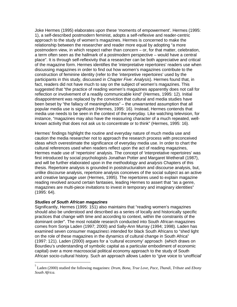Joke Hermes (1995) elaborates upon these 'moments of empowerment'. Hermes (1995: 1), a self-described postmodern feminist, adopts a self-reflexive and reader-centric approach to the study of women's magazines. Hermes is concerned to make the relationship between the researcher and reader more equal by adopting "a more postmodern view, in which respect rather than concern – or, for that matter, celebration, a term often seen as the hallmark of a postmodern perspective – would have a central place". It is through self-reflexivity that a researcher can be both appreciative and critical of the magazine form. Hermes identifies the 'interpretative repertoires' readers use when discussing magazines in order to find out how women's magazines contribute to the construction of feminine identity (refer to the 'interpretive repertoires' used by the participants in this study, discussed in *Chapter Five: Analysis*). Hermes found that, in fact, readers did not have much to say on the subject of women's magazines. This suggested that "the practice of reading women's magazines apparently does not call for reflection or involvement of a readily communicable kind" (Hermes, 1995: 12). Initial disappointment was replaced by the conviction that cultural and media studies have been beset by "the fallacy of meaningfulness" – the unwarranted assumption that all popular media use is significant (Hermes, 1995: 16). Instead, Hermes contends that media use needs to be seen in the context of the everyday. Like watching television, for instance, "magazines may also have the reassuring character of a much repeated, wellknown activity that does not ask us to concentrate or to think" (Hermes, 1995: 16).

Hermes' findings highlight the routine and everyday nature of much media use and caution the media researcher not to approach the research process with preconceived ideas which overestimate the significance of everyday media use. In order to chart the cultural references used when readers reflect upon the act of reading magazines, Hermes made use of 'repertoire' analysis. The concept of 'interpretative repertoires' was first introduced by social psychologists Jonathan Potter and Margaret Wetherall (1987), and will be further elaborated upon in the *methodology* and *analysis* Chapters of this thesis. Repertoire analysis is grounded in poststructuralism and discourse analysis, but, unlike discourse analysis, repertoire analysis conceives of the social subject as an active and creative language user (Hermes, 1995). The repertoires used to explain magazine reading revolved around certain fantasies, leading Hermes to assert that "as a genre, magazines are multi-piece invitations to invest in temporary and imaginary identities" (1995: 64).

# **Studies of South African magazines**

Significantly, Hermes (1995: 151) also maintains that "reading women's magazines should also be understood and described as a series of locally and historically specific practices that change with time and according to context, within the constraints of the dominant order". The most notable research conducted into South African magazines comes from Sonja Laden (1997; 2000) and Sally-Ann Murray (1994; 1998). Laden has examined seven consumer magazines<sub>5</sub> intended for black South Africans to "shed light on the role of these magazines in the dynamics of cultural change in South Africa" (1997: 121). Laden (2000) argues for a 'cultural economy' approach (which draws on Bourdieu's understanding of symbolic capital as a particular embodiment of economic capital) over a more macrosocial political economy approach to the study of South African socio-cultural history. Such an approach allows Laden to "give voice to 'unofficial'

 5 Laden (2000) studied the following magazines: *Drum, Bona, True Love, Pace, Thandi, Tribute* and *Ebony South Africa.*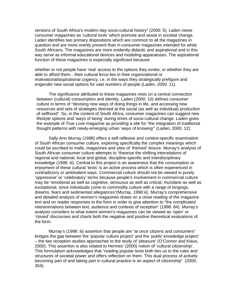versions of South Africa's modern-day socio-cultural history" (2000: 5). Laden views consumer magazines as 'cultural tools' which promote and assist in societal change. Laden identifies two primary dispositions which are common to all the magazines in question and are more overtly present than in consumer magazines intended for white South Africans. The magazines are more evidently didactic and aspirational and in this way serve as informal educational devices and modeling-apparatuses. The aspirational function of these magazines is especially significant because:

whether or not people have 'real' access to the options they evoke, or whether they are able to afford them…their cultural force lies in their organizational or motivational/aspirational cogency, i.e. in the ways they strategically prefigure and engender new social options for vast numbers of people (Laden, 2000: 11).

 The significance attributed to these magazines rests on a central connection between (cultural) consumption and identity. Laden (2000: 10) defines consumer culture in terms of "devising new ways of doing things in life, and accessing new resources and sets of strategies directed at the social (as well as individual) production of selfhood". So, in the context of South Africa, consumer magazines can suggest new lifestyle options and 'ways of being' during times of socio-cultural change. Laden gives the example of True Love magazine as providing a site for "the integration of traditional thought patterns with newly-emerging urban 'ways of knowing'" (Laden, 2000: 12).

 Sally-Ann Murray (1998) offers a self-reflexive and context-specific examination of South African consumer culture, exploring specifically the complex meanings which could be ascribed to malls, magazines and sites of 'themed' leisure. Murray's analysis of South African consumer culture attempts to "theorize the shifting interrelations of regional and national, local and global, discipline-specific and interdisciplinary knowledge (1998: iii). Central to this project is an awareness that the consumption or enjoyment of these cultural 'texts' is an active process which is often experienced in contradictory or ambivalent ways. Commercial culture should not be viewed in purely 'oppressive' or 'celebratory' terms because people's involvement in commercial culture may be "emotional as well as cognitive, sensuous as well as critical, mundane as well as exceptional, since individuals come to commodity culture with a range of longings, dreams, fears and sedimented allegiances"(Murray, 1998:iii). Murray's comprehensive and detailed analysis of women's magazines draws on a close reading of the magazine text and on reader responses to the form in order to give attention to "the complicated interanimations between text, audience and contexts of reception" (1998: 84). Murray's analysis considers to what extent women's magazines can be viewed as 'open' or 'closed' discourses and charts both the negative and positive theoretical evaluations of the form.

 Murray's (1998: iii) assertion that people are "at once citizens and consumers" bridges the gap between the 'popular culture project' and the 'public knowledge project' – the two reception studies approaches to the study of 'pleasure' (O'Connor and Klaus, 2000). This assertion is also related to Hermes' (2000) notion of 'cultural citizenship'. This formulation acknowledges that "reading popular texts both ties us to the rules and structures of societal power and offers reflection on them. This dual process of actively becoming part of and taking part in cultural practice is an aspect of citizenship" (2000; 354).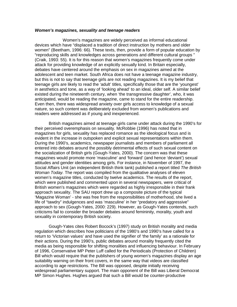#### **Women's magazines, sexuality and teenage readers**

Women's magazines are widely perceived as informal educational devices which have "displaced a tradition of direct instruction by mothers and older women" (Beetham, 1996: 66). These texts, then, provide a form of popular education by "reproducing skills and knowledges across generations and different cultural groups " (Craik, 1993: 55). It is for this reason that women's magazines frequently come under attack for providing knowledge of an explicitly sexually kind. In Britain especially, debates have centered around the emphasis on sex in magazines aimed at the adolescent and teen market. South Africa does not have a teenage magazine industry, but this is not to say that teenage girls are not reading magazines. It is my belief that teenage girls are likely to read the 'adult' titles, specifically those that are the 'youngest' in aesthetics and tone, as a way of 'looking ahead' to an ideal, older self. A similar belief existed during the nineteenth century, when 'the transgressive daughter', who, it was anticipated, would be reading the magazine, came to stand for the entire readership. Even then, there was widespread anxiety over girls access to knowledge of a sexual nature, so such content was deliberately excluded from women's publications and readers were addressed as if young and inexperienced.

 British magazines aimed at teenage girls came under attack during the 1990's for their perceived overemphasis on sexuality. McRobbie (1996) has noted that in magazines for girls, sexuality has replaced romance as the ideological focus and is evident in the increase in outspoken and explicit sexual representations within them. During the 1990's, academics, newspaper journalists and members of parliament all entered into debates around the possibly detrimental effects of such sexual content on the socialization of British girls (Gough-Yates, 2000). The concern was that these magazines would promote more 'masculine' and 'forward' (and hence 'deviant') sexual attitudes and gender identities among girls. For instance, in November of 1997, the Social Affairs Unit (an independent British think tank) published a report titled The British Woman Today. The report was compiled from the qualitative analyses of eleven women's magazine titles, conducted by twelve academics. The results of the report, which were published and commented upon in several newspapers, were critical of British women's magazines which were regarded as highly irresponsible in their frank approach sexuality. The SAU report drew up a composite picture of the typical 'Magazine Woman' - she was free from the responsibilities of motherhood, she lived a life of "tawdry" indulgences and was 'masculine' in her "predatory and aggressive" approach to sex (Gough-Yates, 2000: 229). However, as Gough-Yates contends, such criticisms fail to consider the broader debates around femininity, morality, youth and sexuality in contemporary British society.

 Gough-Yates cites Robert Bocock's (1997) study on British morality and media regulation which describes how politicians of the 1980's and 1990's have called for a return to 'Victorian values' and have used the signifier of 'the family' as a rationale for their actions. During the 1990's, public debates around morality frequently cited the media as being responsible for shifting moralities and influencing behaviour. In February of 1996, Conservative MP Peter Luff called for the Periodicals (Protection of Children) Bill which would require that the publishers of young women's magazines display an age suitability warning on their front covers, in the same way that videos are classified according to age restrictions. The Bill was opposed, despite initially receiving widespread parliamentary support. The main opponent of the Bill was Liberal Democrat MP Simon Hughes. Hughes argued that such a Bill would be counter-productive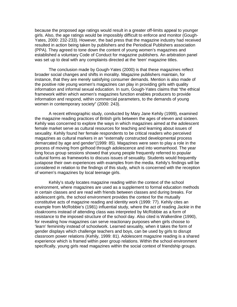because the proposed age ratings would result in a greater off-limits appeal to younger girls. Also, the age ratings would be impossibly difficult to enforce and monitor (Gough-Yates, 2000: 232-233). However, the bad press that the magazine industry had received resulted in action being taken by publishers and the Periodical Publishers association (PPA). They agreed to tone down the content of young women's magazines and established a voluntary Code of Conduct for magazine publishers. An arbitration panel was set up to deal with any complaints directed at the 'teen' magazine titles.

 The conclusion made by Gough-Yates (2000) is that these magazines reflect broader social changes and shifts in morality. Magazine publishers maintain, for instance, that they are merely satisfying consumer demands. Mention is also made of the positive role young women's magazines can play in providing girls with quality information and informal sexual education. In sum, Gough-Yates claims that "the ethical framework within which women's magazines function enables producers to provide information and respond, within commercial parameters, to the demands of young women in contemporary society" (2000: 243).

 A recent ethnographic study, conducted by Mary Jane Kehily (1999), examined the magazine reading practices of British girls between the ages of eleven and sixteen. Kehily was concerned to explore the ways in which magazines aimed at the adolescent female market serve as cultural resources for teaching and learning about issues of sexuality. Kehily found her female respondents to be critical readers who perceived magazines as cultural markers in an "externally constructed developmental process demarcated by age and gender"(1999: 85). Magazines were seen to play a role in the process of moving from girlhood through adolescence and into womanhood. The year long focus group sessions showed that young people frequently referred to popular cultural forms as frameworks to discuss issues of sexuality. Students would frequently juxtapose their own experiences with examples from the media. Kehily's findings will be considered in relation to the findings of this study, which is concerned with the reception of women's magazines by local teenage girls.

 Kehily's study locates magazine reading within the context of the school environment, where magazines are used as a supplement to formal education methods in certain classes and are read with friends between classes and during breaks. For adolescent girls, the school environment provides the context for the mutually constitutive acts of magazine reading and identity work (1999: 77). Kehily cites an example from McRobbie's (1981) influential study, where the act of reading Jackie in the cloakrooms instead of attending class was interpreted by McRobbie as a form of resistance to the imposed structure of the school day. Also cited is Walkerdine (1990), for revealing how magazines can serve reactionary purposes when girls choose to 'learn' femininity instead of schoolwork. Learned sexuality, when it takes the form of gender displays which challenge teachers and boys, can be used by girls to disrupt classroom power relations (Kehily, 1999: 81). Adolescent magazine reading is a shared experience which is framed within peer group relations. Within the school environment specifically, young girls read magazines within the social context of friendship groups.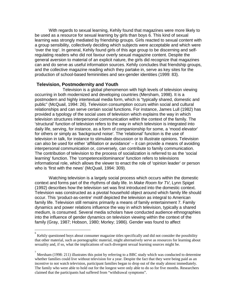With regards to sexual learning, Kehily found that magazines were more likely to be used as a resource for sexual learning by girls than boys 6. This kind of sexual learning was strongly mediated by friendship groups. Girls reacted to sexual content with a group sensibility, collectively deciding which subjects were acceptable and which were 'over the top'. In general, Kehily found girls of this age group to be discerning and selfregulating readers who did not favour overly sexual magazine content. Despite the general aversion to material of an explicit nature, the girls did recognize that magazines can and do serve as useful information sources. Kehily concludes that friendship groups, and the collective magazine reading which they partake in, serve as key sites for the production of school-based femininities and sex-gender identities (1999: 83).

# **Television, Postmodernity and Youth**

<u>.</u>

Television is a global phenomenon with high levels of television viewing occurring in both modernized and developing countries (Mersham, 1998). It is a postmodern and highly intertextual media form, which is "typically shared, domestic and public" (McQuail, 1994: 26). Television consumption occurs within social and cultural relationships and can serve certain social functions. For instance, James Lull (1982) has provided a typology of the social uses of television which explains the way in which television structures interpersonal communication within the context of the family. The 'structural' function of television refers to the way in which television is integrated into daily life, serving, for instance, as a form of companionship for some, a 'mood elevator' for others or simply as 'background noise'. The 'relational' function is the use of television in talk, for instance to stimulate discussion or to illustrate opinions. Television can also be used for either 'affiliation or avoidance' – it can provide a means of avoiding interpersonal communication or, conversely, can contribute to family communication. The contribution of television to the process of socialization is referred to as the 'social learning' function. The 'competence/dominance' function refers to televisions informational role, which allows the viewer to enact the role of 'opinion leader' or person who is 'first with the news' (McQuail, 1994: 309).

 Watching television is a largely social process which occurs within the domestic context and forms part of the rhythms of daily life. In Make Room for TV, Lynn Spigel (1992) describes how the television set was first introduced into the domestic context. Television was constructed as a pivotal household object around which family life should occur. This 'product-as-centre' motif depicted the television as integral to American family life. Television still remains primarily a means of family entertainment 7. Family dynamics and power relations influence the way in which television, typically a shared medium, is consumed. Several media scholars have conducted audience ethnographies into the influence of gender dynamics on television viewing within the context of the family (Gray, 1987; Hobson, 1980; Morley; 1986). Gender was found to affect

<sup>6</sup> Kehily questioned boys about consumer magazine titles specifically and did not consider the possibility that other material, such as pornographic material, might alternatively serve as resources for learning about sexuality and, if so, what the implications of such divergent sexual learning sources might be.

 $^7$  Mersham (1998: 211) illustrates this point by referring to a BBC study which was conducted to determine whether families could live without television for a year. Despite the fact that they were being paid as an incentive to not watch television, participant families began to drop out of the study almost immediately. The family who were able to hold out for the longest were only able to do so for five months. Researchers claimed that the participants had suffered from "withdrawal symptoms".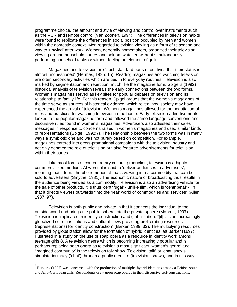programme choice, the amount and style of viewing and control over instruments such as the VCR and remote control (Van Zoonen, 1994). The differences in television habits were found to replicate the differences in social position occupied by men and women within the domestic context. Men regarded television viewing as a form of relaxation and way to 'unwind' after work. Women, generally homemakers, organized their television viewing around household chores and seldom watched without simultaneously performing household tasks or without feeling an element of guilt.

 Magazines and television are "such standard parts of our lives that their status is almost unquestioned" (Hermes, 1995: 15). Reading magazines and watching television are often secondary activities which are tied in to everyday routines. Television is also marked by segmentation and repetition, much like the magazine form. Spigel's (1992) historical analysis of television reveals the early connections between the two forms. Women's magazines served as key sites for popular debates on television and its relationship to family life. For this reason, Spigel argues that the women's magazines of the time serve as sources of historical evidence, which reveal how society may have experienced the arrival of television. Women's magazines allowed for the negotiation of rules and practices for watching television in the home. Early television advertisements looked to the popular magazine form and followed the same language conventions and discursive rules found in women's magazines. Advertisers also adjusted their sales messages in response to concerns raised in women's magazines and used similar kinds of representations (Spigel, 1992:7). The relationship between the two forms was in many ways a symbiotic one and was not purely based on competition. For example, magazines entered into cross-promotional campaigns with the television industry and not only debated the role of television but also featured advertisements for television within their pages.

 Like most forms of contemporary cultural production, television is a highly commercialized medium. At worst, it is said to 'deliver audiences to advertisers', meaning that it turns the phenomenon of mass viewing into a commodity that can be sold to advertisers (Smythe, 1981). The economic nature of broadcasting thus results in the audience being viewed as a commodity. Television is also an advertising vehicle for the sale of other products. It is thus 'centrifugal' - unlike film, which is 'centripetal' -. in that it directs viewers outwards "into the 'real' world of commodities and services" (Allen, 1987: 97).

 Television is both public and private in that it connects the individual to the outside world and brings the public sphere into the private sphere (Moores, 1997). Television is implicated in identity construction and globalization: "[it]…is an increasingly globalized set of institutions and cultural flows providing proliferating resources (representations) for identity construction" (Barker, 1999: 33). The multiplying resources provided by globalization allow for the formation of hybrid identities, as Barker (1997) illustrated in a study on the use of soap opera as a resource in identity work among teenage girls 8. A television genre which is becoming increasingly popular and is perhaps replacing soap opera as television's most significant 'women's genre' and 'imagined community' is the television talk show. Television 'talk' or 'chat' shows simulate intimacy ('chat') through a public medium (television 'show'), and in this way

<sup>&</sup>lt;sup>8</sup><br>Barker's (1997) was concerned with the production of multiple, hybrid identities amongst British Asian and Afro-Caribbean girls. Respondents drew upon soap operas in their discursive self-constructions.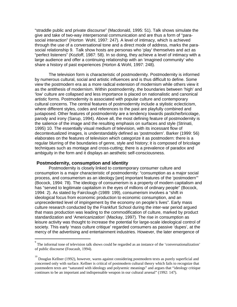"straddle public and private discourse" (Macdonald, 1995: 51). Talk shows simulate the give and take of two-way interpersonal communication and are thus a form of "parasocial interaction" (Horton Wohl, 1997: 247). A level of intimacy, which is achieved through the use of a conversational tone and a direct mode of address, marks the parasocial relationship 9. Talk show hosts are personas who 'play' themselves and act as "perfect listeners" (Kozloff, 1987: 58). In so doing, they achieve a level of intimacy with a large audience and offer a continuing relationship with an 'imagined community' who share a history of past experiences (Horton & Wohl, 1997: 248).

 The television form is characteristic of postmodernity. Postmodernity is informed by numerous cultural, social and artistic influences and is thus difficult to define. Some view the postmodern era as a more radical extension of modernism while others view it as the antithesis of modernism. Within postmodernity, the boundaries between 'high' and 'low' culture are collapsed and less importance is placed on nationalistic and canonical artistic forms. Postmodernity is associated with popular culture and contemporary cultural concerns. The central features of postmodernity include a stylistic eclecticism, where different styles, codes and references to the past are playfully combined and juxtaposed. Other features of postmodernity are a tendency towards pastiche/bricolage, parody and irony (Sarup, 1994). Above all, the most defining feature of postmodernity is the salience of the image and the resulting emphasis on surfaces and style (Strinati, 1995) 10. The essentially visual medium of television, with its incessant flow of decontextualized images, is understandably defined as 'postmodern'. Barker (1999: 56) elaborates on the features of television which categorize it as postmodern: there is a regular blurring of the boundaries of genre, style and history; it is composed of bricolage techniques such as montage and cross-cutting; there is a prevalence of paradox and ambiguity in the form and it displays an aesthetic self-consciousness.

# **Postmodernity, consumption and identity**

Postmodernity is closely linked to contemporary consumer culture and consumption is a major characteristic of postmodernity: "consumption as a major social process, and consumerism as an ideology [are] important features of the 'postmodern'" (Bocock, 1994: 78). The ideology of consumerism is a property of modern capitalism and has "served to legitimate capitalism in the eyes of millions of ordinary people" (Bocock, 1994: 2). As stated by Fairclough (1989: 199), consumerism involves a "shift in ideological focus from economic production to economic consumption, and an unprecedented level of impingement by the economy on people's lives". Early mass culture research conducted by the Frankfurt School during the inter-war period argued that mass production was leading to the commodification of culture, marked by product standardization and 'Americanization' (Mackay, 1997). The rise in consumption as leisure activity was thought to increase the potential for large-scale ideological control of society. This early 'mass culture critique' regarded consumers as passive 'dupes', at the mercy of the advertising and entertainment industries. However, the later emergence of

<sup>&</sup>lt;sup>9</sup><br>The informal tone of television talk shows could be regarded as an instance of the 'conversationalization' of public discourse (Foucault, 1994).

<sup>&</sup>lt;sup>10</sup> Douglas Kellner (1992), however, warns against considering postmodern texts as purely superficial and concerned only with surface. Kellner is critical of postmodern cultural theory which fails to recognize that postmodern texts are "saturated with ideology and polysemic meanings" and argues that "ideology critique continues to be an important and indispensable weapon in our cultural arsenal" (1992: 147).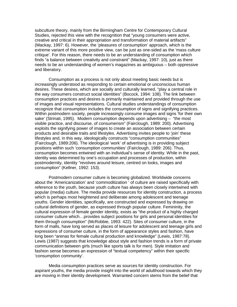subculture theory, mainly from the Birmingham Centre for Contemporary Cultural Studies, rejected this view with the recognition that "young consumers were active, creative and critical in their appropriation and transformation of material artifacts" (Mackay, 1997: 6). However, the 'pleasures of consumption' approach, which is the extreme variant of this more positive view, can be just as one-sided as the 'mass culture critique'. For this reason, there needs to be an understanding of consumption which finds "a balance between creativity and constraint" (Mackay, 1997: 10), just as there needs to be an understanding of women's magazines as ambiguous – both oppressive and liberatory.

 Consumption as a process is not only about meeting basic needs but is increasingly understood as responding to certain emotional or unconscious human desires. These desires, which are socially and culturally learned, "play a central role in the way consumers construct social identities" (Bocock, 1994: 108). The link between consumption practices and desires is primarily maintained and provided through the use of images and visual representations. Cultural studies understandings of consumption recognize that consumption includes the consumption of signs and signifying practices. Within postmodern society, people increasingly consume images and signs 'for their own sake' (Strinati, 1995). Modern consumption depends upon advertising – "the most visible practice, and discourse, of consumerism" (Fairclough, 1989: 200). Advertising exploits the signifying power of images to create an association between certain products and desirable traits and lifestyles. Advertising invites people to 'join' these lifestyles and, in this way, ideologically constructs "consumption communities" (Fairclough, 1989:206). The ideological 'work' of advertising is in providing subject positions within such 'consumption communities' (Fairclough, 1989: 206). Thus, consumption becomes entwined with an individual's sense of identity. While in the past, identity was determined by one's occupation and processes of production, within postmodernity, identity "revolves around leisure, centred on looks, images and consumption" (Kellner, 1992: 153).

 Postmodern consumer culture is becoming globalized. Worldwide concerns about the 'Americanization' and 'commoditization ' of culture are raised specifically with reference to the youth, because youth culture has always been closely intertwined with popular (media) culture. The media provide resources for identity construction, a process which is perhaps most heightened and deliberate among adolescent and teenage youths. Gender identities, specifically, are constructed and expressed by drawing on cultural definitions of gender, as expressed through popular culture. Femininity, the cultural expression of female gender identity, exists as "the product of a highly charged consumer culture which…provides subject positions for girls and personal identities for them through consumption" (McRobbie, 1993: 422). Sites of consumer culture, in the form of malls, have long served as places of leisure for adolescent and teenage girls and expressions of consumer culture, in the form of appearance styles and fashion, have long been "arenas for female cultural production and knowledge" (Lewis, 1987:78). Lewis (1987) suggests that knowledge about style and fashion trends is a form of private communication between girls (much like sports talk is for men). Style imitation and fashion sense becomes an expression of "textual competency" within their specific 'consumption community'.

 Media consumption practices serve as sources for identity construction. For aspirant youths, the media provide insight into the world of adulthood towards which they are moving in their identity development. Warranted concern stems from the belief that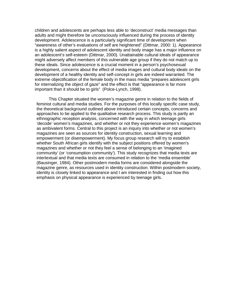children and adolescents are perhaps less able to 'deconstruct' media messages than adults and might therefore be unconsciously influenced during the process of identity development. Adolescence is a particularly significant time of development when "awareness of other's evaluations of self are heightened" (Dittmar, 2000: 1). Appearance is a highly salient aspect of adolescent identity and body image has a major influence on an adolescent's self-esteem (Dittmar, 2000). Unattainable cultural ideals of appearance might adversely affect members of this vulnerable age group if they do not match up to these ideals. Since adolescence is a crucial moment in a person's psychosexual development, concerns about the effect of media images and cultural body ideals on the development of a healthy identity and self-concept in girls are indeed warranted. The extreme objectification of the female body in the mass media "prepares adolescent girls for internalizing the object of gaze" and the effect is that "appearance is far more important than it should be to girls" (Polce-Lynch, 1998).

 This Chapter situated the women's magazine genre in relation to the fields of feminist cultural and media studies. For the purposes of this locally specific case study, the theoretical background outlined above introduced certain concepts, concerns and approaches to be applied to the qualitative research process. This study is partly an ethnographic reception analysis, concerned with the way in which teenage girls 'decode' women's magazines, and whether or not they experience women's magazines as ambivalent forms. Central to this project is an inquiry into whether or not women's magazines are seen as sources for identity construction, sexual learning and empowerment (or disempowerment). My focus group research will try to establish whether South African girls identify with the subject positions offered by women's magazines and whether or not they feel a sense of belonging to an 'imagined community' (or 'consumption community'). This study recognizes that media texts are intertextual and that media texts are consumed in relation to the 'media ensemble' (Bausinger, 1984). Other postmodern media forms are considered alongside the magazine genre, as resources used in identity construction. Within postmodern society, identity is closely linked to appearance and I am interested in finding out how this emphasis on physical appearance is experienced by teenage girls.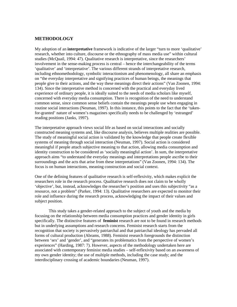# **METHODOLOGY**

My adoption of an **interpretative** framework is indicative of the larger "turn to more 'qualitative' research, whether into culture, discourse or the ethnography of mass media use" within cultural studies (McQuail, 1994: 47). Qualitative research is interpretative, since the researchers' involvement in the sense-making process is central – hence the interchangeability of the terms 'qualitative' and 'interpretative'. The various different strands of interpretative research, including ethnomethodology, symbolic interactionism and phenomenology, all share an emphasis on "the everyday interpretative and signifying practices of human beings, the meanings that people give to their actions, and the way these meanings direct their actions" (Van Zoonen, 1994: 134). Since the interpretative method is concerned with the practical and everyday lived experience of ordinary people, it is ideally suited to the needs of media scholars like myself, concerned with everyday media consumption. There is recognition of the need to understand common sense, since common sense beliefs contain the meanings people use when engaging in routine social interactions (Neuman, 1997). In this instance, this points to the fact that the 'takenfor-granted' nature of women's magazines specifically needs to be challenged by 'estranged' reading positions (Janks, 1997).

The interpretative approach views social life as based on social interactions and socially constructed meaning systems and, like discourse analysis, believes multiple realities are possible. The study of meaningful social action is validated by the knowledge that people create flexible systems of meaning through social interaction (Neuman, 1997). Social action is considered meaningful if people attach subjective meaning to that action, allowing media consumption and identity construction to be considered as 'socially meaningful action'. In sum, the interpretative approach aims "to understand the everyday meanings and interpretations people ascribe to their surroundings and the acts that arise from these interpretations" (Van Zoonen, 1994: 134). The focus is on human interactions, meaning construction and social context.

One of the defining features of qualitative research is self-reflexivity, which makes explicit the researchers role in the research process. Qualitative research does not claim to be wholly 'objective', but, instead, acknowledges the researcher's position and uses this subjectivity "as a resource, not a problem" (Parker, 1994: 13). Qualitative researchers are expected to monitor their role and influence during the research process, acknowledging the impact of their values and subject position.

This study takes a gender-related approach to the subject of youth and the media by focusing on the relationship between media consumption practices and gender identity in girls specifically. The distinctive features of **feminist** research are not to be found in research methods but in underlying assumptions and research concerns. Feminist research starts from the recognition that society is pervasively patriarchal and that patriarchal ideology has pervaded all forms of cultural production (Abrams, 1988). Feminist research foregrounds the distinction between 'sex' and 'gender', and "generates its problematics from the perspective of women's experiences" (Harding, 1987: 7). However, aspects of the methodology undertaken here are associated with contemporary feminist media studies – self-reflexivity based on an awareness of my own gender identity; the use of multiple methods, including the case study; and the interdisciplinary crossing of academic boundaries (Neuman, 1997).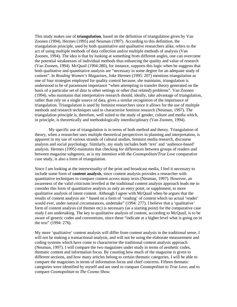This study makes use of **triangulation**, based on the definition of triangulation given by Van Zoonen (1994), Hermes (1995) and Neuman (1997). According to this definition, the triangulation principle, used by both quantitative and qualitative researchers alike, refers to the act of using multiple methods of data collection and/or multiple methods of analysis (Van Zoonen, 1994). The idea is that by looking at something from different angles, one can overcome the potential weaknesses of individual methods thus enhancing the quality and value of research (Van Zoonen, 1994). McQuail (1994:280), for instance, supports this logic when he suggests that both qualitative and quantitative analysis are "necessary in some degree for an adequate study of content". In *Reading Women's Magazines*, Joke Hermes (1995: 207) mentions triangulation as one of four strategies employed for quality control because, she maintains, triangulation is understood to be of paramount importance "when attempting to transfer theory generated on the basis of a particular set of data to other settings or other (but related) problems". Van Zoonen (1994), who maintains that interpretative research should, ideally, take advantage of triangulation, rather than rely on a single source of data, gives a similar recognition of the importance of triangulation. Triangulation is used by feminist researchers since it allows for the use of multiple methods and research techniques said to characterise feminist research (Neuman, 1997). The triangulation principle is, therefore, well suited to the study of gender, culture and media which, in principle, is theoretically and methodologically interdisciplinary (Van Zoonen, 1994).

 My specific use of triangulation is in terms of both method and theory. Triangulation of theory, when a researcher uses multiple theoretical perspectives in planning and interpretation, is apparent in my use of various strands of cultural studies, feminist media research, discourse analysis and social psychology. Similarly, my study includes both 'text' and 'audience-based' analysis. Hermes (1995) maintains that checking for differences between groups of readers and between magazine subgenres, as is my intention with the *Cosmopolitan/True Love* comparative case study, is also a form of triangulation.

Since I am looking at the intertextuality of the print and broadcast media, I feel it necessary to include some form of **content analysis**, since content analysis provides a researcher with quantitative techniques to compare content across many texts (Neuman, 1997). However, an awareness of the valid criticisms levelled at the traditional content analysis approach leads me to consider this form of quantitative analysis as only an entry point, or supplement, to more qualitative analysis of latent content. Although I agree with McQuail when he argues that the results of content analysis are " based on a form of 'reading' of content which no actual 'reader' would ever, under natural circumstances, undertake" (1994: 277), I believe that a 'qualitative' form of content analysis (of themes etc) is necessary (as a starting point) for the comparative case study I am undertaking. The key to qualitative analysis of content, according to McQuail, is to be aware of generic codes and conventions, since these "indicate at a higher level what is going on in the text" (1994: 276).

My more 'qualitative' content analysis will differ from content analysis in the traditional sense. I will not be making a transactional analysis, and will not be using the elaborate measurement and coding systems which have come to characterise the traditional content analysis approach (Neuman, 1997). I will compare the two magazines under study in terms of aesthetic codes, thematic content and information focus. By counting how much of the magazine is given to different sections, and how many articles belong to certain thematic categories, I will be able to compare the magazines in terms of information focus and chief concerns. Fifteen thematic categories were identified by myself and are used to compare *Cosmopolitan* to *True Love*, and to compare *Cosmopolitan* to *The Cosmo Show.*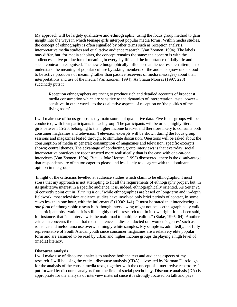My approach will be largely qualitative and **ethnographic**, using the focus group method to gain insight into the ways in which teenage girls interpret popular media forms. Within media studies, the concept of ethnography is often signalled by other terms such as reception analysis, interpretative media studies and qualitative audience research (Van Zoonen, 1994). The labels may differ, but, for media scholars, the concept remains the same: the concern is with the audiences active production of meaning in everyday life and the importance of daily life and social context is recognised. The new ethnographically influenced audience research attempts to understand the meaning of popular culture by asking members of the audience (now understood to be active producers of meaning rather than passive receivers of media messages) about their interpretations and use of the media (Van Zoonen, 1994). As Shaun Moores (1997: 228) succinctly puts it

Reception ethnographers are trying to produce rich and detailed accounts of broadcast media consumption which are sensitive to the dynamics of interpretation, taste, power – sensitive, in other words, to the qualitative aspects of reception or 'the politics of the living room'.

I will make use of focus groups as my main source of qualitative data. Five focus groups will be conducted, with four participants in each group. The participants will be urban, highly literate girls between 15-20, belonging to the higher income bracket and therefore likely to consume both consumer magazines and television. Television excerpts will be shown during the focus group sessions and magazines leafed through, to stimulate discussion. Questions will be asked about the consumption of media in general; consumption of magazines and television; specific excerpts shown; central themes. The advantage of conducting group interviews is that everyday, social interpretative practices are reconstructed more realistically than is the case with one-on-one interviews (Van Zoonen, 1994). But, as Joke Hermes (1995) discovered, there is the disadvantage that respondents are often too eager to please and less likely to disagree with the dominant opinion in the group.

 In light of the criticisms levelled at audience studies which claim to be ethnographic, I must stress that my approach is not attempting to fit all the requirements of ethnography proper, but, in its qualitative interest in a specific audience, it is, indeed, ethnographically oriented. As Seiter *et. al* correctly point out in *Turning it on*, "while ethnographies are based on long-term and in-depth fieldwork, most television audience studies have involved only brief periods of contact, in some cases less than one hour, with the informants" (1996: 141). It must be stated that interviewing *is one form* of ethnographic research. Although interviewing might not be as ethnographically valid as participant observation, it is still a highly useful research tool in its own right. It has been said, for instance, that "the interview is the main road to multiple realities" (Stake, 1995: 64). Another criticism concerns the fact that most audience studies conducted on 'women's genres' such as romance and melodrama use overwhelmingly white samples. My sample is, admittedly, not fully representative of South African youth since consumer magazines are a relatively elite popular form and are assumed to be read by urban and higher income groups displaying a high level of (media) literacy.

#### **Discourse analysis**

I will make use of discourse analysis to analyse both the text and audience aspects of my research. I will be using the critical discourse analysis (CDA) advocated by Norman Fairclough for the analysis of the chosen media texts, together with the concept of 'interpretive repertoires' put forward by discourse analysts from the field of social psychology. Discourse analysis (DA) is appropriate for the analysis of interview material since it is strongly focused on talk and pays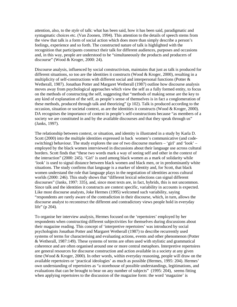attention, also, to the *style* of talk: what has been said, how it has been said, paradigmatic and syntagmatic choices etc. (Van Zoonen, 1994). This attention to the details of speech stems from the view that talk is a form of social action which does more than simply describe a person's feelings, experience and so forth. The constructed nature of talk is highlighted with the recognition that participants construct their talk for different audiences, purposes and occasions and, in this way, people are understood to be "simultaneously the products and producers of discourse" (Wood & Kroger, 2000: 24).

Discourse analysis, influenced by social constructivism, maintains that just as talk is produced for different situations, so too are the identities it constructs (Wood & Kroger, 2000), resulting in a multiplicity of self-constructions with different social and interpersonal functions (Potter  $\&$ Wetherall, 1987). Jonathan Potter and Margaret Wetherall (1987) outline how discourse analysis moves away from psychological approaches which view the self as a fully formed entity, to focus on the methods of constructing the self, suggesting that "methods of making sense are the key to any kind of explanation of the self, as people's sense of themselves is in fact a conglomeration of these methods, produced through talk and theorizing" (p 102). Talk is produced according to the occasion, situation or societal context, as are the identities it constructs (Wood & Kroger, 2000). DA recognises the importance of context in people's self-constructions because "as members of a society we are constituted in and by the available discourses and that they speak through us" (Janks, 1997).

The relationship between context, or situation, and identity is illustrated in a study by Karla D. Scott (2000) into the multiple identities expressed in back women's communicative (and codeswitching) behaviour. The study explores the use of two discourse markers – 'girl' and 'look' – employed by the black women interviewed in discussions about their language use across cultural borders. Scott finds that "these two words mark a way of seeing self and other in the context of the interaction" (2000: 245). 'Girl' is used among black women as a mark of solidarity while 'look' is used to signal distance between black women and black men, or in predominantly white situations. The study confirms that language is a marker of identity and, for Scott, that black women understand the role that language plays in the negotiation of identities across cultural worlds (2000: 246). This study shows that "different lexical selections can signal different discourses" (Janks, 1997: 335), and, since most texts are, in fact, hybrids, this is not uncommon. Since talk and the identities it constructs are context specific, variability in accounts is expected. Like most discourse analysts, Joke Hermes (1995) welcomed such variability, saying "respondents are rarely aware of the contradiction in their discourse, which, in turn, allows the discourse analyst to reconstruct the different and contradictory views people hold in everyday life" (p 204).

To organise her interview analysis, Hermes focused on the 'repertoires' employed by her respondents when constructing different subjectivities for themselves during discussions about their magazine reading. This concept of 'interpretive repertoires' was introduced by social psychologists Jonathan Potter and Margaret Wetherall (1987) to describe recurrently used systems of terms for characterising and evaluating actions, events and other phenomenon (Potter & Wetherall, 1987:149). These systems of terms are often used with stylistic and grammatical coherence and are often organised around one or more central metaphors. Interpretive repertoires are general resources for discourse construction and action available in a society at any given time (Wood & Kroger, 2000). In other words, within everyday reasoning, people will draw on the available repertoires or 'practical ideologies' as much as possible (Hermes, 1995: 204). Hermes' own understanding of repertoires as "a storehouse of possible understandings, legitimations, and evaluations that can be brought to bear on any number of subjects" (1995: 204), seems fitting when applying repertoires to the discussion of the magazine form: the word 'magazine' is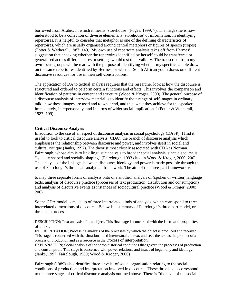borrowed from Arabic, in which it means 'storehouse' (Foges, 1999: 7). The magazine is now understood to be a collection of diverse elements, a 'storehouse' of information. In identifying repertoires, it is helpful to consider that metaphor is one of the defining characteristics of repertoires, which are usually organised around central metaphors or figures of speech (tropes) (Potter & Wetherall, 1987: 149). My own use of repertoire analysis takes off from Hermes' suggestion that checking whether the repertoires identified by herself could be transferred or generalised across different cases or settings would test their validity. The transcripts from my own focus groups will be read with the purpose of identifying whether my specific sample draw on the same repertoires identified by Hermes, or whether South African youth draws on different discursive resources for use in their self-constructions.

The application of DA to textual analysis requires that the researcher look at how the discourse is structured and ordered to perform certain functions and effects. This involves the comparison and identification of patterns in content and structure (Wood & Kroger, 2000). The general purpose of a discourse analysis of interview material is to identify the " range of self images in ordinary talk...how these images are used and to what end, and thus what they achieve for the speaker immediately, interpersonally, and in terms of wider social implications" (Potter & Wetherall, 1987: 109).

# **Critical Discourse Analysis**

In addition to the use of an aspect of discourse analysis in social psychology (DASP), I find it useful to look to critical discourse analysis (CDA), the branch of discourse analysis which emphasises the relationship between discourse and power, and involves itself in social and cultural critique (Janks, 1997). The theorist most closely associated with CDA is Norman Fairclough, whose aim is to link linguistic analysis to broader social analysis, since discourse is "socially shaped and socially shaping" (Fairclough, 1993 cited in Wood & Kroger, 2000: 206). The analysis of the linkages between discourse, ideology and power is made possible through the use of Fairclough's three part analytical framework. The aim of the three-part framework is

to map three separate forms of analysis onto one another: analysis of (spoken or written) language texts, analysis of discourse practice (processes of text production, distribution and consumption) and analysis of discursive events as instances of sociocultural practice (Wood & Kroger, 2000: 206)

So the CDA model is made up of three interrelated kinds of analysis, which correspond to three interrelated dimensions of discourse. Below is a summary of Fairclough's three-part model, or three-step process:

DESCRIPTION; Text analysis of text object. This first stage is concerned with the form and properties of a text.

INTERPRETATION; Processing analysis of the processes by which the object is produced and received. This stage is concerned with the situational and intertextual context, and sees the text as the product of a process of production and as a resource in the process of interpretation.

EXPLANATION; Social analysis of the socio-historical conditions that govern the processes of production and consumption. This stage is concerned with power relations, and issues of hegemony and ideology. (Janks, 1997; Fairclough, 1989; Wood & Kroger, 2000)

Fairclough (1989) also identifies three 'levels' of social organisation relating to the social conditions of production and interpretation involved in discourse. These three levels correspond to the three stages of critical discourse analysis outlined above. There is "the level of the social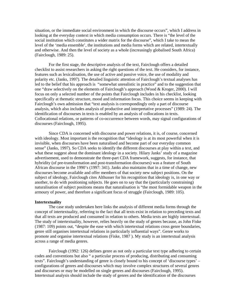situation, or the immediate social environment in which the discourse occurs", which I address in looking at the everyday context in which media consumption occurs. There is "the level of the social institution which constitutes a wider matrix for the discourse", which I take to mean the level of the 'media ensemble', the institutions and media forms which are related, intertextually and otherwise. And then the level of society as a whole (increasingly globalised South Africa) (Fairclough, 1989: 25).

 For the first stage, the descriptive analysis of the text, Fairclough offers a detailed checklist to assist researchers in asking the right questions of the text. He considers, for instance, features such as lexicalisation, the use of active and passive voice, the use of modality and polarity etc. (Janks, 1997). The detailed linguistic attention of Fairclough's textual analyses has led to the belief that his approach is "somewhat unrealistic in practice" and to the suggestion that one "draw selectively on the elements of Fairclough's approach (Wood & Kroger, 2000). I will focus on only a selected number of the points that Fairclough includes in his checklist, looking specifically at thematic structure, mood and information focus. This choice seems in keeping with Fairclough's own admission that "text analysis is correspondingly only a part of discourse analysis, which also includes analysis of productive and interpretative processes" (1989: 24). The identification of discourses in texts is enabled by an analysis of collocations in texts. Collocational relations, or patterns of co-occurrence between words, may signal configurations of discourses (Fairclough, 1995).

 Since CDA is concerned with discourse and power relations, it is, of course, concerned with ideology. Most important is the recognition that "ideology is at its most powerful when it is invisible, when discourses have been naturalised and become part of our everyday common sense" (Janks, 1997). So CDA seeks to identify the different discourses at play within a text, and what these suggest about the dominant ideology in a society. Hilary Janks' study of a magazine advertisement, used to demonstrate the three-part CDA framework, suggests, for instance, that hybridity (of pre-transformation and post-transformation discourses) was a feature of South African discourse in the 1990's (1997: 341). Janks also maintains that in a time of change, new discourses become available and offer members of that society new subject positions. On the subject of ideology, Fairclough cites Althusser for his recognition that ideology is, in one way or another, to do with positioning subjects. He goes on to say that the (particularly constraining) naturalisation of subject positions means that naturalisation is "the most formidable weapon in the armoury of power, and therefore a significant focus of struggle (Fairclough, 1989: 105).

#### **Intertextuality**

The case study undertaken here links the analysis of different media forms through the concept of intertextuality, referring to the fact that all texts exist in relation to preceding texts and that all texts are produced and consumed in relation to others. Media texts are highly intertextual. The study of intertextuality, however, relies heavily on the study of genres because, as John Fiske (1987: 109) points out, "despite the ease with which intertextual relations cross genre boundaries, genre still organises intertextual relations in particularly influential ways". Genre works to promote and organise intertextual relations (Fiske, 1987 ). My study is an intertextual analysis across a range of media genres.

 Fairclough (1992: 126) defines genre as not only a particular text type adhering to certain codes and conventions but also " a particular process of producing, distributing and consuming texts". Fairclough's understanding of genre is closely bound to his concept of 'discourse types' – configurations of genres and discourses which may involve complex structures of several genres and discourses or may be modelled on single genres and discourses (Fairclough, 1995). Intertextual analysis should include the study of genres and the identification of the discourses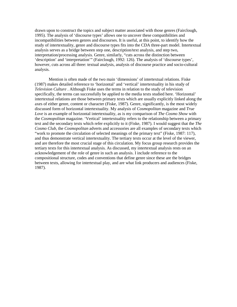drawn upon to construct the topics and subject matter associated with those genres (Fairclough, 1995). The analysis of 'discourse types' allows one to uncover these compatibilities and incompatibilities between genres and discourses. It is useful, at this point, to identify how the study of intertextuality, genre and discourse types fits into the CDA three-part model. Intertextual analysis serves as a bridge between step one, description/text analysis, and step two, interpretation/processing analysis. Genre, similarly, "cuts across the distinction between 'description' and 'interpretation'" (Fairclough, 1992: 126). The analysis of 'discourse types', however, cuts across all three: textual analysis, analysis of discourse practice and socio-cultural analysis.

 Mention is often made of the two main 'dimensions' of intertextual relations. Fiske (1987) makes detailed reference to 'horizontal' and 'vertical' intertextuality in his study of *Television Culture* . Although Fiske uses the terms in relation to the study of television specifically, the terms can successfully be applied to the media texts studied here. 'Horizontal' intertextual relations are those between primary texts which are usually explicitly linked along the axes of either genre, content or character (Fiske, 1987). Genre, significantly, is the most widely discussed form of horizontal intertextuality. My analysis of *Cosmopolitan* magazine and *True Love* is an example of horizontal intertextuality, as is my comparison of *The Cosmo Show* with the *Cosmopolitan* magazine. 'Vertical' intertextuality refers to the relationship between a primary text and the secondary texts which refer explicitly to it (Fiske, 1987). I would suggest that the *The Cosmo Club*, the *Cosmopolitan* adverts and accessories are all examples of secondary texts which "work to promote the circulation of selected meanings of the primary text" (Fiske, 1987: 117), and thus demonstrate vertical intertextuality. The tertiary texts occur at the level of the viewer, and are therefore the most crucial stage of this circulation. My focus group research provides the tertiary texts for this intertextual analysis. As discussed, my intertextual analysis rests on an acknowledgement of the role of genre in such an analysis. I include reference to the compositional structure, codes and conventions that define genre since these are the bridges between texts, allowing for intertextual play, and are what link producers and audiences (Fiske, 1987).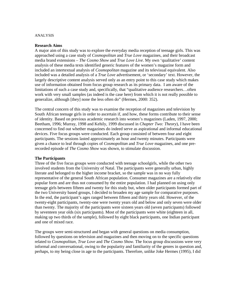### ANALYSIS

# **Research Aims**

A major aim of this study was to explore the everyday media reception of teenage girls. This was approached using a case study of *Cosmopolitan* and *True Love* magazines, and their broadcast media brand extensions – *The Cosmo Show* and *True Love Live*. My own 'qualitative' content analysis of these media texts identified generic features of the women's magazine form and included an intertextual analysis of *Cosmopolitan* magazine and its televisual equivalent. Also included was a detailed analysis of a *True Love* advertisement, or 'secondary' text. However, the largely descriptive content analysis served only as an entry point to this case study which makes use of information obtained from focus group research as its primary data. I am aware of the limitations of such a case study and, specifically, that "qualitative audience researchers…often work with very small samples (as indeed is the case here) from which it is not really possible to generalize, although [they] none the less often do" (Hermes, 2000: 352).

The central concern of this study was to examine the reception of magazines and television by South African teenage girls in order to ascertain if, and how, these forms contribute to their sense of identity. Based on previous academic research into women's magazines (Laden, 1997, 2000; Beetham, 1996; Murray, 1998 and Kehily, 1999 discussed in *Chapter Two: Theory*), I have been concerned to find out whether magazines do indeed serve as aspirational and informal educational devices. Five focus groups were conducted. Each group consisted of between four and eight participants. The sessions lasted approximately an hour and twenty minutes. Participants were given a chance to leaf through copies of *Cosmopolitan* and *True Love* magazines, and one prerecorded episode of *The Cosmo Show* was shown, to stimulate discussion.

# **The Participants**

Three of the five focus groups were conducted with teenage schoolgirls, while the other two involved students from the University of Natal. The participants were generally urban, highly literate and belonged to the higher income bracket, so the sample was in no way fully representative of the general South African population. Consumer magazines are a relatively elite popular form and are thus not consumed by the entire population. I had planned on using only teenage girls between fifteen and twenty for this study but, when older participants formed part of the two University based groups, I decided to broaden my age sample for comparative purposes. In the end, the participant's ages ranged between fifteen and thirty years old. However, of the twenty-eight participants, twenty-one were twenty years old and below and only seven were older than twenty. The majority of the participants were sixteen years old (seven participants) followed by seventeen year olds (six participants). Most of the participants were white (eighteen in all, making up two thirds of the sample), followed by eight black participants, one Indian participant and one of mixed race.

The groups were semi-structured and began with general questions on media consumption, followed by questions on television and magazines and then moving on to the specific questions related to *Cosmopolitan, True Love* and *The Cosmo Show.* The focus group discussions were very informal and conversational, owing to the popularity and familiarity of the genres in question and, perhaps, to my being close in age to the participants. Therefore, unlike Joke Hermes (1995), I did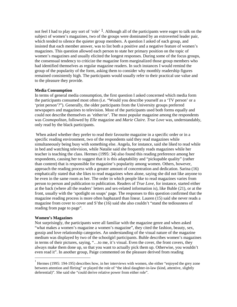not feel I had to play any sort of 'role'  $<sup>1</sup>$ . Although all of the participants were eager to talk on the</sup> subject of women's magazines, two of the groups were dominated by an extroverted leader pair, which tended to silence the quieter group members. A question I asked of each group, and insisted that each member answer, was to list both a positive and a negative feature of women's magazines. This question allowed each person to state her primary position on the topic of women's magazines and usually elicited the longest responses. During some of the focus groups, the consensual tendency to criticize the magazine form marginalized those group members who had identified themselves as regular magazine readers. In such instances I would remind the group of the popularity of the form, asking them to consider why monthly readership figures remained consistently high. The participants would usually refer to their practical use value and to the pleasure they provide.

# **Media Consumption**

In terms of general media consumption, the first question I asked concerned which media form the participants consumed most often (i.e. "Would you describe yourself as a 'TV person' or a 'print person'?"). Generally, the older participants from the University groups preferred newspapers and magazines to television. Most of the participants used both forms equally and could not describe themselves as 'either/or'. The most popular magazine among the respondents was *Cosmopolitan*, followed by *Elle* magazine and *Marie Claire. True Love* was, understandably, only read by the black participants.

 When asked whether they prefer to read their favourite magazine in a specific order or in a specific reading environment, two of the respondents said they read magazines while simultaneously being busy with something else. Angela, for instance, said she liked to read while in bed and watching television, while Natalie said she frequently reads magazines while her teacher is teaching the class. Hermes (1995: 34) also found this reading preference among her respondents, causing her to suggest that it is this adaptability and "pickupable quality" (rather than content) that is responsible for magazine's popularity among women. Others, however, approach the reading process with a greater amount of concentration and dedication. Sarina (16) emphatically stated that she likes to read magazines when alone, saying she did not like anyone to be even in the same room as her. The order in which people like to read magazines varies from person to person and publication to publication. Readers of *True Love*, for instance, started either at the back (where all the readers' letters and sex-related information is), like Buhle (21), or at the front, usually with the 'spotlight on soaps' page. The responses to this question confirmed that the magazine reading process is more often haphazard than linear. Lauren (15) said she never reads a magazine from cover to cover and S'the (16) said she also couldn't "stand the tediousness of reading from page to page".

#### **Women's Magazines**

<u>.</u>

Not surprisingly, the participants were all familiar with the magazine genre and when asked "what makes a women's magazine a women's magazine", they cited the fashion, beauty, sex, gossip and love relationship categories. An understanding of the visual nature of the magazine medium was displayed by two of the schoolgirl participants. Buhle describes women's magazines in terms of their pictures, saying, "…to me, it's visual. Even the cover, the front covers, they always make them done up, so that you want to actually pick them up. Otherwise, you wouldn't even read it". In another group, Paige commented on the pleasure derived from reading

<sup>1</sup> Hermes (1995: 194-195) describes how, in her interviews with women, she either "enjoyed the grey zone between attention and flirting" or played the role of "the ideal daughter-in-law (kind, attentive, slightly deferential)". She said she "could derive relative power from either role".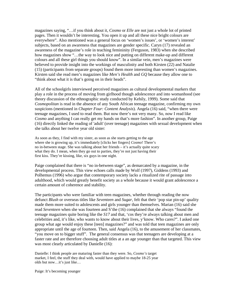magazines saying, "…if you think about it, *Cosmo* or *Elle* are not just a whole lot of printed pages. Then it wouldn't be interesting. You open it up and all these nice bright colours are everywhere". Also mentioned was a general focus on 'women's issues', or 'women's interest' subjects, based on an awareness that magazines are gender specific. Caryn (17) revealed an awareness of the magazine's role in teaching femininity (Ferguson, 1983) when she described how magazines show "…the way to look nice and putting on different make-up and different colours and all these girl things you should know". In a similar vein, men's magazines were believed to provide insight into the workings of masculinity and both Kirsten (22) and Natalie (15) (participants from separate groups) found them more interesting than women's magazines. Kirsten said she read men's magazines like *Men's Health* and *GQ* because they allow one to "think about what it is that's going on in their heads".

All of the schoolgirls interviewed perceived magazines as cultural developmental markers that play a role in the process of moving from girlhood though adolescence and into womanhood (see theory discussion of the ethnographic study conducted by Kehily, 1999). Some said that *Cosmopolitan* is read in the absence of any South African teenage magazine, confirming my own suspicions (mentioned in *Chapter Four: Content Analysis*). Angela (16) said, "when there were teenage magazines, I used to read them. But now there's not very many. So, now I read like *Cosmo* and anything I can really get my hands on that's more fashion". In another group, Paige (16) directly linked the reading of 'adult' (over teenage) magazines with sexual development when she talks about her twelve year old sister:

As soon as they, I find with my sister, as soon as she starts getting to the age where she is growing up, it's immediately [clicks her fingers] *Cosmo*! There's no in-between stage. She was talking about her friends – it's actually quite scary what they do. I mean, when they go out to parties, they're not just having their first kiss. They're kissing, like, six guys in one night.

Paige complained that there is "no in-between stage", as demarcated by a magazine, in the developmental process. This view echoes calls made by Wolf (1997), Giddens (1993) and Polhemus (1996) who argue that contemporary society lacks a ritualized rite of passage into adulthood, which would greatly benefit society as a whole because it would grant adolescence a certain amount of coherence and stability.

The participants who were familiar with teen magazines, whether through reading the now defunct *Blush* or overseas titles like *Seventeen* and *Sugar,* felt that their 'pop star pin-up' quality made them more suited to adolescents and girls younger than themselves. Marian (16) said she read *Seventeen* when she was fourteen and S'the (16) complained that she always "found the teenage magazines quite boring like the *S17* and that, 'cos they're always talking about men and celebrities and, it's like, who wants to know about their lives, y'know. Who cares?". I asked one group what age would enjoy these [teen] magazines?" and was told that teen magazines are only appropriate until the age of fourteen. Then, said Angela (16), to the amusement of her classmates, "you move on to bigger stuff". The general consensus was that teenagers are developing at a faster rate and are therefore choosing adult titles at a an age younger than that targeted. This view was most clearly articulated by Danielle (16):

Danielle: I think people are maturing faster than they were. So, *Cosmo's* target market, I feel, the stuff they deal with, would have applied to maybe 18-25 year olds but now…it's just like…

Paige: It's becoming younger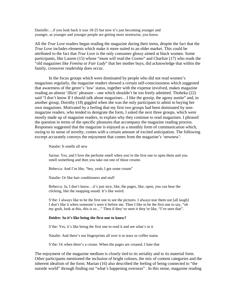Danielle:…if you look back it was 18-25 but now it's just becoming younger and younger, as younger and younger people are getting more streetwise, you know.

All the *True Love* readers began reading the magazine during their teens, despite the fact that the *True Love* includes elements which make it more suited to an older market. This could be attributed to the fact that *True Love* is the only consumer glossy aimed at black women. Some participants, like Lauren (15) whose "mum will read the *Cosmo*" and Charlize (17) who reads the "old magazines like *Femina* or *Fair Lady*" that her mother buys, did acknowledge that within the family, crossover readership does occur.

 In the focus groups which were dominated by people who did not read women's magazines regularly, the magazine readers showed a certain self-consciousness which suggested that awareness of the genre's 'low' status, together with the expense involved, makes magazine reading an almost 'illicit' pleasure – one which shouldn't be too freely admitted. Thobeka (22) said "I don't know If I should talk about magazines…I like the gossip, the agony auntie" and, in another group, Dorothy (18) giggled when she was the only participant to admit to buying her own magazines. Motivated by a feeling that my first two groups had been dominated by nonmagazine readers, who tended to denigrate the form, I asked the next three groups, which were mostly made up of magazine readers, to explain why they continue to read magazines. I phrased the question in terms of the specific pleasures that accompany the magazine reading process. Responses suggested that the magazine is enjoyed as a monthly form of communication which, owing to its sense of novelty, comes with a certain amount of excited anticipation. The following excerpt accurately conveys the enjoyment that comes from the magazine's 'newness':

Natalie: It smells all new

Sarina: Yes, and I love the perfume smell when you're the first one to open them and you smell something and then you take out one of those creams

Rebecca: And I'm like, "hey, yeah, I got some cream"

Natalie: Or like hair conditioners and stuff

 Rebecca: Ja, I don't know…it's just nice, like, the pages, like, open, you can hear the clicking, like the snapping sound. It's like weird.

 S'the: I always like to be the first one to see the pictures. I always tear them out [all laugh] I don't like it when someone's seen it before me. Then I like to be the first one to say, "oh my gosh, look at this, this is so…" Then if they've seen it they're like, "I've seen that".

#### **Deidre: So it's like being the first one to know?**

S'the: Yes, it's like being the first one to read it and see what's in it

Natalie: And there's not fingerprints all over it or tears or coffee stains

S'the: Or when there's a crease. When the pages are creased, I hate that

The enjoyment of the magazine medium is closely tied to its seriality and to its material form. Other participants mentioned the inclusion of bright colours, the mix of content categories and the inherent idealism of the form. Marian (16) also described the feeling of being connected to "the outside world" through finding out "what's happening overseas" . In this sense, magazine reading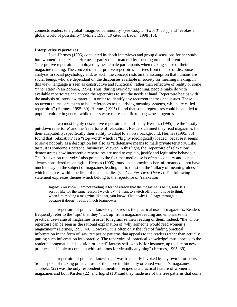connects readers to a global 'imagined community' (see *Chapter Two: Theory*) and "evokes a global world of possibility" (Miller, 1998: 19 cited in Laden, 1998 :16).

### **Interpretive repertoires**

Joke Hermes (1995) conducted in-depth interviews and group discussions for her study into women's magazines. Hermes organized her material by focusing on the different 'interpretive repertoires' employed by her female participants when making sense of their magazine reading. The concept of 'interpretive repertoires' derives from the use of discourse analysis in social psychology and, as such, the concept rests on the assumption that humans are social beings who are dependant on the discourses available in society for meaning making. In this view, language is seen as constructive and functional, rather than reflective of reality or some 'inner state' (Van Zoonen, 1994). Thus, during everyday reasoning, people make do with available repertoires and choose the repertoires to suit the needs at hand. Repertoire begins with the analysis of interview material in order to identify any recurrent themes and issues. These recurrent themes are taken to be " references to underlying meaning systems, which are called repertoires" (Hermes, 1995: 30). Hermes (1995) found that some repertoires could be applied to popular culture in general while others were more specific to magazine subgenres.

 The two most highly descriptive repertoires identified by Hermes (1995) are the 'easilyput-down repertoire' and the 'repertoire of relaxation'. Readers claimed they read magazines for their adaptability, specifically their ability to adapt to a noisy background. Hermes (1995: 36) found that 'relaxation' is a "stop word" which is "highly ideologically loaded" because it seems to serve not only as a description but also as "a defensive means to mark private territory. Like taste, it is someone's personal business". Viewed in this light, the 'repertoire of relaxation' demonstrates how interpretive repertoires are used to explain, justify and legitimize behaviour. The 'relaxation repertoire' also points to the fact that media use is often secondary and is not always considered meaningful. Hermes (1995) found that sometimes her informants did not have much to say on the subject of magazines leading her to question the 'fallacy of meaningfulness' which operates within the field of media studies (see *Chapter Two: Theory*). The following statement expresses themes which belong to the repertoire of 'relaxation':

Ingrid: You know, I am not reading it for the reason that the magazine is being sold. It's sort of like for the same reason I watch  $TV - I$  want to switch off. I don't have to think when I'm reading a magazine like that, you know. That's why I...I page through it, because it doesn't require much brainpower.

The 'repertoire of practical knowledge' stresses the practical uses of magazines. Readers frequently refer to the 'tips' that they 'pick up' from magazine reading and emphasize the practical use-value of magazines in order to legitimize their reading of them. Indeed, "the whole repertoire can be seen as the rational explanation of 'why someone would read women's magazines'" (Hermes, 1995: 40). However, it is often only the *idea* of finding practical information in the form of, say, recipes or patterns that appeals to the readers rather than actually putting such information into practice. The repertoire of 'practical knowledge' thus appeals to the reader's "pragmatic and solution-oriented" fantasy self, who is, for instance, up to date on new products and "able to come up with solutions for virtually anything" (Hermes, 1995: 39).

 The 'repertoire of practical knowledge' was frequently invoked by my own informants. Some spoke of making practical use of the more traditionally oriented women's magazines. Thobeka (22) was the only respondent to mention recipes as a practical feature of women's magazines and both Kirsten (22) and Ingrid (18) said they made use of the free patterns that come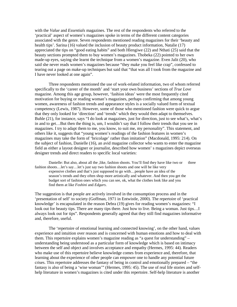with the *Value* and *Essentials* magazines. The rest of the respondents who referred to the 'practical' aspect of women's magazines spoke in terms of the different content categories associated with the genre. Seven respondents mentioned reading magazines for their 'beauty and health tips'. Sarina (16) valued the inclusion of beauty product information, Natalie (17) appreciated the tips on "good eating habits" and both Hlengiwe (22) and Nthati (25) said that the beauty sections prompted them to buy women's magazines. Thobeka (22) pointed to her own made-up eyes, saying she learnt the technique from a women's magazine. Even Jalit (20), who said she never reads women's magazines because "they make you feel like crap", confessed to tearing out a page on make-up techniques but said that "that was all I took from the magazine and I have never looked at one again".

 Three respondents mentioned the use of work-related information, two of whom referred specifically to the 'career of the month' and 'start your own business' sections of *True Love*  magazine. Among this age group, however, 'fashion ideas' were the most frequently cited motivation for buying or reading woman's magazines, perhaps confirming that among young women, awareness of fashion trends and appearance styles is a socially valued form of textual competency (Lewis, 1987). However, some of those who mentioned fashion were quick to argue that they only looked for 'direction' and 'trends' which they would then adapt to themselves. Buhle (21), for instance, says "I do look at magazines, just for direction, just to see what's, what's in and to get…But then the thing is, um, I wouldn't say that I follow their trends that you see in magazines. I try to adapt them to me, you know, to suit me, my personality". This statement, and others like it, suggests that "young women's readings of the fashion features in women's magazines may take the form of 'bricolage' rather than imitation" (Macdonald, 1995: 214). On the subject of fashion, Danielle (16), an avid magazine collector who wants to enter the magazine field as either a layout designer or journalist, described how women' s magazines depict overseas designer trends and direct readers to specific local varieties:

Danielle: But also, about all the ,like, fashion shoots. You'll find they have like two or three fashion shoots…let's say…let's just say two fashion shoots and one will be like very expensive clothes and that's just supposed to go with…people have an idea of the season's trends and they often shop more artistically and whatever. And then you get the budget sort of fashion ones which you can see, ok, what the clothes look like and you find them at like *Foshini* and *Edgars*.

The suggestion is that people are actively involved in the consumption process and in the 'presentation of self' to society (Goffman, 1971 in Entwistle, 2000). The repertoire of 'practical knowledge' is encapsulated in the reason Debra (19) gives for reading women's magazines: "I look out for beauty tips. There are many tips there. Just how to live. Being a woman. Just tips…I always look out for tips". Respondents generally agreed that they still find magazines informative and, therefore, useful.

 The 'repertoire of emotional learning and connected knowing', on the other hand, values experience and intuition over reason and is concerned with human emotions and how to deal with them. This repertoire explains women's magazine reading as "a quest for understanding" – understanding being understood as a particular form of knowledge which is based on intimacy between the self and object and involves acceptance and empathy (Hermes, 1995: 44). Readers who make use of this repertoire believe knowledge comes from experience and, therefore, that learning about the experience of other people can empower one to handle any potential future crises. This repertoire addresses the fantasy of being in control and emotionally prepared – "the fantasy is also of being a 'wise woman'" (Hermes, 1995: 45). The use of real life stories and selfhelp literature in women's magazines is cited under this repertoire. Self-help literature is another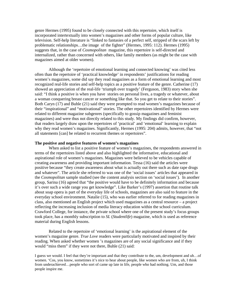genre Hermes (1995) found to be closely connected with this repertoire, which itself is incorporated intertextually into women's magazines and other forms of popular culture, like television. Self-help literature is "linked to fantasies of a perfect self, stripped of the scars left by problematic relationships…the image of the fighter" (Hermes, 1995: 112). Hermes (1995) suggests that, in the case of *Cosmopolitan* magazine, this repertoire is self-directed and internalized, rather than concerned with others, like family members (as might be the case with magazines aimed at older women).

 Although the 'repertoire of emotional learning and connected knowing' was cited less often than the repertoire of 'practical knowledge' in respondents' justifications for reading women's magazines, some did say they read magazines as a form of emotional learning and most recognized real-life stories and self-help topics as a positive feature of the genre. Catherine (17) showed an appreciation of the real-life 'triumph over tragedy' (Ferguson, 1983) story when she said: "I think a positive is when you have stories on personal lives, a tragedy or whatever, about a woman conquering breast cancer or something like that. So you get to relate to their stories". Both Caryn (17) and Buhle (21) said they were prompted to read women's magazines because of their "inspirational" and "motivational" stories. The other repertoires identified by Hermes were related to different magazine subgenres (specifically to gossip magazines and feminist magazines) and were thus not directly related to this study. My findings did confirm, however, that readers largely draw upon the repertoires of 'practical' and 'emotional' learning to explain why they read women's magazines. Significantly, Hermes (1995: 204) admits, however, that "not all statements [can] be related to recurrent themes or repertoires".

#### **The positive and negative features of women's magazines**

When asked to list a positive feature of women's magazines, the respondents answered in terms of the repertoires listed above and also highlighted the informative, educational and aspirational role of women's magazines. Magazines were believed to be vehicles capable of creating awareness and providing important information. Tessa (16) said the articles were positive because "they create awareness about what is actually out there such as date rape drugs and whatever". The article she referred to was one of the 'social issues' articles that appeared in the *Cosmopolitan* sample studied (see the content analysis section on 'social issues'). In another group, Sarina (16) agreed that "the positive would have to be definitely information and because it's over such a wide range you get knowledge". Like Barker's (1997) assertion that routine talk about soap opera is part of the everyday life of schools, magazines are also said to feature in the everyday school environment. Natalie (15), who was earlier referred to for reading magazines in class, also mentioned an English project which used magazines as a central resource – a project reflecting the increasing inclusion of media literacy education within the school curriculum. Crawford College, for instance, the private school where one of the present study's focus groups took place, has a monthly subscription to *SL* (*Studentlife*) magazine, which is used as reference material during English lessons.

 Related to the repertoire of 'emotional learning' is the aspirational element of the women's magazine genre. *True Love* readers were particularly motivated and inspired by their reading. When asked whether women 's magazines are of any social significance and if they would "miss them" if they were not there, Buhle (21) said:

I guess we would. I feel that they're important and that they contribute to the, um, development and uh…of women. 'Cos, you know, sometimes it's nice to hear about people, like women who are from, uh, I think from underachieved...people who sort of came up late in life, people who had nothing. Um, and those people inspire me.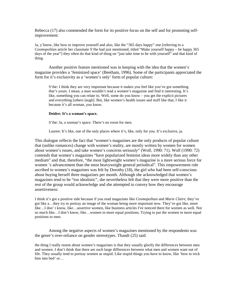Rebecca (17) also commended the form for its positive focus on the self and for promoting selfimprovement:

Ja, y'know, like how to improve yourself and also, like the "365 days happy" one [referring to a *Cosmopolitan* article her classmate S'the had just mentioned, titled "Make yourself happy – be happy 365 days of the year"] they often do that kind of thing on "just take time to be with yourself" and that kind of thing.

Another positive feature mentioned was in keeping with the idea that the women's magazine provides a 'feminized space' (Beetham, 1996). Some of the participants appreciated the form for it's exclusivity as a 'women's only' form of popular culture:

S'the: I think they are very important because it makes you feel like you've got something that's yours. I mean, a man wouldn't read a women's magazine and find it interesting. It's like, something you can relate to. Well, some do you know – you get the explicit pictures and everything [others laugh]. But, like women's health issues and stuff like that, I like it because it's all woman, you know.

#### **Deidre: It's a woman's space.**

S'the: Ja, a woman's space. There's no room for men.

Lauren: It's like, one of the only places where it's, like, only for you. It's exclusive, ja.

This dialogue reflects the fact that "women's magazines are the only products of popular culture that (unlike romances) change with women's reality, are mostly written by women for women about women's issues, and take women's concerns seriously" (Wolf, 1990: 71). Wolf (1990: 72) contends that women's magazines "have popularized feminist ideas more widely than any other medium" and that, therefore, "the most lightweight women's magazine is a more serious force for women 's advancement than the most heavyweight general periodical". This empowerment role ascribed to women's magazines was felt by Dorothy (18), the girl who had been self-conscious about buying herself three magazines per month. Although she acknowledged that women's magazines tend to be "too idealistic", she nevertheless felt that they were more positive than the rest of the group would acknowledge and she attempted to convey how they encourage assertiveness:

I think it's got a positive side because if you read magazines like *Cosmopolitan* and *Marie Claire*, they've got like a…they try to portray an image of the woman being more important now. They've got like, more like…I don' t know, like…assertive women, like business articles I've noticed there for women as well. Not so much like…I don't know, like…women in more equal positions. Trying to put the women in more equal positions to men.

Among the negative aspects of women's magazines mentioned by the respondents was the genre's over-reliance on gender stereotypes. Thandi (25) said

the thing I really resent about women's magazines is that they usually glorify the differences between men and women. I don't think that there are such large differences between what men and women want out of life. They usually tend to portray women as stupid. Like stupid things you have to know, like 'how to trick him into bed' or...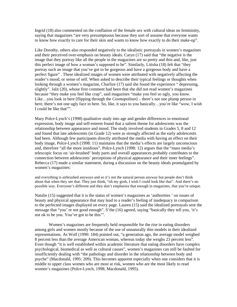Ingrid (18) also commented on the conflation of the female sex with cultural ideas on femininity, saying that magazines "are very presumptuous because they sort of assume that everyone wants to know how exactly to care for their skin and wants to know how exactly to do their make-up".

Like Dorothy, others also responded negatively to the idealistic portrayals in women's magazines and their perceived over-emphasis on beauty ideals. Caryn (17) said that "the negative is the image that they portray like all the people in the magazines are so pretty and thin and, like, just this perfect image of how a woman's supposed to be". Similarly, Litisha (18) felt that "they portray such an image that you've got to be gorgeous and have a gorgeous body and have a perfect figure" . These idealized images of women were attributed with negatively affecting the reader's mood, or sense of self. When asked to describe their typical feelings or thoughts when looking through a women's magazine, Charlize (17) said she found the experience " depressing, slightly". Jalit (20), whose first comment had been that she did not read women's magazines because "they make you feel like crap", said magazines "make you feel so ugly, you know. Like…you look in here [flipping through the *Cosmopolitan*] – there's not one plump person in here, there's not one ugly face in here. So, like, it says to you basically…you're like "wow, I wish I could be like that"".

Mary Polce-Lynch's (1998) qualitative study into age and gender differences in emotional expression, body image and self-esteem found that a salient theme for adolescents was the relationship between appearance and mood. The study involved students in Grades 5, 8 and 12 and found that late adolescents (in Grade 12) were as strongly affected as the early adolescents had been. Although few participants directly attributed the media with having an effect on their body image, Polce-Lynch (1998: 11) maintains that the media's effects are largely unconscious and, therefore "all the more insidious". Polce-Lynch (1998: 12) argues that the "mass media's telescopic focus on 'air-brushed' body parts and overall appearances probably contributes to the connection between adolescents' perceptions of physical appearance and their inner feelings". Rebecca (17) made a similar statement, during a discussion on the beauty ideals promulgated by women's magazines:

and everything is airbrushed anyways and so it's not the natural person anyway but people don't think about that when they see that. They just think, "oh my gosh, I wish I could look like that". And there's no possible way. Everyone's different and they don't emphasize that enough in magazines, that you're unique.

Natalie (15) suggested that it is the status of women's magazines as 'authorities ' on issues of beauty and physical appearance that may lead to a reader's feeling of inadequacy in comparison to the perfected images displayed on every page. Lauren (15) said the idealized portrayals sent the message that "you' re not good enough". S'the (16) agreed, saying "basically they tell you, 'it's not ok to be you. You've got to be this'".

 Women's magazines are frequently held responsible for the rise in eating disorders among girls and women mostly because of the use of unnaturally thin models in their idealized representations. As Wolf (1990: 184) pointed out, "a generation ago, the average model weighed 8 percent less than the average American woman, whereas today she weighs 23 percent less". Even though "it is well established within academic literature that eating disorders have complex psychological, biomedical as well as cultural causes", women's magazines can still be faulted for insufficiently dealing with "the pathology and disorder in the relationship between body and psyche" (Macdonald, 1995: 209). This becomes apparent especially when one considers that it is middle to upper class women who are most at risk, women who are the most likely to read women's magazines (Polce-Lynch, 1998; Macdonald, 1995).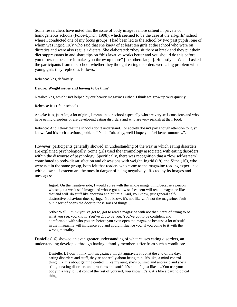Some researchers have noted that the issue of body image is more salient in private or homogeneous schools (Polce-Lynch, 1998), which seemed to be the case at the all-girls' school where I conducted one of my focus groups. I had been led to the school by two past pupils, one of whom was Ingrid (18)' who said that she knew of at least ten girls at the school who were on diuretics and were also regula r dieters. She elaborated: "they sit there at break and they put their diet suppressants in and share tips on "this laxative works better and you should do this before you throw up because it makes you throw up more" [the others laugh]. Honestly". When I asked the participants from this school whether they thought eating disorders were a big problem with young girls they replied as follows:

Rebecca: Yes, definitely

### **Deidre: Weight issues and having to be thin?**

Natalie: Yes, which isn't helped by our beauty magazines either. I think we grow up very quickly.

Rebecca: It's rife in schools.

Angela: It is, ja. A lot, a lot of girls, I mean, in our school especially who are very self-conscious and who have eating disorders or are developing eating disorders and who are very pickish at their food.

Rebecca: And I think that the schools don't understand…or society doesn't pay enough attention to it, y' know. And it's such a serious problem. It's like "oh, okay, well I hope you feel better tomorrow".

However, participants generally showed an understanding of the way in which eating disorders are explained psychologically. Some girls used the terminology associated with eating disorders within the discourse of psychology. Specifically, there was recognition that a "low self-esteem" contributed to body-dissatisfaction and obsessions with weight. Ingrid (18) and S'the (16), who were not in the same group, both felt that readers who come to the magazine reading experience with a low self-esteem are the ones in danger of being negatively affected by its images and messages:

Ingrid: On the negative side, I would agree with the whole image thing because a person whose got a weak self-image and whose got a low self-esteem will read a magazine like that and will do stuff like anorexia and bulimia. And, you know, just general self destructive behaviour does spring…You know, it's not like…it's not the magazines fault but it sort of opens the door to those sorts of things…

 S'the: Well, I think you've got to, got to read a magazine with not that intent of trying to be what you see, you know. You've got to be you. You've got to be confident and comfortable with who you are before you even open the magazine because a lot of stuff in that magazine will influence you and could influence you, if you come to it with the wrong mentality.

Danielle (16) showed an even greater understanding of what causes eating disorders, an understanding developed through having a family member suffer from such a condition:

Danielle: I, I don't think…it [magazines] might aggravate it but at the end of the day, eating disorders and stuff, they're not really about being thin. It's like, a mind control thing. Ok, it's about gaining control. Like my aunt, she's bulimic and anorexic and she's still got eating disorders and problems and stuff. It's not, it's just like a…You use your body in a way to just control the rest of yourself, you know. It's a, it's like a psychological thing.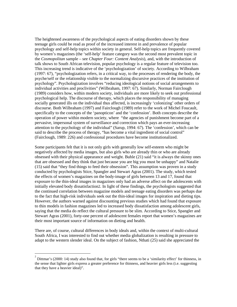The heightened awareness of the psychological aspects of eating disorders shown by these teenage girls could be read as proof of the increased interest in and prevalence of popular psychology and self-help topics within society in general. Self-help topics are frequently covered by women's magazines (the 'self-help' feature category was the second most prevalent topic in the *Cosmopolitan* sample – see *Chapter Four: Content Analysis*), and, with the introduction of talk shows to South African television, popular psychology is a regular feature of television too. This increasing trend is indicative of the 'psychologization' of society. According to Wilbraham (1997: 67), "psychologization refers, in a critical way, to the processes of rendering the body, the psyche/self or the relationship visible to the normalizing discursive practices of the institution of psychology". Psychologization involves "reducing ideological notions of social arrangements to individual activities and proclivities" (Wilbraham, 1997: 67). Similarly, Norman Fairclough (1989) considers how, within modern society, individuals are more likely to seek out professional psychological help. The discourse of therapy, which places the responsibility of managing socially generated ills on the individual thus affected, is increasingly 'colonizing' other orders of discourse. Both Wilbraham (1997) and Fairclough (1989) refer to the work of Michel Foucault, specifically to the concepts of the 'panopticon' and the 'confession'. Both concepts describe the operation of power within modern society, where "the agencies of punishment become part of a pervasive, impersonal system of surveillance and correction which pays an ever-increasing attention to the psychology of the individual" (Sarup, 1994: 67). The 'confession', which can be said to describe the process of therapy, "has become a vital ingredient of social control" (Fairclough, 1989: 226) and confessional procedures have become institutionalized.

Some participants felt that it is not only girls with generally low self-esteem who might be negatively affected by media images, but also girls who are already thin or who are already obsessed with their physical appearance and weight. Buhle (21) said "it is always the skinny ones that are obsessed and they think that just because you are big you must be unhappy" and Natalie (15) said that "they find things to feed their obsession". This assumption was proven in a study conducted by psychologists Stice, Spangler and Stewart Agras (2001). The study, which tested the effects of women's magazines on the body-image of girls between 13 and 17, found that exposure to the thin-ideal images in magazines only had an adverse affect on the adolescents with initially elevated body dissatisfaction2. In light of these findings, the psychologists suggested that the continued correlation between magazine models and teenage eating disorders was perhaps due to the fact that high-risk individuals seek out the thin-ideal images for inspiration and dieting tips. However, the authors warned against discounting previous studies which had found that exposure to thin models in fashion magazines led to increased body dissatisfaction among adolescent girls, saying that the media do reflect the cultural pressure to be slim. According to Stice, Spangler and Stewart Agras (2001), forty-one percent of adolescent females report that women's magazines are their most important source of information on dieting and health.

There are, of course, cultural differences in body ideals and, within the context of multi-cultural South Africa, I was interested to find out whether media globalization is resulting in pressure to adapt to the western slender ideal. On the subject of fashion, Nthati (25) said she appreciated the

<u>.</u>

<sup>2</sup> Dittmar's (2000: 14) study also found that, for girls "there seems to be a 'similarity effect' for thinness, in the sense that lighter girls express a greater preference for thinness, and heavier girls less (i.e. suggesting that they have a heavier ideal)".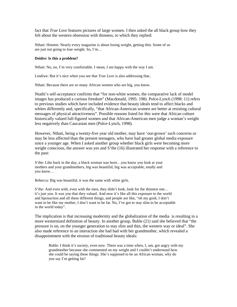fact that *True Love* features pictures of large women. I then asked the all black group how they felt about the western obsession with thinness, to which they replied:

Nthati: Hmmm. Nearly every magazine is about losing weight, getting thin. Some of us are just not going to lose weight. So, I'm…

#### **Deidre: Is this a problem?**

Nthati: No, no, I'm very comfortable. I mean, I am happy with the way I am.

Lindiwe: But it's nice when you see that *True Love* is also addressing that..

Nthati: Because there are so many African women who are big, you know.

Ntathi's self-acceptance confirms that "for non-white women, the comparative lack of model images has produced a curious freedom" (Macdonald, 1995: 198). Polce-Lynch (1998: 11) refers to previous studies which have included evidence that beauty ideals tend to affect blacks and whites differently and, specifically, "that African-American women are better at resisting cultural messages of physical attractiveness". Possible reasons listed for this were that African culture historically valued full-figured women and that African-American men judge a woman's weight less negatively than Caucasian men (Polce-Lynch, 1998).

However, Nthati, being a twenty-five year old mother, may have 'out-grown' such concerns or may be less affected than the present teenagers, who have had greater global media exposure since a younger age. When I asked another group whether black girls were becoming more weight conscious, the answer was yes and S'the (16) illustrated her response with a reference to the past:

S'the: Like back in the day, a black woman was born…you know you look at your mothers and your grandmothers, big was beautiful, big was acceptable, totally and you know…

Rebecca: Big was beautiful, it was the same with white girls.

S'the: And even with, even with the men, they didn't look, look for the thinnest one… it's just you. It was you that they valued. And now it's like all this exposure to the world and liposuction and all these different things, and people are like, "oh my gosh, I don't want to be like my mother, I don't want to be fat. No, I've got to stay slim to be acceptable in the world today".

The implication is that increasing modernity and the globalization of the media is resulting in a more westernized definition of beauty. In another group, Buhle (21) said she believed that "the pressure is on, on the younger generation to stay slim and thin, the western way or ideal". She also made reference to an interaction she had had with her grandmother, which revealed a disappointment with the erosion of traditional beauty ideals:

Buhle: I think it's society, even now. There was a time when, I, um, got angry with my grandmother because she commented on my weight and I couldn't understand how she could be saying these things. She's supposed to be an African woman, why do you say I'm getting fat?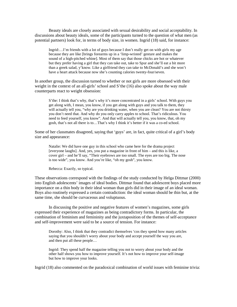Beauty ideals are closely associated with sexual desirability and social acceptability. In discussions about beauty ideals, some of the participants turned to the question of what men (as potential partners) look for, in terms of body size, in women. Ingrid (18) said, for instance:

Ingrid:…I'm friends with a lot of guys because I don't really get on with girls my age because they are like [brings forearms up in a 'limp-wristed' gesture and makes the sound of a high-pitched whine]. Most of them say that those chicks are hot or whatever but they prefer having a girl that they can take out, take to Spur and she'll eat a bit more than a greek salad, y'know. Like a girlfriend they can take to McDonald's and she won't have a heart attack because now she's counting calories twenty-four/seven.

In another group, the discussion turned to whether or not girls are more obsessed with their weight in the context of an all-girls' school and S'the (16) also spoke about the way male counterparts react to weight obsession:

S'the: I think that's why, that's why it's more concentrated in a girls' school. With guys you get along with, I mean, you know, if you get along with guys and you talk to them, they will actually tell you, "why are you drinking water, when you are clean? You are not thirsty you don't need that. And why do you only carry apples to school. That's ridiculous. You need to feed yourself, you know". And that will actually tell you, you know, that, oh my gosh, that's not all there is to…That's why I think it's better if it was a co-ed school.

Some of her classmates disagreed, saying that 'guys' are, in fact, quite critical of a girl's body size and appearance:

Natalie: We did have one guy in this school who came here for the drama project [everyone laughs]. And, yes, you put a magazine in front of him – and this is like, a cover girl – and he'll say, "Their eyebrows are too small. The eyes are too big. The nose is too wide", you know. And you're like, "oh my gosh", you know.

Rebecca: Exactly, so typical.

These observations correspond with the findings of the study conducted by Helga Dittmar (2000) into English adolescents' images of ideal bodies. Dittmar found that adolescent boys placed more importance on a thin body in their ideal woman than girls did in their image of an ideal woman. Boys also routinely expressed a certain contradiction: the ideal woman should be thin but, at the same time, she should be curvaceous and voluptuous.

 In discussing the positive and negative features of women's magazines, some girls expressed their experience of magazines as being contradictory forms. In particular, the combination of feminism and femininity and the juxtaposition of the themes of self-acceptance and self-improvement were said to be a source of tension. For instance:

Dorothy: Also, I think that they contradict themselves 'cos they spend how many articles saying that you shouldn't worry about your body and accept yourself the way you are, and then put all these people…

 Ingrid: They spend half the magazine telling you not to worry about your body and the other half shows you how to improve yourself. It's not how to improve your self-image but how to improve your looks.

Ingrid (18) also commented on the paradoxical combination of world issues with feminine trivia: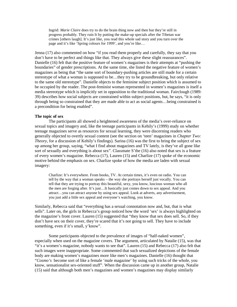Ingrid: *Marie Claire* does try to do the brain thing now and then but they're still in progress probably. They ruin It by putting the make-up specials after the Tibetan war crimes [others laugh]. It's just like, you read this whole sad story and you turn over the page and it's like 'Spring colours for 1999', and you're like…

Jenna (17) also commented on how "if you read them properly and carefully, they say that you don't have to be perfect and things like that. They always give these slight reassurances". Danielle (16) felt that the positive feature of women's magazines is their attempts at "pushing the boundaries" of gender prescriptions. At the same time, she listed the negative feature of women's magazines as being that "the same sort of boundary-pushing articles are still made for a certain stereotype of what a woman is supposed to be…they try to be groundbreaking, but only relative to the same old stereotype". Danielle objects to the feminine subject position which is assumed to be occupied by the reader. The post-feminist woman represented in women's magazines is itself a media stereotype which is implicitly set in opposition to the traditional woman. Fairclough (1989: 39) describes how social subjects are constrained within subject positions, but, he says, "it is only through being so constrained that they are made able to act as social agents…being constrained is a precondition for being enabled".

### **The topic of sex**

The participants all showed a heightened awareness of the media's over-reliance on sexual topics and imagery and, like the teenage participants in Kehily's (1999) study on whether teenage magazines serve as resources for sexual learning, they were discerning readers who generally objected to overtly sexual content (see the section on 'teen' magazines in *Chapter Two: Theory*, for a discussion of Kehily's findings). Sarina (16) was the first to bring the subject of sex up among her group, saying, "what I find about magazines and TV lately, is they've all gone like sort of sexually and everything is about sex". Classmate S'the (16) also noted that sex is a feature of every women's magazine. Rebecca (17), Lauren (15) and Charlize (17) spoke of the economic motive behind the emphasis on sex. Charlize spoke of how the media are laden with sexual imagery:

Charlize: It's everywhere. From books, TV. At certain times, it's even on radio. You can tell by the way that a woman speaks – the way she portrays herself just vocally. You can tell that they are trying to portray this beautiful, sexy, you know, luscious woman who all the men are forging after. It's just…It basically just comes down to sex appeal. And you attract…you can attract anyone by using sex appeal. Look at adverts, any advertisement, you just add a little sex appeal and everyone's watching, you know.

Similarly, Rebecca said that "everything has a sexual connotation now and, but, that is what sells". Later on, the girls in Rebecca's group noticed how the word 'sex' is always highlighted on the magazine's front cover. Lauren (15) suggested that "they know that sex does sell. So, if they don't have sex on their cover, they're scared that it's not going to sell. They have to include something, even if it's small, y'know".

 Some participants objected to the prevalence of images of "half-naked women", especially when used on the magazine covers. The argument, articulated by Natalie (15), was that "it's a women's magazine, nobody wants to see that". Lauren (15) and Rebecca (17) also felt that such images were inappropriate. Some commented that such sexualized depictions of the female body are making women's magazines more like men's magazines. Danielle (16) thought that "*Cosmo's* become sort of like a female 'male magazine' by using such tricks of the whole, you know, sensationalist sex-oriented stuff". When the discussion came up in another group, Natalie (15) said that although both men's magazines and women's magazines may display similarly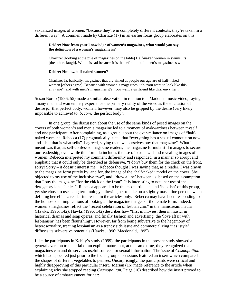sexualized images of women, "because they're in completely different contexts, they're taken in a different way". A comment made by Charlize (17) in an earlier focus group elaborates on this:

### **Deidre: Now from your knowledge of women's magazines, what would you say the definition of a woman's magazine is?**

Charlize: [looking at the pile of magazines on the table] Half-naked women in swimsuits [the others laugh]. Which is sad because it is the definition of a men's magazine as well.

#### **Deidre: Hmm…half-naked women?**

Charlize: Ja, basically, magazines that are aimed at people our age are of half-naked women [others agree]. Because with women's magazines, it's "you want to look like this, envy me", and with men's magazines it's "you want a girlfriend like this, envy her".

Susan Bordo (1996: 55) made a similar observation in relation to a Madonna music video, saying "many men and women may experience the primary reality of the video as the elicitation of desire *for* that perfect body; women, however, may also be gripped by the desire (very likely impossible to achieve) to *become* the perfect body".

 In one group, the discussion about the use of the same kinds of posed images on the covers of both women's and men's magazine led to a moment of awkwardness between myself and one participant. After complaining, as a group, about the over-reliance on images of "halfnaked women", Rebecca (17) pragmatically stated that "everything has a sexual connotation now and…but that is what sells". I agreed, saying that "we ourselves buy that magazine". What I meant was that, as self-confessed magazine readers, the magazine formula still manages to secure our readership, even while this formula includes the use of sexualized and revealing images of women. Rebecca interpreted my comment differently and responded, in a manner so abrupt and emphatic that it could only be described as defensive, "I don't buy them for the chick on the front, sorry! Sorry – it doesn't interest me". Rebecca thought I was saying that, as a reader, I was drawn to the magazine form purely by, and for, the image of the "half-naked" model on the cover. She objected to my use of the inclusive "we", and 'drew a line' between us, based on the assumption that I buy the magazine "for the chick on the front". It is interesting to note her use of the derogatory label "chick". Rebecca appeared to be the most articulate and 'bookish' of this group, yet she chose to use slang terminology, allowing her to take on a slightly masculine persona when defining herself as a reader interested in the articles only. Rebecca may have been responding to the homosexual implications of looking at the magazine images of the female form. Indeed, women's magazines reflect the "recent celebration of lesbian chic" in the mainstream media (Hawks, 1996: 142). Hawks (1996: 142) describes how "first in movies, then in music, in historical dramas and soap operas, and finally fashion and advertising, the 'love affair with lesbianism' has been flourishing". However, far from being subversive to the hegemony of heterosexuality, treating lesbianism as a trendy side issue and commercializing it as 'style' diffuses its subversive potentials (Hawks, 1996; Macdonald, 1995).

Like the participants in Kehily's study (1999), the participants in the present study showed a general aversion to material of an explicit nature but, at the same time, they recognized that magazines can and do serve as useful sources for sexual information. The issue of *Cosmopolitan*  which had appeared just prior to the focus group discussions featured an insert which compared the shapes of different vegetables to penises. Unsurprisingly, the participants were critical and highly disapproving of this particular insert. Marian (16) made reference to the article when explaining why she stopped reading *Cosmopolitan.* Paige (16) described how the insert proved to be a source of embarrassment for her: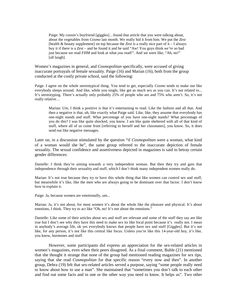Paige: My cousin's boyfriend [giggles]…found that article that you were talking about, about the vegetables from *Cosmo* last month. We really hid it from him. We put the *Zest*  [health & beauty supplement] on top because the *Zest* is a really nice part of it – I always buy it if there is a *Zest* – and he found it and he said "Aw! You guys think *we're* so bad just because we read *FHM* and look at what *you* read!". And we were like, "Ah, no!" [all laugh].

Women's magazines in general, and *Cosmopolitan* specifically, were accused of giving inaccurate portrayals of female sexuality. Paige (16) and Marian (16), both from the group conducted at the costly private school, said the following:

Paige: I agree on the whole stereotypical thing. You tend to get, especially *Cosmo* tends to make out like everybody sleeps around. And like, while you single, like get as much sex as you can. It's not related to... It's stereotyping. There's actually only probably 25% of people who are and 75% who aren't. So, it's not really relative…

Marian: Um, I think a positive is that it's entertaining to read. Like the fashion and all that. And then a negative is that, uh, like exactly what Paige said. Like, like, they assume that everybody has one-night stands and stuff. What percentage of you have one-night stands? What percentage of you do this? I was like quite shocked, you know. I am like quite sheltered with all of that kind of stuff, where all of us come from [referring to herself and her classmates], you know. So, it does send out like negative messages.

Later on, in a discussion stimulated by the question "if *Cosmopolitan* were a woman, what kind of a woman would she be", the same group referred to the inaccurate depiction of female sexuality. The sexual confidence and assertiveness depicted in magazines is said to betray certain gender differences:

Danielle: I think they're aiming towards a very independent woman. But then they try and gain that independence through their sexuality and stuff, which I don't think many independent women really do.

Marian: It's not true because they try to have this whole thing that like women can control sex and stuff, but meanwhile it's like, like the men who are always going to be dominant over that factor. I don't know how to explain it.

Paige: Ja, because women are emotionally, um...

Marian: Ja, it's not about, for most women it's about the whole like the pleasure and physical. It's about emotions, I think. They try to act like "Oh, no! It's not about the emotions."

Danielle: Like some of their articles about sex and stuff are relevant and some of the stuff they say are like true but I don't see why they have this need to make sex its like focal point because it's really not. I mean in anybody's average life, ok yes everybody knows that people have sex and stuff [Giggles]. But it's not like, for any person, it's not like this central like focus. Unless you're like this 14-year-old boy, it's like, you know, hormones and stuff.

 However, some participants did express an appreciation for the sex-related articles in women's magazines, even when their peers disagreed. As a final comment, Buhle (21) mentioned that she thought it strange that none of the group had mentioned reading magazines for sex tips, saying that she read *Cosmopolitan* for that specific reason "every now and then". In another group, Debra (19) felt that sex-related articles served a purpose, saying "some people really need to know about how to use a man". She maintained that "sometimes you don't talk to each other and find out some facts and in one or the other way you need to know. It helps us". Two other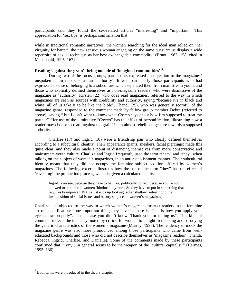participants said they found the sex-related articles "interesting" and "important". This appreciation for 'sex tips' is perhaps confirmation that

while in traditional romantic narratives, the woman searching for the ideal man relied on 'her virginity for barter', the new sensuous woman engaging on the same quest 'must display a wide repertoire of sexual technique as her best exchangeable commodity' (Brunt, 1982: 158, cited in Macdonald, 1995: 167).

# **Reading 'against the grain': being outside of 'imagined communities' 3**

During two of the focus groups, participants expressed an objection to the magazines' unspoken claim to speak as an 'authority'. It was particularly those participants who had expressed a sense of belonging to a subculture which separated them from mainstream youth, and those who explicitly defined themselves as non-magazine readers, who were dismissive of the magazine as 'authority'. Kirsten (22) who does read magazines, referred to the way in which magazines are seen as sources with credibility and authority, saying "because it's in black and white, all of us take it to be like the bible". Thandi (25), who was generally scornful of the magazine genre, responded to the comment made by fellow group member Debra (referred to above), saying " but I don't want to know what *Cosmo* says about how I'm supposed to treat my partner". Her use of the diminutive "*Cosmo*" has the effect of personification, illustrating how a reader may choose to read 'against the grain' in an almost rebellious gesture towards a supposed authority.

 Charlize (17) and Ingrid (18) were a friendship pair who clearly defined themselves according to a subcultural identity. Their appearance (pants, sneakers, facial piercings) made this quite clear, and they also made a point of distancing themselves from more conservative and mainstream youth culture. Charlize and Ingrid frequently used the term "them" and "they" when talking on the subject of women's magazines, in an anti-establishment manner. Their subcultural identity meant that they did not occupy the feminine subject position offered by women's magazines. The following excerpt illustrates how the use of the term "they" has the effect of 'revealing' the production process, which is given a calculated quality:

Ingrid: You see, because they have to be, like, politically correct because you're not allowed to sort of call women 'bimbos' anymore. So they have to put in something that requires brainpower. But, ja…it ends up looking rather shallow [referring to the juxtaposition of social issues and beauty subjects in women's magazines]

Charlize also objected to the way in which women's magazines instruct readers in the feminine art of beautification: "one important thing they have in there is 'This is how you apply your eyeshadow properly". Just in case you didn't know. Thank you for telling us". This kind of comment reflects the tendency, noted by critics, for women to delight in mocking and parodying the generic characteristics of the women's magazine (Murray, 1998). The tendency to mock the magazine genre was also more pronounced among those participants who came from welleducated backgrounds and those who did not describe themselves as 'magazine readers' (Thandi, Rebecca, Ingrid, Charlize, and Danielle). Some of the comments made by these participants confirmed that "irony…in general seems to be the weapon of the 'cultural capitalist'" (Hermes, 1995: 136).

<u>.</u>

<sup>3</sup> Both terms were introduced in the theory chapter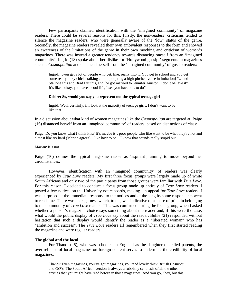Few participants claimed identification with the 'imagined community' of magazine readers. There could be several reasons for this. Firstly, the non-readers' criticisms tended to silence the magazine readers, who were generally aware of the 'low' status of the genre. Secondly, the magazine readers revealed their own ambivalent responses to the form and showed an awareness of the limitations of the genre in their own mocking and criticism of women's magazines. There was instead a greater tendency towards distancing oneself from an 'imagined community'. Ingrid (18) spoke about her dislike for 'Hollywood gossip ' segments in magazines such as *Cosmopolitan* and distanced herself from the ' imagined community' of gossip readers:

Ingrid:…you get a lot of people who get, like, really into it. You get to school and you get some really ditzy chicks talking about [adopting a high-pitched voice in imitation] "…and Stallone this and Brad Pitt this, and, he got married to Jennifer Aniston. I don't believe it" It's like, "okay, you have a cool life, I see you have lots to do".

### **Deidre: So, would you say you represent not the typical teenage girl**

Ingrid: Well, certainly, if I look at the majority of teenage girls, I don't want to be like that.

In a discussion about what kind of women magazines like the *Cosmopolitan* are targeted at, Paige (16) distanced herself from an 'imagined community' of readers, based on distinctions of class:

Paige: Do you know what I think it is? It's maybe it's poor people who like want to be what they're not and almost like try hard (Marian agrees)... like how to be... I know that sounds really stupid but...

Marian: It's not.

Paige (16) defines the typical magazine reader as 'aspirant', aiming to move beyond her circumstances.

 However, identification with an 'imagined community' of readers was clearly experienced by *True Love* readers. My first three focus groups were largely made up of white South Africans and only two of the participants from those groups were familiar with *True Love*. For this reason, I decided to conduct a focus group made up entirely of *True Love* readers. I posted a few notices on the University noticeboards, making an appeal for *True Love* readers. I was surprised at the immediate response to the notices and at the lengths some respondents went to reach me. There was an eagerness which, to me, was indicative of a sense of pride in belonging to the community of *True Love* readers. This was confirmed during the focus group, when I asked whether a person's magazine choice says something about the reader and, if this were the case, what would the public display of *True Love* say about the reader. Buhle (21) responded without hesitation that such a display would identify the reader as a "liberated woman" who has "ambition and success". The *True Love* readers all remembered when they first started reading the magazine and were regular readers.

#### **The global and the local**

For Thandi (25), who was schooled in England as the daughter of exiled parents, the over-reliance of local magazines on foreign content serves to undermine the credibility of local magazines:

Thandi: Even magazines, you've got magazines, you read lovely thick British *Cosmo's* and *GQ's*. The South African version is always a rubbishy synthesis of all the other articles that you might have read before in those magazines. And you go, "hey, but this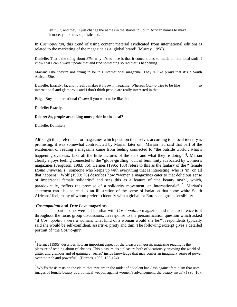isn't…", and they'll just change the names in the stories to South African names to make it more, you know, sophisticated.

In *Cosmopolitan*, this trend of using content material syndicated from international editions is related to the marketing of the magazine as a 'global brand' (Murray, 1998).

Danielle: That's the thing about *Elle*, why it's so nice is that it concentrates so much on like local stuff. I know that I can always update that and find something so rad that is happening.

Marian: Like they're not trying to be this international magazine. They're like proud that it's a South African *Elle*.

Danielle: Exactly. Ja, and it really makes it its own magazine. Whereas *Cosmo* tries to be like so international and glamorous and I don't think people are really interested in that.

Paige: Buy an international *Cosmo* if you want to be like that.

Danielle: Exactly.

#### **Deidre: So, people are taking more pride in the local?**

Danielle: Definitely.

<u>.</u>

Although this preference for magazines which position themselves according to a local identity is promising, it was somewhat contradicted by Marian later on. Marian had said that part of the excitement of reading a magazine came from feeling connected to "the outside world…what's happening overseas. Like all the little pictures of the stars and what they're doing" <sup>4</sup>. Marian clearly enjoys feeling connected to the "globe-girdling" cult of femininity advocated by women's magazines (Ferguson, 1983: 36). Hermes (1995: 103) refers to this as the fantasy of the " female *Homo universalis* : someone who keeps up with everything that is interesting, who is 'in' on all that happens". Wolf (1990: 76) describes how "women's magazines cater to that delicious sense of impersonal female solidarity" and sees this as a feature of 'the beauty myth', which, paradoxically, "offers the promise of a solidarity movement, an Internationale"  $\frac{5}{7}$ . Marian's statement can also be read as an illustration of the sense of isolation that some white South Africans' feel, many of whom prefer to identify with a global, or European, group sensibility.

#### *Cosmopolitan* **and** *True Love* **magazines**

The participants were all familiar with *Cosmopolitan* magazine and made reference to it throughout the focus group discussions. In response to the personification question which asked "if *Cosmopolitan* were a woman, what kind of a woman would she be?", respondents typically said she would be self-confident, assertive, pretty and thin. The following excerpt gives a detailed portrait of 'the *Cosmo*-girl':

<sup>4</sup> Hermes (1995) describes how an important aspect of the pleasure in gossip magazine reading is the pleasure of reading about celebrities. This pleasure "is a pleasure both of vicariously enjoying the world of glitter and glamour and of gaining a 'secret' inside knowledge that may confer an imaginary sense of power over the rich and powerful" (Hermes, 1995: 123-124).

 $5$  Wolf's thesis rests on the claim that "we are in the midst of a violent backlash against feminism that uses images of female beauty as a political weapon against women's advancement: the beauty myth" (1990: 10).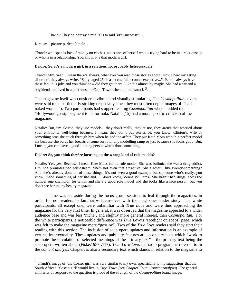Thandi: They do portray a mid 20's to mid 30's, successful...

Kirsten: ...picture perfect female...

Thandi: who spends lots of money on clothes, takes care of herself who is trying hard to be in a relationship or who is in a relationship. You know, it's that modern girl.

### **Deidre: So, it's a modern girl, in a relationship, probably heterosexual?**

Thandi: Mm, yeah. I mean there's always, whenever you read those stories about 'How I beat my eating disorder', they always write, "Sally, aged 25, is a successful accounts executive...". People always have these fabulous jobs and you think how did they get there. Like it's almost by magic. She had a car and a

boyfriend and lived in a penthouse in Cape Town when bulimia struck <sup>6</sup>.

The magazine itself was considered vibrant and visually stimulating. The *Cosmopolitan* covers were said to be particularly striking (especially since they most often depict images of "halfnaked women"). Two participants had stopped reading *Cosmopolitan* when it added the 'Hollywood gossip' segment to its formula. Natalie (15) had a more specific criticism of the magazine:

Natalie: But, um *Cosmo*, they use models... they don't really, they're not, they aren't that worried about your emotional well-being because, I mean, they don't put stories of, you know, Clinton's wife or something 'cos she stuck through him when he had the affair. They put Kate Moss who 's a perfect model six because she bares her breasts at some sort of... any modelling ramp or just because she looks good. But, I mean, you can have a good-looking person who's done something.

### **Deidre: So, you think they're focusing on the wrong kind of role models?**

Natalie: Yes, yes. Because, I mean Kate Moss isn't a role model. She was bulimic, she was a drug addict. Um, she promotes bad self-esteem. She's not even that attractive. She's what... like twenty-something? And she's already done all of these things. It's not even a good example but someone who's really, you know, made something of her life and... I don't know, Venus Williams? She hasn't had drugs, she's the number one champion for tennis and she's a good role model and she looks like a nice person, but you don't see her in any beauty magazine.

 Time was set aside during the focus group sessions to leaf through the magazines, in order for non-readers to familiarize themselves with the magazines under study. The white participants, all except one, were unfamiliar with *True Love* and were thus approaching the magazine for the very first time. In general, it was observed that the magazine appealed to a wider audience base and was less 'niche', and slightly more general interest, than *Cosmopolitan.* For the white participants, a noticeable difference was *True Love*'s 'spotlight on soaps' page, which was felt to make the magazine more "gossipy". Two of the *True Love* readers said they start their reading with this section. The inclusion of soap opera updates and information is an example of vertical intertextuality. These updates and publicity features are secondary texts which "work to promote the circulation of selected meanings of the primary text" – the primary text being the soap opera written about (Fiske,1987 :117). *True Love Live*, the radio programme referred to in the *content analysis* Chapter, is also a secondary text which stands in relation to the magazine to

<sup>&</sup>lt;sup>6</sup><br><sup>6</sup> Thandi's image of 'the *Cosmo* girl' was very similar to my own, specifically to my suggestion that the South African '*Cosmo* girl' would live in Cape Town (see *Chapter Four: Content Analysis*). The general similarity of response to the question is proof of the strength of the *Cosmopolitan* brand image.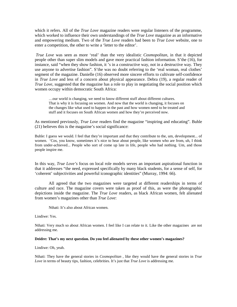which it refers. All of the *True Love* magazine readers were regular listeners of the programme, which worked to influence their own understandings of the *True Love* magazine as an informative and empowering medium. Two of the *True Love* readers had been to *True Love* website, one to enter a competition, the other to write a 'letter to the editor'.

*True Love* was seen as more 'real' than the very idealistic *Cosmopolitan*, in that it depicted people other than super slim models and gave more practical fashion information. S'the (16), for instance, said "when they show fashion, it 's in a constructive way, not in a destructive way. They use anyone to advertise fashion". S'the was no doubt referring to the 'real woman, real clothes' segment of the magazine. Danielle (16) observed more sincere efforts to cultivate self-confidence in *True Love* and less of a concern about physical appearance. Debra (19), a regular reader of *True Love*, suggested that the magazine has a role to play in negotiating the social position which women occupy within democratic South Africa:

…our world is changing, we need to know different stuff about different cultures. That is why it is focusing on women. And now that the world is changing, it focuses on the changes like what used to happen in the past and how women need to be treated and stuff and it focuses on South African women and how they're perceived now.

As mentioned previously, *True Love* readers find the magazine "inspiring and educating". Buhle (21) believes this is the magazine's social significance:

Buhle: I guess we would. I feel that they're important and that they contribute to the, um, development... of women. 'Cos, you know, sometimes it's nice to hear about people, like women who are from, uh, I think from under-achieved... People who sort of come up late in life, people who had nothing. Um, and those people inspire me.

In this way, *True Love's* focus on local role models serves an important aspirational function in that it addresses "the need, expressed specifically by many black students, for a sense of self, for 'coherent' subjectivities and powerful iconographic identities" (Murray, 1994: 66).

 All agreed that the two magazines were targeted at different readerships in terms of culture and race. The magazine covers were taken as proof of this, as were the photographic depictions inside the magazine. The *True Love* readers, as black African women, felt alienated from women's magazines other than *True Love*:

Nthati: It's also about African women.

Lindiwe: Yes.

Nthati: Very much so about African women. I feel like I can relate to it. Like the other magazines are not addressing me.

### **Deidre: That's my next question. Do you feel alienated by these other women's magazines?**

Lindiwe: Oh, yeah.

Nthati: They have the general stories in *Cosmopolitan* , like they would have the general stories in *True Love* in terms of beauty tips, fashion, celebrities. It's just that *True Love* is addressing me.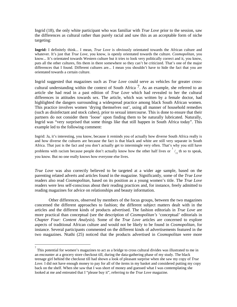Ingrid (18), the only white participant who was familiar with *True Love* prior to the session, saw the differences as cultural rather than purely racial and saw this as an acceptable form of niche targeting:

**Ingrid:** I definitely think... I mean, *True Love* is obviously orientated towards the African culture and whatever. It's just that *True Love*, you know, is openly orientated towards the culture. *Cosmopolitan*, you know... It's orientated towards Western culture but it tries to look very politically correct and it, you know, puts all the other cultures, fits them in there somewhere so they can't be criticized. That's one of the major differences that I found. Different cultures are... I mean you shouldn't have to hide the fact that you are orientated towards a certain culture.

Ingrid suggested that magazines such as *True Love* could serve as vehicles for greater crosscultural understanding within the context of South Africa  $\frac{7}{1}$ . As an example, she referred to an article she had read in a past edition of *True Love* which had revealed to her the cultural differences in attitudes towards sex. The article, which was written by a female doctor, had highlighted the dangers surrounding a widespread practice among black South African women. This practice involves women 'drying themselves out', using all manner of household remedies (such as disinfectant and stock cubes), prior to sexual intercourse. This is done to ensure that their partners do not consider them 'loose' upon finding them to be naturally lubricated. Naturally, Ingrid was "very surprised that some things like that still happen in South Africa today". This example led to the following comment:

Ingrid: Ja, it's interesting, you know, because it reminds you of actually how diverse South Africa really is and how diverse the cultures are because the fact is that black and white are still very separate in South Africa. That just is the fact and you don't actually get to intermingle very often. That's why you still have problems with racism because people don't actually know how the other half lives or  $\frac{1}{11}$  th so to speak, you know. But no one really knows how everyone else lives.

*True Love* was also correctly believed to be targeted at a wider age sample, based on the parenting related adverts and articles found in the magazine. Significantly, some of the *True Love* readers also read *Cosmopolitan*, based on its position as a young women's title. The *True Love*  readers were less self-conscious about their reading practices and, for instance, freely admitted to reading magazines for advice on relationships and beauty information.

 Other differences, observed by members of the focus groups, between the two magazines concerned the different approaches to fashion; the different subject matters dealt with in the articles and the different kinds of products advertised. The fashion editorials in *True Love* are more practical than conceptual (see the description of *Cosmopolitan's* 'conceptual' editorials in *Chapter Four: Content Analysis*). Some of the *True Love* articles are concerned to explore aspects of traditional African culture and would not be likely to be found in *Cosmopolitan*, for instance. Several participants commented on the different kinds of advertisements featured in the two magazines. Ntathi (25) noticed that the products advertised in *Cosmopolitan* were more

<u>.</u>

 $\sigma$  This potential for women's magazines to act as a bridge to cross cultural divides was illustrated to me in an encounter at a grocery store checkout till, during the data-gathering phase of my study. The black teenage girl behind the checkout till had shown a look of pleasant surprise when she saw my copy of *True Love.* I did not have enough money to pay for all of the items in my basket and considered putting my copy back on the shelf. When she saw that I was short of money and guessed what I was contemplating she looked at me and entreated that I "please buy it", referring to the *True Love* magazine.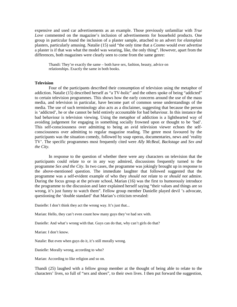expensive and used car advertisements as an example. Those previously unfamiliar with *True Love* commented on the magazine's inclusion of advertisements for household products. One group in particular found the inclusion of a plaster sample, attached to an advert for *elastoplast*  plasters, particularly amusing. Natalie (15) said "the only time that a *Cosmo* would ever advertise a plaster is if that was what the model was wearing, like, the only thing". However, apart from the differences, both magazines were clearly seen to come from the same genre:

Thandi: They're exactly the same – both have sex, fashion, beauty, advice on relationships. Exactly the same in both books.

### **Television**

Four of the participants described their consumption of television using the metaphor of addiction. Natalie (15) described herself as "a TV-holic" and the others spoke of being "addicted" to certain television programmes. This shows how the early concerns around the use of the mass media, and television in particular, have become part of common sense understandings of the media. The use of such terminology also acts as a disclaimer, suggesting that because the person is 'addicted', he or she cannot be held entirely accountable for bad behaviour. In this instance the bad behaviour is television viewing. Using the metaphor of addiction is a lighthearted way of avoiding judgement for engaging in something socially frowned upon or thought to be 'bad'. This self-consciousness over admitting to being an avid television viewer echoes the selfconsciousness over admitting to regular magazine reading. The genre most favoured by the participants was the situation comedy, followed by soap operas, documentaries, news and 'reality TV'. The specific programmes most frequently cited were *Ally McBeal, Backstage* and *Sex and the City.* 

In response to the question of whether there were any characters on television that the participants could relate to or in any way admired, discussions frequently turned to the programme *Sex and the City.* In two cases, the programme was jokingly brought up in response to the above-mentioned question. The immediate laughter that followed suggested that the programme was a self-evident example of who they *should not* relate to or *should not* admire. During the focus group at the private school, Marian (16) was the first to humorously introduce the programme to the discussion and later explained herself saying "their values and things are so wrong, it's just funny to watch them". Fellow group member Danielle played devil 's advocate, questioning the 'double standard' that Marian's criticism revealed:

Danielle: I don't think they act the wrong way. It's just that...

Marian: Hello, they can't even count how many guys they've had sex with.

Danielle: And what's wrong with that. Guys can do that, why can't girls do that?

Marian: I don't know.

Natalie: But even when guys do it, it's still morally wrong.

Danielle: Morally wrong, according to who?

Marian: According to like religion and so on.

Thandi (25) laughed with a fellow group member at the thought of being able to relate to the characters' lives, so full of "sex and shoes", to their own lives. I then put forward the suggestion,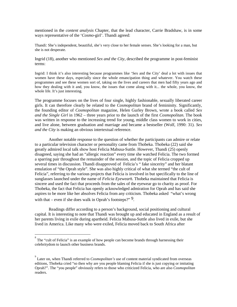mentioned in the *content analysis* Chapter, that the lead character, Carrie Bradshaw, is in some ways representative of the '*Cosmo*-girl'. Thandi agreed:

Thandi: She's independent, beautiful, she's very close to her female senses. She's looking for a man, but she is not desperate.

Ingrid (18), another who mentioned *Sex and the City*, described the programme in post-feminist terms:

Ingrid: I think it's also interesting because programmes like 'Sex and the City' deal a lot with issues that women have these days, especially since the whole emancipation thing and whatever. You watch these programmes and see these women sort of, taking on the lives and careers that men had fifty years ago and how they dealing with it and, you know, the issues that come along with it... the whole, you know, the whole life. It's just interesting.

The programme focuses on the lives of four single, highly fashionable, sexually liberated career girls. It can therefore clearly be related to the *Cosmopolitan* brand of femininity. Significantly, the founding editor of *Cosmopolitan* magazine, Helen Gurley Brown, wrote a book called *Sex and the Single Girl* in 1962 – three years prior to the launch of the first *Cosmopolitan.* The book was written in response to the increasing trend for young, middle class women to work in cities, and live alone, between graduation and marriage and became a bestseller (Wolf, 1990: 31). *Sex and the City* is making an obvious intertextual reference.

 Another notable response to the question of whether the participants can admire or relate to a particular television character or personality came from Thobeka. Thobeka (22) said she greatly admired local talk show host Felicia Mabusa-Suttle. However, Thandi (25) openly disagreed, saying she had an "allergic reaction" every time she watched Felicia. The two formed a sparring pair throughout the remainder of the session, and the topic of Felicia cropped up several times in discussion. Thandi disapproved of Felicia's " fake sincerity" and her blatant emulation of "the Oprah style". She was also highly critical of what she termed "the cult of Felicia", referring to the various projects that Felicia is involved in but specifically to the line of sunglasses launched under the name of *Felicia Eyewear*8*.* Thobeka maintained that Felicia is sincere and used the fact that proceeds from the sales of the eyewear go to charity as proof. For Thobeka, the fact that Felicia has openly acknowledged admiration for Oprah and has said she aspires to be more like her absolves Felicia from any criticism. Thobeka asked "what's wrong with that – even if she does walk in Oprah's footsteps?" $9$ .

 Readings differ according to a person's background, social positioning and cultural capital. It is interesting to note that Thandi was brought up and educated in England as a result of her parents living in exile during apartheid. Felicia Mabusa-Suttle also lived in exile, but she lived in America. Like many who were exiled, Felicia moved back to South Africa after

<u>.</u>

<sup>8</sup> The "cult of Felicia" is an example of how people can become brands through harnessing their celebritydom to launch other business brands.

<sup>9</sup> Later on, when Thandi referred to *Cosmopolitan's* use of content material syndicated from overseas editions, Thobeka cried "so then why are you people blaming Felicia if she is just copying or imitating Oprah?". The "you people" obviously refers to those who criticized Felicia, who are also *Cosmopolitan* readers.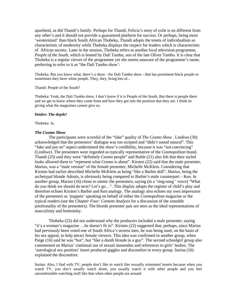apartheid, as did Thandi's family. Perhaps for Thandi, Felicia's story of exile is no different from any other's and it should not provide a guaranteed platform for success. Or perhaps, being more 'westernized' than black South African Thobeka, Thandi adopts the tenets of individualism so characteristic of modernity while Thobeka displays the respect for leaders which is characteristic of African society. Later in the session, Thobeka refers to another local television programme, *People of the South*, which is hosted by Dali Tambo, son of the late Oliver Tambo. It is clear that Thobeka is a regular viewer of the programme yet she seems unaware of the programme's name, preferring to refer to it as "the Dali Tambo show':

Thobeka: But you know what, there's a show - the Dali Tambo show - that has prominent black people or sometimes they have white people. They, they, bring lots of...

#### Thandi: People of the South?

Thobeka: Yeah, the Dali Tambo show. I don't know if it is People of the South. But there is people there and we get to know where they come from and how they got into the position that they are. I think its giving what the magazines cannot give us.

#### **Deidre: The depth?**

Thobeka: Ja.

#### *The Cosmo Show*

The participants were scornful of the "fake" quality of *The Cosmo Show* . Lindiwe (30) acknowledged that the presenters' dialogue was too scripted and "didn't sound natural". This "fake and put on" aspect undermined the show's credibility, because it was "not convincing" (Lindiwe). The presenters were regarded as typically representative of the *Cosmopolitan* brand. Thandi (25) said they were "definitely *Cosmo* people" and Buhle (21) also felt that their styled looks allowed them to "represent what *Cosmo* is about". Kirsten (22) said that the male presenter, Marius, was a "male version" of the female presenter, Michelle McKlein. Considering that Kirsten had earlier described Michelle McKlein as being "like a Barbie doll", Marius, being the archetypal blonde Adonis, is obviously being compared to Barbie's male counterpart – Ken. In another group, Marian (16) chose to mimic the presenters, saying (in a 'sing-song ' voice) "What do you think we should do next? Let's go…". This display adopts the register of child's play and therefore echoes Kirsten's Barbie and Ken analogy. The analogy also echoes my own impression of the presenters as 'puppets' speaking on behalf of either the *Cosmopolitan* magazine or the typical readers (see the *Chapter Four: Content Analysis* for a discussion of the unstable positionality of the presenters). The blonde presenter pair are seen as the ideal representations of masculinity and femininity.

 Thobeka (22) did not understand why the producers included a male presenter, saying "it's a woman's magazine …he doesn't fit in". Kirsten (22) suggested that, perhaps, since Marius had previously been voted one of South Africa's sexiest men, he was being used, on the basis of his sex appeal, to help attract female viewers. This idea was confirmed in another group, when Paige (16) said he was "hot", but "like a dumb blonde in a guy". The second schoolgirl group also commented on Marius' continual use of sexual innuendos and references to girls' bodies. The 'astrological sex position' insert produced giggles and discomfort in every group. Sarina (16) explained the discomfort:

Sarina: Also, I find with TV, people don't like to watch like sexually orientated inserts because when you watch TV, you don't usually watch alone, you usually watch it with other people and you feel uncomfortable watching stuff like that when other people are around.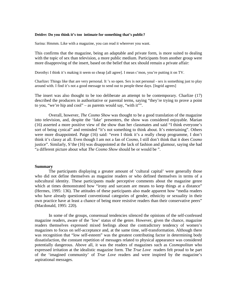#### **Deidre: Do you think it's too intimate for something that's public?**

Sarina: Hmmm. Like with a magazine, you can read it wherever you want.

This confirms that the magazine, being an adaptable and private form, is more suited to dealing with the topic of sex than television, a more public medium. Participants from another group were more disapproving of the insert, based on the belief that sex should remain a private affair:

Dorothy**:** I think it's making it seem so cheap [all agree]. I mean c'mon, you're putting it on TV.

Charlize**:** Things like that are very personal. It 's so open. Sex is not personal - sex is something just to play around with. I find it's not a good message to send out to people these days. [Ingrid agrees]

The insert was also thought to be too deliberate an attempt to be contemporary. Charlize (17) described the producers in authoritative or parental terms, saying "they're trying to prove a point to you, "we're hip and cool" – as parents would say, "with it"".

 Overall, however, *The Cosmo Show* was thought to be a good translation of the magazine into television, and, despite the 'fake' presenters, the show was considered enjoyable. Marian (16) asserted a more positive view of the show than her classmates and said "I think everyone's sort of being cynical" and reminded "it's not something to think about. It's entertaining". Others were more disappointed. Paige (16) said: "even I think it's a really cheap programme, I don't think it's classy at all. Even though I am not a fan of *Cosmo*, I still don't think that it does *Cosmo* justice". Similarly, S'the (16) was disappointed at the lack of fashion and glamour, saying she had "a different picture about what *The Cosmo Show* should be or would be ".

#### **Summary**

The participants displaying a greater amount of 'cultural capital' were generally those who did not define themselves as magazine readers or who defined themselves in terms of a subcultural identity. These participants made perceptive comments about the magazine genre which at times demonstrated how "irony and sarcasm are means to keep things at a distance" (Hermes, 1995: 136). The attitudes of these participants also made apparent how "media readers who have already questioned conventional categories of gender, ethnicity or sexuality in their own practice have at least a chance of being more resistive readers than their conservative peers" (Macdonald, 1995: 220).

 In some of the groups, consensual tendencies silenced the opinions of the self-confessed magazine readers, aware of the 'low' status of the genre. However, given the chance, magazine readers themselves expressed mixed feelings about the contradictory tendency of women's magazines to focus on self-acceptance and, at the same time, self-transformation. Although there was recognition that "low self-esteem" was the greatest contributing factor in determining body dissatisfaction, the constant repetition of messages related to physical appearance was considered potentially dangerous. Above all, it was the readers of magazines such as *Cosmopolitan* who expressed irritation at the idealistic magazine form. The *True Love* readers felt proud to be part of the 'imagined community' of *True Love* readers and were inspired by the magazine's aspirational messages.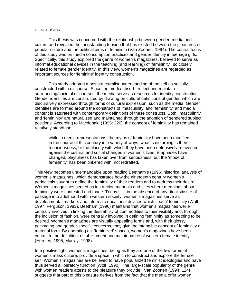# **CONCLUSION**

 This thesis was concerned with the relationship between gender, media and culture and revealed the longstanding tension that has existed between the pleasures of popular culture and the political aims of feminism (Van Zoonen, 1994). The central focus of this study was on media consumption practices and gender identity in teenage girls. Specifically, this study explored the genre of women's magazines, believed to serve as informal educational devices in the teaching (and learning) of 'femininity', so closely related to female gender identity. In this view, women's magazines are regarded as important sources for 'feminine' identity construction.

 This study adopted a poststructuralist understanding of the self as socially constructed within discourse. Since the media absorb, reflect and maintain surrounding/societal discourses, the media serve as resources for identity construction. Gender identities are constructed by drawing on cultural definitions of gender, which are discursively expressed through forms of cultural expression, such as the media. Gender identities are formed around the constructs of 'masculinity' and 'femininity' and media content is saturated with contemporary definitions of these constructs. Both 'masculinity' and 'femininity' are naturalized and maintained through the adoption of gendered subject positions. According to Macdonald (1995: 220), the concept of femininity has remained relatively steadfast:

 while in media representations, the myths of femininity have been modified in the course of this century in a variety of ways, what is disturbing is their tenaciousness, or the alacrity with which they have been defensively reinvented, against the cultural and social changes in women's lives. Emphases have changed, playfulness has taken over from seriousness, but the 'mode of femininity' has been tinkered with, not redrafted.

This view becomes understandable upon reading Beetham's (1996) historical analysis of women's magazines, which demonstrates how the nineteenth century women's periodicals sought to define the femininity of their readers and to address their desire. Women's magazines served as instruction manuals and sites where meanings about femininity were contested and made. Today still, in the absence of any ritualistic rite of passage into adulthood within western society, women's magazines serve as developmental markers and informal educational devices which 'teach' femininity (Wolf, 1997; Ferguson, 1983). Beetham (1996) maintains that women's magazines wer e centrally involved in linking the desirability of commodities to their visibility and, through the inclusion of fashion, were centrally involved in defining femininity as something to be desired. Women's magazines are visually appealing forms and, with their glossy packaging and gender-specific concerns, they give the intangible concept of femininity a material form. By operating as 'feminized' spaces, women's magazines have been central to the definition, establishment and maintenance of western female identity (Hermes, 1995; Murray, 1998).

In a positive light, women's magazines, being as they are one of the few forms of women's mass culture, provide a space in which to construct and explore the female self. Women's magazines are believed to have popularized feminist ideologies and have thus served a liberatory function (Wolf, 1990). The large-scale popularity of the genre with women readers attests to the pleasure they provide. Van Zoonen (1994: 124) suggests that part of this pleasure derives from the fact that the media offer women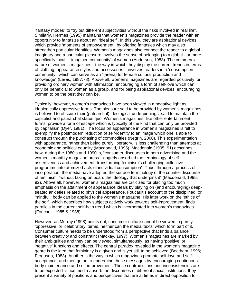"fantasy modes" to "try out different subjectivities without the risks involved in real life". Similarly, Hermes (1995) maintains that women's magazines provide the reader with an opportunity to fantasize about an 'ideal self'. In this way, they are aspirational devices which provide 'moments of empowerment ' by offering fantasies which may also strengthen particular identities. Women's magazines also connect the reader to a global imaginary and a particular pleasure involves the sense of belonging to a global - or more specifically local - 'imagined community' of women (Anderson, 1983). The commercial nature of women's magazines - the way in which they display the current trends in terms of clothing, appearance styles and accessories – involves readers in a 'consumption community', which can serve as an "[arena] for female cultural production and knowledge" (Lewis, 1987:78). Above all, women's magazines are regarded positively for providing ordinary women with affirmation, encouraging a form of self-love which can only be beneficial to women as a group, and for being aspirational devices, encouraging women to be the best they can be.

Typically, however, women's magazines have been viewed in a negative light as ideologically oppressive forms. The pleasure said to be provided by women's magazines is believed to obscure their (patriarchal) ideological underpinnings, said to maintain the capitalist and patriarchal status quo. Women's magazines, like other entertainment forms, provide a form of escape which is typically of the kind that can only be provided by capitalism (Dyer, 1981). The focus on appearance in women's magazines is felt to exemplify the postmodern reduction of self-identity to an image which one is able to construct through the purchasing of commodities (Negrin, 2000). This experimentation with appearance, rather than being purely liberatory, is less challenging than attempts at economic and political equality (Macdonald, 1995). Macdonald (1995: 91) describes how, during the 1980's and 1990' s, "consumer discourses in both advertising and the women's monthly magazine press…eagerly absorbed the terminology of selfassertiveness and achievement, transforming feminism's challenging collective programme into atomized acts of individual consumption". Thus, through a process of incorporation, the media have adopted the surface terminology of the counter-discourse of feminism "without taking on board the ideology that underpins it" (Macdonald, 1995: 92). Above all, however, women's magazines are criticized for placing too much emphasis on the attainment of appearance ideals by playing on (and encouraging) deepseated anxieties related to physical appearance. Foucault's account of the disciplined, or 'mindful', body can be applied to the women's magazine. His later work on the 'ethics of the self', which describes how subjects actively work towards self-improvement, finds parallels in the current self-help trend which is incorporated into women's magazines (Foucault, 1985 & 1988).

However, as Murray (1998) points out, consumer culture cannot be viewed in purely 'oppressive' or 'celebratory' terms, neither can the media 'texts' which form part of it. Consumer culture needs to be understood from a perspective that finds a balance between creativity and constraint (Mackay, 1997). Women's magazines are marked by their ambiguities and they can be viewed, simultaneously, as having 'positive' or 'negative' functions and effects. The central paradox revealed in the women's magazine genre is the idea that femininity is a given and is yet still to be achieved (Beetham, 1996; Ferguson, 1983). Another is the way in which magazines promote self-love and selfacceptance, and then go on to undermine these messages by encouraging continuous body maintenance and self-improvement. These contradictions and inconsistencies are to be expected "since media absorb the discourses of different social institutions, they present a variety of positions and perspectives that are at times in direct opposition to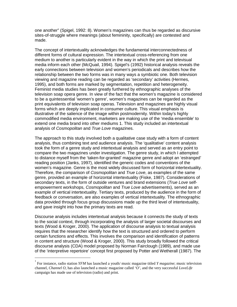one another" (Spigel, 1992: 8). Women's magazines can thus be regarded as discursive sites-of-struggle where meanings (about femininity, specifically) are contested and made.

The concept of intertextuality acknowledges the fundamental interconnectedness of different forms of cultural expression. The intertextual cross-referencing from one medium to another is particularly evident in the way in which the print and televisual media inform each other (McQuail, 1994). Spigel's (1992) historical analysis reveals the early connections between television and women's periodicals and describes how the relationship between the two forms was in many ways a symbiotic one. Both television viewing and magazine reading can be regarded as 'secondary' activities (Hermes, 1995), and both forms are marked by segmentation, repetition and heterogeneity. Feminist media studies has been greatly furthered by ethnographic analyses of the television soap opera genre. In view of the fact that the women's magazine is considered to be a quintessential 'women's genre', women's magazines can be regarded as the print equivalents of television soap operas. Television and magazines are highly visual forms which are deeply implicated in consumer culture. This visual emphasis is illustrative of the salience of the image within postmodernity. Within today's highly commodified media environment, marketers are making use of the 'media ensemble' to extend one media brand into other mediums 1. This study included an intertextual analysis of Cosmopolitan and True Love magazines.

The approach to this study involved both a qualitative case study with a form of content analysis, thus combining text and audience analysis. The 'qualitative' content analysis took the form of a genre study and intertextual analysis and served as an entry point to compare the two magazines under investigation. The genre study, in which I attempted to distance myself from the 'taken-for-granted' magazine genre and adopt an 'estranged' reading position (Janks, 1997), identified the generic codes and conventions of the women's magazine. Genre is the most widely discussed form of horizontal intertextuality. Therefore, the comparison of Cosmopolitan and True Love, as examples of the same genre, provided an example of horizontal intertextuality (Fiske, 1987). Considerations of secondary texts, in the form of outside ventures and brand extensions (True Love selfempowerment workshops, Cosmopolitan and True Love advertisements), served as an example of vertical intertextuality. Tertiary texts, produced by the audience in the form of feedback or conversation, are also examples of vertical intertextuality. The ethnographic data provided through focus group discussions made up the third level of intertextuality, and gave insight into how the primary texts are read.

Discourse analysis includes intertextual analysis because it connects the study of texts to the social context, through incorporating the analysis of larger societal discourses and texts (Wood & Kroger, 2000). The application of discourse analysis to textual analysis requires that the researcher identify how the text is structured and ordered to perform certain functions and effects. This involves the comparison and identification of patterns in content and structure (Wood & Kroger, 2000). This study broadly followed the critical discourse analysis (CDA) model proposed by Norman Fairclough (1989), and made use of the 'interpretive repertoire' concept first proposed by Potter and Wetherall (1987). The

<u>.</u>

<sup>1</sup> For instance, radio station *YFM* has launched a youth/ music magazine titled *Y magazine*; music television channel, *Channel O*, has also launched a music magazine called *'O'*, and the very successful *LoveLife* campaign has made use of television (radio) and print.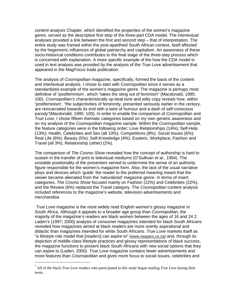content analysis Chapter, which identified the properties of the women's magazine genre, served as the descriptive first step of the three-part CDA model. The intertextual analyses provided a link between the first and second step – that of interpretation. The entire study was framed within the post-apartheid South African context, itself affected by the hegemonic influences of global patriarchy and capitalism. An awareness of these socio-historical conditions contributes to the final stage of the three-step process which is concerned with explanation. A more specific example of the how the CDA model is used in text analysis was provided by the analysis of the True Love advertisement that appeared in the MagFocus trade publication.

The analysis of *Cosmopolitan* magazine, specifically, formed the basis of the content and intertextual analysis. I chose to start with Cosmopolitan since it serves as a standardized example of the women's magazine genre. The magazine is perhaps most definitive of 'postfeminism', which "takes the sting out of feminism" (Macdonald, 1995: 100). Cosmopolitan's characteristically up-beat tone and witty copy reveals how, within 'postfeminism', "the subjectivities of femininity, presented seriously earlier in the century, are reincarnated towards its end with a twist of humour and a dash of self-conscious parody"(Macdonald, 1995: 100). In order to enable the comparison of Cosmopolitan and True Love, I chose fifteen thematic categories based on my own generic awareness and on my analysis of the Cosmopolitan magazine sample. Within the Cosmopolitan sample, the feature categories were in the following order: Love Relationships (14%); Self-Help (13%); Health, Celebrities and Sex (all 10%); Competitions (8%); Social Issues (6%); Real Life (6%); Beauty (5%); Self-Knowledge (4%); Esoteric, Workplace, Fashion and Travel (all 3%); Relationship (other) (2%).

The comparison of The Cosmo Show revealed how the concept of authorship is hard to sustain in the transfer of print to televisual mediums (O'Sullivan et al., 1994). The unstable positionality of the presenters served to undermine the sense of an authority figure responsible for the women's magazine form. Also, the lack of the usual narrative ploys and devices which 'guide' the reader to the preferred meaning meant that the viewer became alienated from the 'naturalized' magazine genre. In terms of insert categories, The Cosmo Show focused mainly on Fashion (22%) and Celebrities (22%), and the Review (6%) replaced the Travel category. The Cosmopolitan content analysis included references to the magazine's website, television advertisements and merchandise.

True Love magazine is the most widely read English women's glossy magazine in South Africa. Although it appeals to a broader age group than Cosmopolitan, the majority of the magazine's readers are black women between the ages of 16 and 24 2. Laden's (1997; 2000) analysis of consumer magazines intended for black South Africans revealed how magazines aimed at black readers are more overtly aspirational and didactic than magazines intended for white South Africans. True Love markets itself as "a lifestyle role model that [readers] can aspire to" (www.naspers.co.za) and, through its depiction of middle-class lifestyle practices and glossy representations of black success, the magazine functions to present black South Africans with new social options that they can aspire to (Laden, 2000). True Love magazine contains fewer advertisements and more features than Cosmopolitan and gives more focus to social issues, celebrities and

 $\frac{1}{2}$  All of the black *True Love* readers who participated in this study began reading *True Love* during their teens.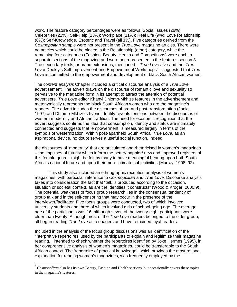work. The feature category percentages were as follows: Social Issues (26%); Celebrities (21%); Self-Help (13%); Workplace (11%); Real Life (9%); Love Relationship (6%); Self-Knowledge, Esoteric and Travel (all 1%). Five categories derived from the Cosmopolitan sample were not present in the True Love magazine articles. There were no articles which could be placed in the Relationship (other) category, while the remaining four categories (Fashion, Beauty, Health and Competitions) were each in separate sections of the magazine and were not represented in the features section 3. The secondary texts, or brand extensions, mentioned – True Love Live and the 'True Love/ Dooley's Self-improvement and Empowerment Workshops' – suggested that True Love is committed to the empowerment and development of black South African women.

The content analysis Chapter included a critical discourse analysis of a True Love advertisement. The advert draws on the discourse of romantic love and sexuality so pervasive to the magazine form in its attempt to attract the attention of potential advertisers. True Love editor Khanyi Dhlomo-Mkhize features in the advertisement and metonymically represents the black South African women who are the magazine's readers. The advert includes the discourses of pre-and post-transformation (Janks, 1997) and Dhlomo-Mkhize's hybrid identity reveals tensions between the discourses of western modernity and African tradition. The need for economic recognition that the advert suggests confirms the idea that consumption, identity and status are intimately connected and suggests that 'empowerment' is measured largely in terms of the symbols of westernization. Within post-apartheid South Africa, True Love, as an aspirational device, no doubt serves a useful social function. Indeed,

the discourses of 'modernity' that are articulated and rhetoricised in women's magazines – the impulses of futurity which inform the better/ happier/ new and improved registers of this female genre - might be felt by many to have meaningful bearing upon both South Africa's national future and upon their more intimate subjectivities (Murray, 1998: 92).

 This study also included an ethnographic reception analysis of women's magazines, with particular reference to *Cosmopolitan* and *True Love.* Discourse analysis takes into consideration the fact that "talk is produced according to the occasion, situation or societal context, as are the identities it constructs" (Wood & Kroger, 2000:9). The potential weakness of focus group research lies in the consensual tendency of group talk and in the self-censoring that may occur in the presence of the interviewer/facilitator. Five focus groups were conducted, two of which involved university students and three of which involved girls of school-going age. The average age of the participants was 16, although seven of the twenty-eight participants were older than twenty. Although most of the *True Love* readers belonged to the older group, all began reading True Love as teenagers and have remained loyal readers.

Included in the analysis of the focus group discussions was an identification of the 'interpretive repertoires' used by the participants to explain and legitimize their magazine reading. I intended to check whether the repertoires identified by Joke Hermes (1995), in her comprehensive analysis of women's magazines, could be transferable to the South African context. The 'repertoire of practical knowledge', which provides the most rational explanation for reading women's magazines, was frequently employed by the

<u>.</u>

<sup>3</sup> *Cosmopolitan* also has its own Beauty, Fashion and Health sections, but occasionally covers these topics in the magazine's features.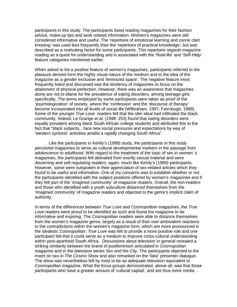participants in this study. The participants listed reading magazines for their fashion advice, make-up tips and work related information. Women's magazines were still considered informative and useful. The 'repertoire of emotional learning and conne cted knowing' was used less frequently than the 'repertoire of practical knowledge', but was described as a motivating factor for some participants. This repertoire regards magazine reading as a quest for understanding and is associated with the 'Real-life' and 'Self-Help' feature categories mentioned earlier.

When asked to list a positive feature of women's magazines, participants referred to the pleasure derived form the highly visual nature of the medium and to the idea of the magazine as a gender exclusive and 'feminized space'. The negative feature most frequently listed and discussed was the tendency of magazines to focus on the attainment of physical perfection. However, there was an awareness that magazines alone are not to blame for the prevalence of eating disorders, among teenage girls specifically. The terms employed by some participants were taken as proof of the 'psychologization' of society, where the 'confession' and the 'discourse of therapy' become incorporated into all levels of social life (Wilbraham, 1997; Fairclough, 1989). Some of the younger True Love readers felt that the slim ideal had infiltrated the black community. Indeed, Le Grange et al. (1998: 253) found that eating disorders were equally prevalent among black South African college students and attributed this to the fact that "black subjects…face new social pressures and expectations by way of 'western syntonic' activities amidst a rapidly changing South Africa".

Like the participants in Kehily's (1999) study, the participants in this study perceived magazines to serve as cultural developmental markers in the passage from adolescence to adulthood. With regard to the treatment of the topic of sex in women' s magazines, the participants felt alienated from overtly sexual material and were discerning and self-regulating readers, again, much like Kehily's (1999) participants. However, some were outspoken in their appreciation of sex-related articles which they found to be useful and informative. One of my concerns was to establish whether or not the participants identified with the subject positions offered by women's magazines and if they felt part of the 'imagined community' of magazine readers. Overall, the non-readers and those who identified with a youth subculture distanced themselves from the 'imagined community' of magazine readers and objected to the genre's implicit claim of authority.

In terms of the differences between True Love and Cosmopolitan magazines, the True Love readers were proud to be identified as such and found the magazine to be informative and inspiring. The Cosmopolitan readers were able to distance themselves from the women's magazine genre, largely as a result of their own ambivalent reactions to the contradictions within the women's magazine form, which are more pronounced in the idealistic Cosmopolitan. True Love was felt to provide a more positive role and one participant felt that it could serve as a medium to improve cross-cultural understanding within post-apartheid South Africa. Discussions about television in general revealed a striking similarity between the brand of postfeminism articulated in Cosmopolitan magazine and in the television series Sex and the City. The participants objected to the insert on sex in The Cosmo Show and also remarked on the 'fake' presenter dialogue. The show was nevertheless felt by most to be an adequate television equivalent to Cosmopolitan magazine. What the focus groups demonstrated, above all, was that those participants who have a greater amount of 'cultural capital', and are thus more media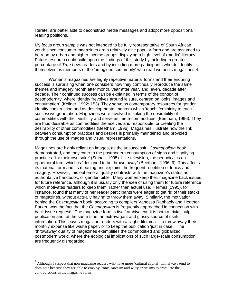literate, are better able to deconstruct media messages and adopt more oppositional reading positions.

My focus group sample was not intended to be fully representative of South African youth since consumer magazines are a relatively elite popular form and are assumed to be read by urban and higher income groups displaying a high level of (media) literacy. Future research could build upon the findings of this study by including a greater percentage of True Love readers and by including more participants who do identify themselves as members of the ' imagined community' who read women's magazines 4.

Women's magazines are highly repetitive material forms and their enduring success is surprising when one considers how they continually reproduce the same themes and imagery month after month, year after year, and, even, decade after decade. Their continued success can be explained in terms of the context of postmodernity, where identity "revolves around leisure, centred on looks, images and consumption" (Kellner, 1992: 153). They serve as contemporary resources for gender identity construction and as developmental markers which 'teach' femininity to each successive generation. Magazines were involved in linking the desirability of commodities with their visibility and serve as 'meta-commodities' (Beetham, 1996). They are thus desirable as commodities themselves and responsible for creating the desirability of other commodities (Beetham, 1996). Magazines illustrate how the link between consumption practices and desires is primarily maintained and provided through the use of images and visual representations.

Magazines are highly reliant on images, as the unsuccessful Cosmopolitan book demonstrated, and they cater to the postmodern consumption of signs and signifying practices 'for their own sake' (Strinati, 1995). Like television, the periodical is an ephemeral form which is "designed to be thrown away" (Beetham, 1996: 9). This affects its material form and its meaning and explains the frequent repetition of topics and imagery. However, this ephemeral quality contrasts with the magazine's status as authoritative handbook, or gender 'bible'. Many women keep their magazine back issues for future reference, although it is usually only the *idea* of using them for future reference which motivates readers to keep them, rather than actual use. Hermes (1995), for instance, found that many of her reader participants were eager to get rid of their stacks of magazines, without actually having to throw them away. Similarly, the motivation behind the Cosmopolitan book, according to compilers Vanessa Raphaely and Heather Parker, was the fact that the *Cosmopolitan* is frequently approached in connection with back issue requests. The magazine form is itself ambivalent: it is both a trivial 'pulp' publication and, at the same time, an extravagant and glossy source of useful information. This leaves magazine readers with a slight dilemma – to throw away their monthly expense like waste paper, or to keep the publication 'just in case'. The 'throwaway' quality of magazines exemplifies the commodified and globalized postmodern world, where the ecological implications of such large-scale consumption are frequently disregarded.

<u>.</u>

<sup>4</sup> Although I suspect that non-magazine readers who have more 'cultural capital' will always tend to dominate because they are able to employ irony, sarcasm and witty criticisms to articulate the contradictions in the magazine form.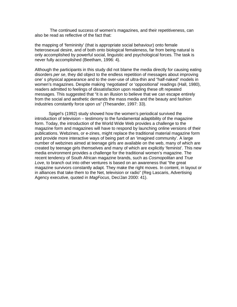The continued success of women's magazines, and their repetitiveness, can also be read as reflective of the fact that:

the mapping of 'femininity' (that is appropriate social behaviour) onto female heterosexual desire, and of both onto biological femaleness, far from being natural is only accomplished by powerful social, linguistic and psychological forces. The task is never fully accomplished (Beetham, 1996: 4).

Although the participants in this study did not blame the media directly for causing eating disorders per se, they did object to the endless repetition of messages about improving one' s physical appearance and to the over-use of ultra-thin and "half-naked" models in women's magazines. Despite making 'negotiated' or 'oppositional' readings (Hall, 1980), readers admitted to feelings of dissatisfaction upon reading these oft repeated messages. This suggested that "it is an illusion to believe that we can escape entirely from the social and aesthetic demands the mass media and the beauty and fashion industries constantly force upon us" (Thesander, 1997: 33).

 Spigel's (1992) study showed how the women's periodical survived the introduction of television – testimony to the fundamental adaptibility of the magazine form. Today, the introduction of the World Wide Web provides a challenge to the magazine form and magazines will have to respond by launching online versions of their publications. Webzines, or e-zines, might replace the traditional material magazine form and provide more interactive ways of being part of an 'imagined community'. A large number of webzines aimed at teenage girls are available on the web, many of which are created by teenage girls themselves and many of which are explicitly 'feminist'. This new media environment provides a challenge for the traditional women's magazine. The recent tendency of South African magazine brands, such as Cosmopolitan and True Love, to branch out into other ventures is based on an awareness that "the great magazine survivors constantly adapt. They make the right moves. In content, in layout or in alliances that take them to the Net, television or radio" (Reg Lascaris, Advertising Agency executive, quoted in MagFocus, Dec/Jan 2000: 41).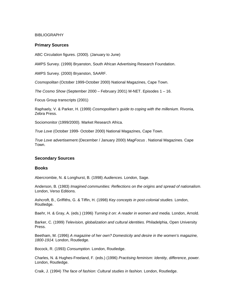### BIBLIOGRAPHY

# **Primary Sources**

ABC Circulation figures. (2000). (January to June)

AMPS Survey. (1999) Bryanston, South African Advertising Research Foundation.

AMPS Survey. (2000) Bryanston, SAARF.

Cosmopolitan (October 1999-October 2000) National Magazines, Cape Town.

The Cosmo Show (September 2000 – February 2001) M-NET. Episodes 1 – 16.

Focus Group transcripts (2001)

Raphaely, V. & Parker, H. (1999) Cosmopolitan's guide to coping with the millenium. Rivonia, Zebra Press.

Sociomonitor (1999/2000). Market Research Africa.

True Love (October 1999- October 2000) National Magazines, Cape Town.

True Love advertisement (December / January 2000) MagFocus . National Magazines. Cape Town.

### **Secondary Sources**

### **Books**

Abercrombie, N. & Longhurst, B. (1998) Audiences. London, Sage.

Anderson, B. (1983) Imagined communities: Reflections on the origins and spread of nationalism. London, Verso Editions.

Ashcroft, B., Griffiths, G. & Tiffin, H. (1998) Key concepts in post-colonial studies. London, Routledge.

Baehr, H. & Gray, A. (eds.) (1996) Turning it on: A reader in women and media. London, Arnold.

Barker, C. (1999) Television, globalization and cultural identities. Philadelphia, Open University Press.

Beetham, M. (1996) A magazine of her own? Domesticity and desire in the women's magazine, 1800-1914. London, Routledge.

Bocock, R. (1993) Consumption. London, Routledge.

Charles, N. & Hughes-Freeland, F. (eds.) (1996) Practising feminism: Identity, difference, power. London, Routledge.

Craik, J. (1994) The face of fashion: Cultural studies in fashion. London, Routledge.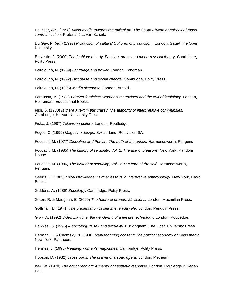De Beer, A.S. (1998) Mass media towards the millenium: The South African handbook of mass communication. Pretoria, J.L. van Schaik.

Du Gay, P. (ed.) (1997) Production of culture/ Cultures of production. London, Sage/ The Open University.

Entwistle, J. (2000) The fashioned body: Fashion, dress and modern social theory. Cambridge, Polity Press.

Fairclough, N. (1989) Language and power. London, Longman.

Fairclough, N. (1992) Discourse and social change. Cambridge, Polity Press.

Fairclough, N. (1995) Media discourse. London, Arnold.

Ferguson, M. (1983) Forever feminine: Women's magazines and the cult of femininity. London, Heinemann Educational Books.

Fish, S. (1980) Is there a text in this class? The authority of interpretative communities. Cambridge, Harvard University Press.

Fiske, J. (1987) Television culture. London, Routledge.

Foges, C. (1999) Magazine design. Switzerland, Rotovision SA.

Foucault, M. (1977) Discipline and Punish: The birth of the prison. Harmondsworth, Penguin.

Foucault, M. (1985) The history of sexuality, Vol. 2: The use of pleasure. New York, Random House.

Foucault, M. (1986) The history of sexuality, Vol. 3: The care of the self. Harmondsworth, Penguin.

Geertz, C. (1983) Local knowledge: Further essays in interpretive anthropology. New York, Basic Books.

Giddens, A. (1989) Sociology. Cambridge, Polity Press.

Gifton, R. & Maughan, E. (2000) The future of brands: 25 visions. London, Macmillan Press.

Goffman, E. (1971) The presentation of self in everyday life. London, Penguin Press.

Gray, A. (1992) Video playtime: the gendering of a leisure technology. London: Routledge.

Hawkes, G. (1996) A sociology of sex and sexuality. Buckingham, The Open University Press.

Herman, E. & Chomsky, N. (1988) Manufacturing consent: The political economy of mass media. New York, Pantheon.

Hermes, J. (1995) Reading women's magazines. Cambridge, Polity Press.

Hobson, D. (1982) Crossroads: The drama of a soap opera. London, Metheun.

Iser, W. (1978) The act of reading: A theory of aesthetic response. London, Routledge & Kegan Paul.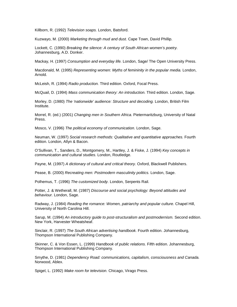Killborn, R. (1992) Television soaps. London, Batsford.

Kuzwayo, M. (2000) Marketing through mud and dust. Cape Town, David Phillip.

Lockett, C. (1990) Breaking the silence: A century of South African women's poetry. Johannesburg, A.D. Donker.

Mackay, H. (1997) Consumption and everyday life. London, Sage/ The Open University Press.

Macdonald, M. (1995) Representing women: Myths of femininity in the popular media. London, Arnold.

McLeish, R. (1994) Radio production. Third edition. Oxford, Focal Press.

McQuail, D. (1994) Mass communication theory: An introduction. Third edition. London, Sage.

Morley, D. (1980) The 'nationwide' audience: Structure and decoding. London, British Film Institute.

Morrel, R. (ed.) (2001) Changing men in Southern Africa. Pietermaritzburg, University of Natal Press.

Mosco, V. (1996) The political economy of communication. London, Sage.

Neuman, W. (1997) Social research methods: Qualitative and quantitative approaches. Fourth edition. London, Allyn & Bacon.

O'Sullivan, T., Sanders, D., Montgomery, M., Hartley, J. & Fiske, J. (1994) Key concepts in communication and cultural studies. London, Routledge.

Payne, M. (1997) A dictionary of cultural and critical theory. Oxford, Blackwell Publishers.

Pease, B. (2000) Recreating men: Postmodern masculinity politics. London, Sage.

Polhemus, T. (1996) The customized body. London, Serpents Rail.

Potter, J. & Wetherall, M. (1987) Discourse and social psychology: Beyond attitudes and behaviour. London, Sage.

Radway, J. (1984) Reading the romance: Women, patriarchy and popular culture. Chapel Hill, University of North Carolina Hill.

Sarup, M. (1994) An introductory guide to post-structuralism and postmodernism. Second edition. New York, Harvester Wheatsheaf.

Sinclair, R. (1997) The South African advertising handbook. Fourth edition. Johannesburg, Thompson International Publishing Company.

Skinner, C. & Von Essen, L. (1999) Handbook of public relations. Fifth edition. Johannesburg, Thompson International Publishing Company.

Smythe, D. (1981) Dependency Road: communications, capitalism, consciousness and Canada. Norwood, Ablex.

Spigel, L. (1992) Make room for television. Chicago, Virago Press.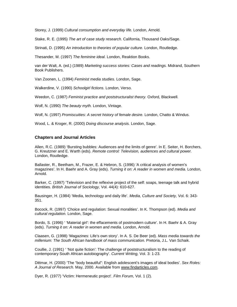Storey, J. (1999) Cultural consumption and everyday life. London, Arnold.

Stake, R. E. (1995) The art of case study research. California, Thousand Oaks/Sage.

Strinati, D. (1995) An introduction to theories of popular culture. London, Routledge.

Thesander, M. (1997) The feminine ideal. London, Reaktion Books.

van der Walt, A. (ed.) (1989) Marketing success stories: Cases and readings. Midrand, Southern Book Publishers.

Van Zoonen, L. (1994) Feminist media studies. London, Sage.

Walkerdine, V. (1990) Schoolgirl fictions. London, Verso.

Weedon, C. (1987) Feminist practice and poststructuralist theory. Oxford, Blackwell.

Wolf, N. (1990) The beauty myth. London, Vintage.

Wolf, N. (1997) Promiscuities: A secret history of female desire. London, Chatto & Windus.

Wood, L. & Kroger, R. (2000) Doing discourse analysis. London, Sage.

### **Chapters and Journal Articles**

Allen, R.C. (1989) 'Bursting bubbles: Audiences and the limits of genre'. In E. Seiter, H. Borchers, G. Kreutzner and E. Warth (eds). Remote control: Television, audiences and cultural power. London, Routledge.

Ballaster, R., Beetham, M., Frazer, E. & Hebron, S. (1996) 'A critical analysis of women's magazines'. In H. Baehr and A. Gray (eds). Turning it on: A reader in women and media. London, Arnold.

Barker, C. (1997) 'Television and the reflexive project of the self: soaps, teenage talk and hybrid identities. British Journal of Sociology, Vol. 44(4): 610-627.

Bausinger, H. (1984) 'Media, technology and daily life'. Media, Culture and Society, Vol. 6: 343- 351.

Bocock, R. (1997) 'Choice and regulation: Sexual moralities'. In K. Thompson (ed). Media and cultural regulation. London, Sage.

Bordo, S. (1996) ' 'Material girl': the effacements of postmodern culture'. In H. Baehr & A. Gray (eds). Turning it on: A reader in women and media. London, Arnold.

Claasen, G. (1998) 'Magazines: Life's own story'. In A. S. De Beer (ed). Mass media towards the millenium: The South African handbook of mass communication. Pretoria, J.L. Van Schaik.

Coullie, J. (1991) ' 'Not quite fiction': The challenge of poststructuralism to the reading of contemporary South African autobiography'. Current Writing, Vol. 3: 1-23.

Dittmar, H. (2000) 'The "body beautiful": English adolescent's images of ideal bodies'. Sex Roles: A Journal of Research. May, 2000. Available from www.findarticles.com.

Dyer, R. (1977) 'Victim: Hermeneutic project'. Film Forum, Vol. 1 (2).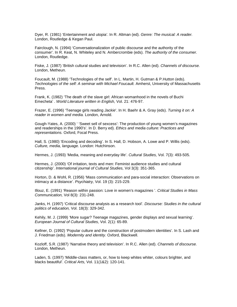Dyer, R. (1981) 'Entertainment and utopia'. In R. Altman (ed). Genre: The musical: A reader. London, Routledge & Kegan Paul.

Fairclough, N. (1994) 'Conversationalization of public discourse and the authority of the consumer'. In R. Keat, N. Whiteley and N. Ambercrombie (eds). The authority of the consumer. London, Routledge.

Fiske, J. (1987) 'British cultural studies and television'. In R.C. Allen (ed). Channels of discourse. London, Metheun.

Foucault, M. (1988) 'Technologies of the self'. In L. Martin, H. Gutman & P.Hutton (eds). Technologies of the self: A seminar with Michael Foucault. Amherst, University of Massachusetts Press.

Frank, K. (1982) 'The death of the slave girl: African womanhood in the novels of Buchi Emecheta' . World Literature written in English, Vol. 21: 476-97.

Frazer, E. (1996) 'Teenage girls reading Jackie'. In H. Baehr & A. Gray (eds). Turning it on: A reader in women and media. London, Arnold.

Gough-Yates, A. (2000) ' 'Sweet sell of sexcess': The production of young women's magazines and readerships in the 1990's'. In D. Berry ed). Ethics and media culture: Practices and representations. Oxford, Focal Press.

Hall, S. (1980) 'Encoding and decoding'. In S. Hall, D. Hobson, A. Lowe and P. Willis (eds). Culture, media, language. London: Hutchinson.

Hermes, J. (1993) 'Media, meaning and everyday life'. Cultural Studies, Vol. 7(3): 493-505.

Hermes, J. (2000) 'Of irritation, texts and men: Feminist audience studies and cultural citizenship'. International journal of Cultural Studies, Vol 3(3): 351-365.

Horton, D. & Wohl, R. (1956) 'Mass communication and para-social interaction: Observations on intimacy at a distance'. Psychiatry, Vol. 19 (3): 215-229.

Illouz, E. (1991) 'Reason within passion: Love in women's magazines '. Critical Studies in Mass Communication, Vol 8(3): 231-248.

Janks, H. (1997) 'Critical discourse analysis as a research tool'. Discourse: Studies in the cultural politics of education, Vol. 18(3): 329-342.

Kehily, M. J. (1999) 'More sugar? Teenage magazines, gender displays and sexual learning'. European Journal of Cultural Studies, Vol. 2(1): 65-89.

Kellner, D. (1992) 'Popular culture and the construction of postmodern identities'. In S. Lash and J. Friedman (eds). Modernity and identity. Oxford, Blackwell.

Kozloff, S.R. (1987) 'Narrative theory and television'. In R.C. Allen (ed). Channels of discourse. London, Metheun.

Laden, S. (1997) 'Middle-class matters, or, how to keep whites whiter, colours brighter, and blacks beautiful'. Critical Arts, Vol. 11(1&2): 120-141.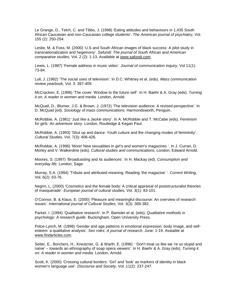Le Grange, D., Telch, C. and Tibbs, J. (1998) 'Eating attitudes and behaviours in 1,435 South African Caucasian and non-Caucasian college students'. The American journal of psychiatry, Vol. 155 (2): 250-254.

Leslie, M. & Foss, M. (2000) 'U.S and South African images of black success: A pilot study in transnationalization and hegemony'. Safundi: The journal of South African and American comparative studies, Vol. 2 (2): 1-13. Available at www.safundi.com.

Lewis, L. (1987) 'Female address in music video'. Journal of communication inquiry, Vol 11(1): 73-84.

Lull, J. (1982) 'The social uses of television'. In D.C. Whitney et al. (eds). Mass communication review yearbook, Vol. 3: 397-409.

McCracken, E. (1996) 'The cover: Window to the future self'. In H. Baehr & A. Gray (eds). Turning it on: A reader in women and media. London, Arnold.

McQuail, D., Blumer, J.G. & Brown, J. (1972) 'The television audience: A revised perspective'. In D. McQuail (ed). Sociology of mass communications. Harmondsworth, Penguin.

McRobbie, A. (1981) 'Just like a Jackie story'. In A. McRobbie and T. McCabe (eds). Feminism for girls: An adventure story. London, Routledge & Kegan Paul.

McRobbie, A. (1993) 'Shut up and dance: Youth culture and the changing modes of femininity'. Cultural Studies, Vol. 7(3): 406-426.

McRobbie, A. (1996) 'More! New sexualities in girl's and women's magazines '. In J. Curran, D. Morley and V. Walkerdine (eds). Cultural studies and communications. London, Edward Arnold.

Moores, S. (1997) 'Broadcasting and its audiences'. In H. Mackay (ed). Consumption and everyday life. London, Sage.

Murray, S.A. (1994) 'Tribute and attributed meaning: Reading 'the magazine' '. Current Writing, Vol. 6(2): 63-76.

Negrin, L. (2000) 'Cosmetics and the female body: A critical appraisal of poststructuralist theories of masquerade'. European journal of cultural studies, Vol. 3(1): 83-101.

O'Connor, B. & Klaus, E. (2000) 'Pleasure and meaningful discourse: An overview of research issues'. International journal of Cultural Studies, Vol. 3(3): 369-382.

Parker, I. (1994) 'Qualitative research'. In P. Banister et al. (eds). Qualitative methods in psychology: A research guide. Buckingham, Open University Press.

Polce-Lynch, M. (1998) 'Gender and age patterns in emotional expression, body image, and selfesteem: a qualitative analysis'. Sex roles: A journal of research, June: 1-19. Avaiable at www.findarticles.com.

Seiter, E., Borchers, H., Kreutzner, G. & Warth, E. (1996) ' 'Don't treat us like we 're so stupid and naïve' – towards an ethnography of soap opera viewers'. In H. Baehr & A. Gray (eds). Turning it on: A reader in women and media. London, Arnold.

Scott, K. (2000) 'Crossing cultural borders: 'Girl' and 'look' as markers of identity in black women's language use'. Discourse and Society, Vol. 11(2): 237-247.